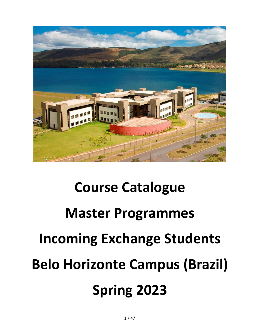

# **Course Catalogue Master Programmes Incoming Exchange Students Belo Horizonte Campus (Brazil) Spring 2023**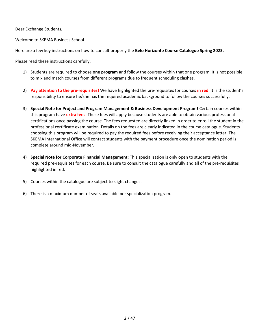Dear Exchange Students,

Welcome to SKEMA Business School !

Here are a few key instructions on how to consult properly the **Belo Horizonte Course Catalogue Spring 2023.**

Please read these instructions carefully:

- 1) Students are required to choose **one program** and follow the courses within that one program. It is not possible to mix and match courses from different programs due to frequent scheduling clashes.
- 2) **Pay attention to the pre-requisites!** We have highlighted the pre-requisites for courses **in red**. It is the student's responsibility to ensure he/she has the required academic background to follow the courses successfully.
- 3) **Special Note for Project and Program Management & Business Development Program!** Certain courses within this program have **extra fees**. These fees will apply because students are able to obtain various professional certifications once passing the course. The fees requested are directly linked in order to enroll the student in the professional certificate examination. Details on the fees are clearly indicated in the course catalogue. Students choosing this program will be required to pay the required fees before receiving their acceptance letter. The SKEMA International Office will contact students with the payment procedure once the nomination period is complete around mid-November.
- 4) **Special Note for Corporate Financial Management:** This specialization is only open to students with the required pre-requisites for each course. Be sure to consult the catalogue carefully and all of the pre-requisites highlighted in red.
- 5) Courses within the catalogue are subject to slight changes.
- 6) There is a maximum number of seats available per specialization program.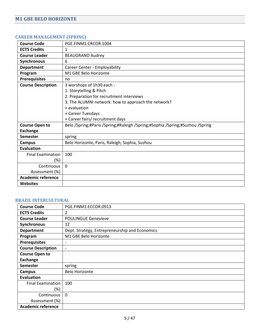## <span id="page-4-1"></span><span id="page-4-0"></span>**CAREER MANAGEMENT (SPRING)**

| <b>Course Code</b>        | PGE.FINM1.CRCOR.1004                                                         |
|---------------------------|------------------------------------------------------------------------------|
| <b>ECTS Credits</b>       | 1                                                                            |
| <b>Course Leader</b>      | <b>BEAUGRAND Audrey</b>                                                      |
| Synchronous               | 6                                                                            |
| <b>Department</b>         | Career Center - Employability                                                |
| Program                   | M1 GBE Belo Horizonte                                                        |
| <b>Prerequisites</b>      | no                                                                           |
| <b>Course Description</b> | 3 worshops of 1h30 each:                                                     |
|                           | 1. Storytelling & Pitch                                                      |
|                           | 2. Preparation for recruitment interviews                                    |
|                           | 3. The ALUMNI network: how to approach the network?                          |
|                           | + evaluation                                                                 |
|                           | + Career Tuesdays                                                            |
|                           | + Career fairs/ recruitment days                                             |
| <b>Course Open to</b>     | Belo /Spring;#Paris /Spring;#Raleigh /Spring;#Sophia /Spring;#Suzhou /Spring |
| <b>Exchange</b>           |                                                                              |
| <b>Semester</b>           | spring                                                                       |
| Campus                    | Belo Horizonte, Paris, Raleigh, Sophia, Suzhou                               |
| <b>Evaluation</b>         |                                                                              |
| <b>Final Examination</b>  | 100                                                                          |
| $(\%)$                    |                                                                              |
| Continuous                | $\mathbf 0$                                                                  |
| Assessment (%)            |                                                                              |
| <b>Academic reference</b> |                                                                              |
| <b>Websites</b>           |                                                                              |

#### <span id="page-4-2"></span>**BRAZIL INTERCULTURAL**

| <b>Course Code</b>        | PGE.FINM1.ECCOR.0913                           |
|---------------------------|------------------------------------------------|
| <b>ECTS Credits</b>       | 2                                              |
| <b>Course Leader</b>      | <b>POULINGUE Genevieve</b>                     |
| Synchronous               | 12                                             |
| <b>Department</b>         | Dept. Stratégy, Entrepreneurship and Economics |
| Program                   | M1 GBE Belo Horizonte                          |
| <b>Prerequisites</b>      | $\overline{\phantom{a}}$                       |
| <b>Course Description</b> | $\overline{\phantom{a}}$                       |
| <b>Course Open to</b>     |                                                |
| <b>Exchange</b>           |                                                |
| <b>Semester</b>           | spring                                         |
| <b>Campus</b>             | <b>Belo Horizonte</b>                          |
| <b>Evaluation</b>         |                                                |
| <b>Final Examination</b>  | 100                                            |
| (%)                       |                                                |
| Continuous                | $\Omega$                                       |
| Assessment (%)            |                                                |
| <b>Academic reference</b> |                                                |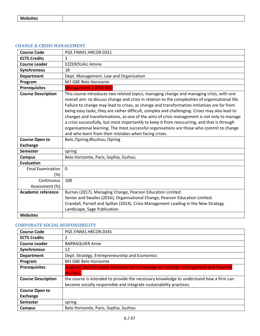#### <span id="page-5-0"></span>**CHANGE & CRISIS MANAGEMENT**

| <b>Course Code</b>                           | PGE.FINM1.HRCOR.0331                                                                                                                                                                                                                                                                                                                                                                                                                                                                                                                                                                                                                                                                                                                              |
|----------------------------------------------|---------------------------------------------------------------------------------------------------------------------------------------------------------------------------------------------------------------------------------------------------------------------------------------------------------------------------------------------------------------------------------------------------------------------------------------------------------------------------------------------------------------------------------------------------------------------------------------------------------------------------------------------------------------------------------------------------------------------------------------------------|
| <b>ECTS Credits</b>                          | 3                                                                                                                                                                                                                                                                                                                                                                                                                                                                                                                                                                                                                                                                                                                                                 |
| <b>Course Leader</b>                         | <b>EZZEROUALI Amine</b>                                                                                                                                                                                                                                                                                                                                                                                                                                                                                                                                                                                                                                                                                                                           |
| Synchronous                                  | 18                                                                                                                                                                                                                                                                                                                                                                                                                                                                                                                                                                                                                                                                                                                                                |
| <b>Department</b>                            | Dept. Management, Law and Organization                                                                                                                                                                                                                                                                                                                                                                                                                                                                                                                                                                                                                                                                                                            |
| Program                                      | M1 GBE Belo Horizonte                                                                                                                                                                                                                                                                                                                                                                                                                                                                                                                                                                                                                                                                                                                             |
| <b>Prerequisites</b>                         | <b>Management 1 (PGE M1)</b>                                                                                                                                                                                                                                                                                                                                                                                                                                                                                                                                                                                                                                                                                                                      |
| <b>Course Description</b>                    | This course introduces two related topics, managing change and managing crisis, with one<br>overall aim: to discuss change and crisis in relation to the complexities of organisational life.<br>Failure to change may lead to crises, as change and transformation initiatives are far from<br>being easy tasks, they are rather difficult, complex and challenging. Crises may also lead to<br>changes and transformations, as one of the aims of crisis management is not only to manage<br>a crisis successfully, but most importantly to keep it from reoccurring, and that is through<br>organisational learning. The most successful organisations are those who commit to change<br>and who learn from their mistakes when facing crises. |
| <b>Course Open to</b>                        | Belo /Spring;#Suzhou /Spring                                                                                                                                                                                                                                                                                                                                                                                                                                                                                                                                                                                                                                                                                                                      |
| <b>Exchange</b>                              |                                                                                                                                                                                                                                                                                                                                                                                                                                                                                                                                                                                                                                                                                                                                                   |
| <b>Semester</b>                              | spring                                                                                                                                                                                                                                                                                                                                                                                                                                                                                                                                                                                                                                                                                                                                            |
| <b>Campus</b>                                | Belo Horizonte, Paris, Sophia, Suzhou                                                                                                                                                                                                                                                                                                                                                                                                                                                                                                                                                                                                                                                                                                             |
| <b>Evaluation</b>                            |                                                                                                                                                                                                                                                                                                                                                                                                                                                                                                                                                                                                                                                                                                                                                   |
| <b>Final Examination</b><br>(%)              | $\Omega$                                                                                                                                                                                                                                                                                                                                                                                                                                                                                                                                                                                                                                                                                                                                          |
| Continuous<br>Assessment (%)                 | 100                                                                                                                                                                                                                                                                                                                                                                                                                                                                                                                                                                                                                                                                                                                                               |
| <b>Academic reference</b><br><b>Websites</b> | Burnes (2017), Managing Change, Pearson Education Limited.<br>Senior and Swailes (2016), Organisational Change, Pearson Education Limited.<br>Crandall, Parnell and Spillan (2014), Crisis Management Leading in the New Strategy<br>Landscape, Sage Publication.                                                                                                                                                                                                                                                                                                                                                                                                                                                                                 |
|                                              |                                                                                                                                                                                                                                                                                                                                                                                                                                                                                                                                                                                                                                                                                                                                                   |

#### <span id="page-5-1"></span>**CORPORATE SOCIAL RESPONSIBILITY**

| <b>Course Code</b>        | PGE.FINM1.HRCOR.0345                                                                   |
|---------------------------|----------------------------------------------------------------------------------------|
| <b>ECTS Credits</b>       |                                                                                        |
| <b>Course Leader</b>      | <b>BARRAQUIER Anne</b>                                                                 |
| Synchronous               | 12                                                                                     |
| <b>Department</b>         | Dept. Stratégy, Entrepreneurship and Economics                                         |
| Program                   | M1 GBE Belo Horizonte                                                                  |
| <b>Prerequisites</b>      | Students should master fundamental knowledge on strategic management and financial     |
|                           | markets.                                                                               |
| <b>Course Description</b> | the course is intended to provide the necessary knowledge to understand how a firm can |
|                           | become socially responsible and integrate sustainability practices.                    |
| <b>Course Open to</b>     |                                                                                        |
| <b>Exchange</b>           |                                                                                        |
| <b>Semester</b>           | spring                                                                                 |
| Campus                    | Belo Horizonte, Paris, Sophia, Suzhou                                                  |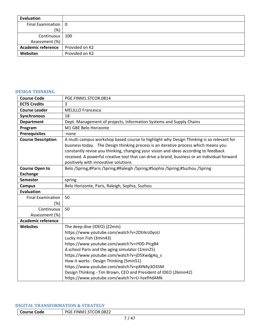| Evaluation                        |                |
|-----------------------------------|----------------|
| Final Examination $\vert 0 \vert$ |                |
| (%)                               |                |
| Continuous                        | 100            |
| Assessment (%)                    |                |
| <b>Academic reference</b>         | Provided on K2 |
| Websites                          | Provided on K2 |

## <span id="page-6-0"></span>**DESIGN THINKING**

| <b>Course Code</b>        | PGE.FINM1.STCOR.0814                                                                                                                                                                                                                                                                                                                                                    |
|---------------------------|-------------------------------------------------------------------------------------------------------------------------------------------------------------------------------------------------------------------------------------------------------------------------------------------------------------------------------------------------------------------------|
| <b>ECTS Credits</b>       | 3                                                                                                                                                                                                                                                                                                                                                                       |
| <b>Course Leader</b>      | <b>MELILLO Francesca</b>                                                                                                                                                                                                                                                                                                                                                |
| Synchronous               | 18                                                                                                                                                                                                                                                                                                                                                                      |
| <b>Department</b>         | Dept. Management of projects, Information Systems and Supply Chains                                                                                                                                                                                                                                                                                                     |
| Program                   | M1 GBE Belo Horizonte                                                                                                                                                                                                                                                                                                                                                   |
| <b>Prerequisites</b>      | -none                                                                                                                                                                                                                                                                                                                                                                   |
| <b>Course Description</b> | A multi campus workshop based course to highlight why Design Thinking is so relevant for<br>business today. The Design thinking process is an iterative process which means you<br>constantly revise you thinking, changing your vision and ideas according to feedback<br>received. A powerful creative tool that can drive a brand, business or an individual forward |
|                           | positively with innovative solutions                                                                                                                                                                                                                                                                                                                                    |
| <b>Course Open to</b>     | Belo /Spring;#Paris /Spring;#Raleigh /Spring;#Sophia /Spring;#Suzhou /Spring                                                                                                                                                                                                                                                                                            |
| <b>Exchange</b>           |                                                                                                                                                                                                                                                                                                                                                                         |
| <b>Semester</b>           | spring                                                                                                                                                                                                                                                                                                                                                                  |
| <b>Campus</b>             | Belo Horizonte, Paris, Raleigh, Sophia, Suzhou                                                                                                                                                                                                                                                                                                                          |
| <b>Evaluation</b>         |                                                                                                                                                                                                                                                                                                                                                                         |
| <b>Final Examination</b>  | 50                                                                                                                                                                                                                                                                                                                                                                      |
| (%)                       |                                                                                                                                                                                                                                                                                                                                                                         |
| Continuous                | 50                                                                                                                                                                                                                                                                                                                                                                      |
| Assessment (%)            |                                                                                                                                                                                                                                                                                                                                                                         |
| <b>Academic reference</b> |                                                                                                                                                                                                                                                                                                                                                                         |
| <b>Websites</b>           | The deep dive (IDEO) (22min)                                                                                                                                                                                                                                                                                                                                            |
|                           | https://www.youtube.com/watch?v=2Dtrkrz0yoU                                                                                                                                                                                                                                                                                                                             |
|                           | Lucky Iron Fish (3min43)                                                                                                                                                                                                                                                                                                                                                |
|                           | https://www.youtube.com/watch?v=iY0D-PIcgB4                                                                                                                                                                                                                                                                                                                             |
|                           | d.school Paris and the aging simulator (1min25)                                                                                                                                                                                                                                                                                                                         |
|                           | https://www.youtube.com/watch?v=jD5XwdgAq s                                                                                                                                                                                                                                                                                                                             |
|                           | How it works: Design Thinking (5min51)                                                                                                                                                                                                                                                                                                                                  |
|                           | https://www.youtube.com/watch?v=pXtN4y3O35M                                                                                                                                                                                                                                                                                                                             |
|                           | Design Thinking - Tim Brown, CEO and President of IDEO (26min42)                                                                                                                                                                                                                                                                                                        |
|                           | https://www.youtube.com/watch?v=U-hzefHdAMk                                                                                                                                                                                                                                                                                                                             |

### <span id="page-6-1"></span>**DIGITAL TRANSFORMATION & STRATEGY**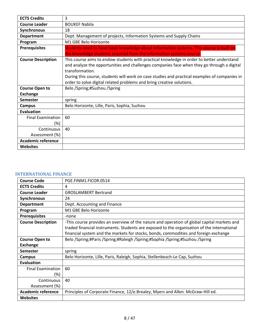| <b>ECTS Credits</b>       | 3                                                                                                                                                                                                                                                                                                                                                                                    |
|---------------------------|--------------------------------------------------------------------------------------------------------------------------------------------------------------------------------------------------------------------------------------------------------------------------------------------------------------------------------------------------------------------------------------|
| <b>Course Leader</b>      | <b>BOUKEF Nabila</b>                                                                                                                                                                                                                                                                                                                                                                 |
| Synchronous               | 18                                                                                                                                                                                                                                                                                                                                                                                   |
| <b>Department</b>         | Dept. Management of projects, Information Systems and Supply Chains                                                                                                                                                                                                                                                                                                                  |
| Program                   | M1 GBE Belo Horizonte                                                                                                                                                                                                                                                                                                                                                                |
| <b>Prerequisites</b>      | Students need to have basic knowledge about Information systems. This course is built on                                                                                                                                                                                                                                                                                             |
|                           | the knowledge students acquired from the information systems course.                                                                                                                                                                                                                                                                                                                 |
| <b>Course Description</b> | This course aims to endow students with practical knowledge in order to better understand<br>and analyze the opportunities and challenges companies face when they go through a digital<br>transformation.<br>During this course, students will work on case studies and practical examples of companies in<br>order to solve digital related problems and bring creative solutions. |
| <b>Course Open to</b>     | Belo /Spring;#Suzhou /Spring                                                                                                                                                                                                                                                                                                                                                         |
| <b>Exchange</b>           |                                                                                                                                                                                                                                                                                                                                                                                      |
| <b>Semester</b>           | spring                                                                                                                                                                                                                                                                                                                                                                               |
| Campus                    | Belo Horizonte, Lille, Paris, Sophia, Suzhou                                                                                                                                                                                                                                                                                                                                         |
| <b>Evaluation</b>         |                                                                                                                                                                                                                                                                                                                                                                                      |
| <b>Final Examination</b>  | 60                                                                                                                                                                                                                                                                                                                                                                                   |
| (%)                       |                                                                                                                                                                                                                                                                                                                                                                                      |
| Continuous                | 40                                                                                                                                                                                                                                                                                                                                                                                   |
| Assessment (%)            |                                                                                                                                                                                                                                                                                                                                                                                      |
| <b>Academic reference</b> |                                                                                                                                                                                                                                                                                                                                                                                      |
| <b>Websites</b>           |                                                                                                                                                                                                                                                                                                                                                                                      |

## <span id="page-7-0"></span>**INTERNATIONAL FINANCE**

| <b>Course Code</b>        | PGE.FINM1.FICOR.0514                                                                        |
|---------------------------|---------------------------------------------------------------------------------------------|
| <b>ECTS Credits</b>       | 4                                                                                           |
| <b>Course Leader</b>      | <b>GROSLAMBERT Bertrand</b>                                                                 |
| Synchronous               | 24                                                                                          |
| <b>Department</b>         | Dept. Accounting and Finance                                                                |
| Program                   | M1 GBE Belo Horizonte                                                                       |
| <b>Prerequisites</b>      | -none                                                                                       |
| <b>Course Description</b> | -This course provides an overview of the nature and operation of global capital markets and |
|                           | traded financial instruments. Students are exposed to the organisation of the international |
|                           | financial system and the markets for stocks, bonds, commodities and foreign exchange        |
| <b>Course Open to</b>     | Belo /Spring;#Paris /Spring;#Raleigh /Spring;#Sophia /Spring;#Suzhou /Spring                |
| <b>Exchange</b>           |                                                                                             |
| <b>Semester</b>           | spring                                                                                      |
| Campus                    | Belo Horizonte, Lille, Paris, Raleigh, Sophia, Stellenbosch-Le Cap, Suzhou                  |
| <b>Evaluation</b>         |                                                                                             |
| <b>Final Examination</b>  | 60                                                                                          |
| (%)                       |                                                                                             |
| Continuous                | 40                                                                                          |
| Assessment (%)            |                                                                                             |
| <b>Academic reference</b> | Principles of Corporate Finance, 12/e.Brealey, Myers and Allen. McGraw-Hill ed.             |
| <b>Websites</b>           |                                                                                             |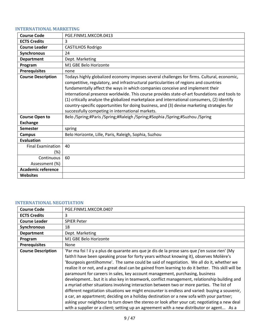# <span id="page-8-0"></span>**INTERNATIONAL MARKETING**

| <b>Course Code</b>                       | PGE.FINM1.MKCOR.0413                                                                                                                                                                                                                                                                                                                                                                                                                                                                                                                                                                                                  |
|------------------------------------------|-----------------------------------------------------------------------------------------------------------------------------------------------------------------------------------------------------------------------------------------------------------------------------------------------------------------------------------------------------------------------------------------------------------------------------------------------------------------------------------------------------------------------------------------------------------------------------------------------------------------------|
| <b>ECTS Credits</b>                      | 3                                                                                                                                                                                                                                                                                                                                                                                                                                                                                                                                                                                                                     |
| <b>Course Leader</b>                     | <b>CASTILHOS Rodrigo</b>                                                                                                                                                                                                                                                                                                                                                                                                                                                                                                                                                                                              |
| <b>Synchronous</b>                       | 24                                                                                                                                                                                                                                                                                                                                                                                                                                                                                                                                                                                                                    |
| <b>Department</b>                        | Dept. Marketing                                                                                                                                                                                                                                                                                                                                                                                                                                                                                                                                                                                                       |
| Program                                  | M1 GBE Belo Horizonte                                                                                                                                                                                                                                                                                                                                                                                                                                                                                                                                                                                                 |
| <b>Prerequisites</b>                     | none                                                                                                                                                                                                                                                                                                                                                                                                                                                                                                                                                                                                                  |
| <b>Course Description</b>                | Todays highly globalized economy imposes several challenges for firms. Cultural, economic,<br>competitive, regulatory, and infrastructural particularities of regions and countries<br>fundamentally affect the ways in which companies conceive and implement their<br>international presence worldwide. This course provides state-of-art foundations and tools to<br>(1) critically analyze the globalized marketplace and international consumers, (2) identify<br>country-specific opportunities for doing business, and (3) devise marketing strategies for<br>successfully competing in international markets. |
| <b>Course Open to</b><br><b>Exchange</b> | Belo /Spring;#Paris /Spring;#Raleigh /Spring;#Sophia /Spring;#Suzhou /Spring                                                                                                                                                                                                                                                                                                                                                                                                                                                                                                                                          |
| <b>Semester</b>                          | spring                                                                                                                                                                                                                                                                                                                                                                                                                                                                                                                                                                                                                |
| <b>Campus</b>                            | Belo Horizonte, Lille, Paris, Raleigh, Sophia, Suzhou                                                                                                                                                                                                                                                                                                                                                                                                                                                                                                                                                                 |
| <b>Evaluation</b>                        |                                                                                                                                                                                                                                                                                                                                                                                                                                                                                                                                                                                                                       |
| <b>Final Examination</b>                 | 40                                                                                                                                                                                                                                                                                                                                                                                                                                                                                                                                                                                                                    |
| (%)                                      |                                                                                                                                                                                                                                                                                                                                                                                                                                                                                                                                                                                                                       |
| Continuous                               | 60                                                                                                                                                                                                                                                                                                                                                                                                                                                                                                                                                                                                                    |
| Assessment (%)                           |                                                                                                                                                                                                                                                                                                                                                                                                                                                                                                                                                                                                                       |
| Academic reference                       |                                                                                                                                                                                                                                                                                                                                                                                                                                                                                                                                                                                                                       |
| <b>Websites</b>                          |                                                                                                                                                                                                                                                                                                                                                                                                                                                                                                                                                                                                                       |

# <span id="page-8-1"></span>**INTERNATIONAL NEGOTIATION**

| <b>Course Code</b>        | PGE.FINM1.MKCOR.0407                                                                                                                                                                                                                                                                                                                                                                                                                                                                                                                                                                                                                                                                                                                                                                                                                                                                                                                                                                                                                                              |
|---------------------------|-------------------------------------------------------------------------------------------------------------------------------------------------------------------------------------------------------------------------------------------------------------------------------------------------------------------------------------------------------------------------------------------------------------------------------------------------------------------------------------------------------------------------------------------------------------------------------------------------------------------------------------------------------------------------------------------------------------------------------------------------------------------------------------------------------------------------------------------------------------------------------------------------------------------------------------------------------------------------------------------------------------------------------------------------------------------|
| <b>ECTS Credits</b>       | 3                                                                                                                                                                                                                                                                                                                                                                                                                                                                                                                                                                                                                                                                                                                                                                                                                                                                                                                                                                                                                                                                 |
| <b>Course Leader</b>      | <b>SPIER Peter</b>                                                                                                                                                                                                                                                                                                                                                                                                                                                                                                                                                                                                                                                                                                                                                                                                                                                                                                                                                                                                                                                |
| Synchronous               | 18                                                                                                                                                                                                                                                                                                                                                                                                                                                                                                                                                                                                                                                                                                                                                                                                                                                                                                                                                                                                                                                                |
| <b>Department</b>         | Dept. Marketing                                                                                                                                                                                                                                                                                                                                                                                                                                                                                                                                                                                                                                                                                                                                                                                                                                                                                                                                                                                                                                                   |
| Program                   | M1 GBE Belo Horizonte                                                                                                                                                                                                                                                                                                                                                                                                                                                                                                                                                                                                                                                                                                                                                                                                                                                                                                                                                                                                                                             |
| <b>Prerequisites</b>      | None                                                                                                                                                                                                                                                                                                                                                                                                                                                                                                                                                                                                                                                                                                                                                                                                                                                                                                                                                                                                                                                              |
| <b>Course Description</b> | 'Par ma foi ! il y a plus de quarante ans que je dis de la prose sans que j'en susse rien' (My<br>faith!I have been speaking prose for forty years without knowing it), observes Molière's<br>'Bourgeois gentilhomme'. The same could be said of negotiation. We all do it, whether we<br>realize it or not, and a great deal can be gained from learning to do it better. This skill will be<br>paramount for careers in sales, key account management, purchasing, business<br>development but it is also key in teamwork, conflict management, relationship building and<br>a myriad other situations involving interaction between two or more parties. The list of<br>different negotiation situations we might encounter is endless and varied: buying a souvenir,<br>a car, an appartment; deciding on a holiday destination or a new sofa with your partner;<br>asking your neighbour to turn down the stereo or look after your cat; negotiating a new deal<br>with a supplier or a client; setting up an agreement with a new distributor or agent As a |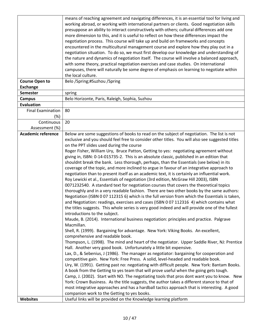|                           | means of reaching agreement and navigating differences, it is an essential tool for living and<br>working abroad, or working with international partners or clients. Good negotiation skills<br>presuppose an ability to interact constructively with others; cultural differences add one |
|---------------------------|--------------------------------------------------------------------------------------------------------------------------------------------------------------------------------------------------------------------------------------------------------------------------------------------|
|                           | more dimension to this, and it is useful to reflect on how these differences impact the                                                                                                                                                                                                    |
|                           | negotiation process. This course will take up and build on frameworks and concepts                                                                                                                                                                                                         |
|                           | encountered in the multicultural management course and explore how they play out in a                                                                                                                                                                                                      |
|                           | negotiation situation. To do so, we must first develop our knowledge and understanding of<br>the nature and dynamics of negotiation itself. The course will involve a balanced approach,                                                                                                   |
|                           | with some theory, practical negotiation exercises and case studies. On international                                                                                                                                                                                                       |
|                           | campuses, there will naturally be some degree of emphasis on learning to negotiate within                                                                                                                                                                                                  |
|                           | the local culture.                                                                                                                                                                                                                                                                         |
| <b>Course Open to</b>     | Belo /Spring;#Suzhou /Spring                                                                                                                                                                                                                                                               |
| <b>Exchange</b>           |                                                                                                                                                                                                                                                                                            |
| <b>Semester</b>           | spring                                                                                                                                                                                                                                                                                     |
| <b>Campus</b>             | Belo Horizonte, Paris, Raleigh, Sophia, Suzhou                                                                                                                                                                                                                                             |
| <b>Evaluation</b>         |                                                                                                                                                                                                                                                                                            |
| <b>Final Examination</b>  | 80                                                                                                                                                                                                                                                                                         |
| $(\%)$                    |                                                                                                                                                                                                                                                                                            |
| Continuous                | 20                                                                                                                                                                                                                                                                                         |
| Assessment (%)            |                                                                                                                                                                                                                                                                                            |
| <b>Academic reference</b> | Below are some suggestions of books to read on the subject of negotiation. The list is not                                                                                                                                                                                                 |
|                           | exclusive and you should feel free to consider other titles. You will also see suggested titles<br>on the PPT slides used during the course                                                                                                                                                |
|                           | Roger Fisher, William Ury, Bruce Patton, Getting to yes: negotiating agreement without                                                                                                                                                                                                     |
|                           | giving in, ISBN: 0-14-015735-2. This is an absolute classic, published in an edition that                                                                                                                                                                                                  |
|                           | shouldnt break the bank. Less thorough, perhaps, than the Essentials (see below) in its                                                                                                                                                                                                    |
|                           | coverage of the topic, and more inclined to argue in favour of an integrative approach to                                                                                                                                                                                                  |
|                           | negotiation than to present itself as an academic text, it is certainly an influential work.                                                                                                                                                                                               |
|                           | Roy Lewicki et al., Essentials of negotiation (3rd edition, McGraw Hill 2003), ISBN                                                                                                                                                                                                        |
|                           | 0071232540. A standard text for negotiation courses that covers the theoretical topics                                                                                                                                                                                                     |
|                           | thoroughly and in a very readable fashion. There are two other books by the same authors:                                                                                                                                                                                                  |
|                           | Negotiation (ISBN 0 07 112315 6) which is the full version from which the Essentials is taken,                                                                                                                                                                                             |
|                           | and Negotiation: readings, exercises and cases (ISBN 0 07 112316 4) which contains what                                                                                                                                                                                                    |
|                           | the titles suggests. This whole series is very good indeed and will provide one of the fullest                                                                                                                                                                                             |
|                           | introductions to the subject.<br>Maude, B. (2014). International business negotiation: principles and practice. Palgrave                                                                                                                                                                   |
|                           | Macmillan.                                                                                                                                                                                                                                                                                 |
|                           | Shell, R. (1999). Bargaining for advantage. New York: Viking Books. An excellent,                                                                                                                                                                                                          |
|                           | comprehensive and readable book.                                                                                                                                                                                                                                                           |
|                           | Thompson, L. (1998). The mind and heart of the negotiator. Upper Saddle River, NJ: Prentice                                                                                                                                                                                                |
|                           | Hall. Another very good book. Unfortunately a little bit expensive.                                                                                                                                                                                                                        |
|                           | Lax, D., & Sebenius, J (1986). The manager as negotiator: bargaining for cooperation and                                                                                                                                                                                                   |
|                           | competitive gain. New York: Free Press. A solid, level-headed and readable book.                                                                                                                                                                                                           |
|                           | Ury, W. (1991). Getting past no: negotiating with difficult people. New York: Bantam Books.                                                                                                                                                                                                |
|                           | A book from the Getting to yes team that will prove useful when the going gets tough.                                                                                                                                                                                                      |
|                           | Camp, J. (2002). Start with NO. The negotiating tools that pros dont want you to know. New                                                                                                                                                                                                 |
|                           | York: Crown Business. As the title suggests, the author takes a different stance to that of<br>most integrative approaches and has a hardball tactics approach that is interesting. A good                                                                                                 |
|                           | companion work to the Getting to yes books.                                                                                                                                                                                                                                                |
| <b>Websites</b>           | Useful links will be provided on the Knowledge learning platform                                                                                                                                                                                                                           |
|                           |                                                                                                                                                                                                                                                                                            |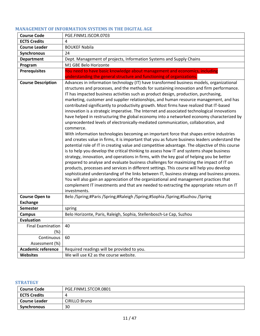# <span id="page-10-0"></span>**MANAGEMENT OF INFORMATION SYSTEMS IN THE DIGITAL AGE**

| <b>Course Code</b>              | PGE.FINM1.ISCOR.0703                                                                                                                                                                                                                                                                                                                                                                                                                                                                                                                                                                                                                                                                                                                                                                                                                                                                                                                                                                                                                                                                                                                                                                                                                                                                                                                                                                                                                                                                                                                                                                                                                                                                                                                   |
|---------------------------------|----------------------------------------------------------------------------------------------------------------------------------------------------------------------------------------------------------------------------------------------------------------------------------------------------------------------------------------------------------------------------------------------------------------------------------------------------------------------------------------------------------------------------------------------------------------------------------------------------------------------------------------------------------------------------------------------------------------------------------------------------------------------------------------------------------------------------------------------------------------------------------------------------------------------------------------------------------------------------------------------------------------------------------------------------------------------------------------------------------------------------------------------------------------------------------------------------------------------------------------------------------------------------------------------------------------------------------------------------------------------------------------------------------------------------------------------------------------------------------------------------------------------------------------------------------------------------------------------------------------------------------------------------------------------------------------------------------------------------------------|
| <b>ECTS Credits</b>             | 4                                                                                                                                                                                                                                                                                                                                                                                                                                                                                                                                                                                                                                                                                                                                                                                                                                                                                                                                                                                                                                                                                                                                                                                                                                                                                                                                                                                                                                                                                                                                                                                                                                                                                                                                      |
| <b>Course Leader</b>            | <b>BOUKEF Nabila</b>                                                                                                                                                                                                                                                                                                                                                                                                                                                                                                                                                                                                                                                                                                                                                                                                                                                                                                                                                                                                                                                                                                                                                                                                                                                                                                                                                                                                                                                                                                                                                                                                                                                                                                                   |
| <b>Synchronous</b>              | 24                                                                                                                                                                                                                                                                                                                                                                                                                                                                                                                                                                                                                                                                                                                                                                                                                                                                                                                                                                                                                                                                                                                                                                                                                                                                                                                                                                                                                                                                                                                                                                                                                                                                                                                                     |
| <b>Department</b>               | Dept. Management of projects, Information Systems and Supply Chains                                                                                                                                                                                                                                                                                                                                                                                                                                                                                                                                                                                                                                                                                                                                                                                                                                                                                                                                                                                                                                                                                                                                                                                                                                                                                                                                                                                                                                                                                                                                                                                                                                                                    |
| Program                         | M1 GBE Belo Horizonte                                                                                                                                                                                                                                                                                                                                                                                                                                                                                                                                                                                                                                                                                                                                                                                                                                                                                                                                                                                                                                                                                                                                                                                                                                                                                                                                                                                                                                                                                                                                                                                                                                                                                                                  |
| <b>Prerequisites</b>            | You need to have basic knowledge about management and economics, including                                                                                                                                                                                                                                                                                                                                                                                                                                                                                                                                                                                                                                                                                                                                                                                                                                                                                                                                                                                                                                                                                                                                                                                                                                                                                                                                                                                                                                                                                                                                                                                                                                                             |
|                                 | understanding the general structure and functioning of organizations.                                                                                                                                                                                                                                                                                                                                                                                                                                                                                                                                                                                                                                                                                                                                                                                                                                                                                                                                                                                                                                                                                                                                                                                                                                                                                                                                                                                                                                                                                                                                                                                                                                                                  |
| <b>Course Description</b>       | Advances in information technology (IT) have transformed business models, organizational<br>structures and processes, and the methods for sustaining innovation and firm performance.<br>IT has impacted business activities such as product design, production, purchasing,<br>marketing, customer and supplier relationships, and human resource management, and has<br>contributed significantly to productivity growth. Most firms have realized that IT-based<br>innovation is a strategic imperative. The Internet and associated technological innovations<br>have helped in restructuring the global economy into a networked economy characterized by<br>unprecedented levels of electronically-mediated communication, collaboration, and<br>commerce.<br>With information technologies becoming an important force that shapes entire industries<br>and creates value in firms, it is important that you as future business leaders understand the<br>potential role of IT in creating value and competitive advantage. The objective of this course<br>is to help you develop the critical thinking to assess how IT and systems shape business<br>strategy, innovation, and operations in firms, with the key goal of helping you be better<br>prepared to analyse and evaluate business challenges for maximizing the impact of IT on<br>products, processes and services in different settings. This course will help you develop<br>sophisticated understanding of the links between IT, business strategy and business process.<br>You will also gain an appreciation of the organizational and management practices that<br>complement IT investments and that are needed to extracting the appropriate return on IT |
|                                 | investments.                                                                                                                                                                                                                                                                                                                                                                                                                                                                                                                                                                                                                                                                                                                                                                                                                                                                                                                                                                                                                                                                                                                                                                                                                                                                                                                                                                                                                                                                                                                                                                                                                                                                                                                           |
| <b>Course Open to</b>           | Belo /Spring;#Paris /Spring;#Raleigh /Spring;#Sophia /Spring;#Suzhou /Spring                                                                                                                                                                                                                                                                                                                                                                                                                                                                                                                                                                                                                                                                                                                                                                                                                                                                                                                                                                                                                                                                                                                                                                                                                                                                                                                                                                                                                                                                                                                                                                                                                                                           |
| <b>Exchange</b>                 |                                                                                                                                                                                                                                                                                                                                                                                                                                                                                                                                                                                                                                                                                                                                                                                                                                                                                                                                                                                                                                                                                                                                                                                                                                                                                                                                                                                                                                                                                                                                                                                                                                                                                                                                        |
| <b>Semester</b>                 | spring                                                                                                                                                                                                                                                                                                                                                                                                                                                                                                                                                                                                                                                                                                                                                                                                                                                                                                                                                                                                                                                                                                                                                                                                                                                                                                                                                                                                                                                                                                                                                                                                                                                                                                                                 |
| <b>Campus</b>                   | Belo Horizonte, Paris, Raleigh, Sophia, Stellenbosch-Le Cap, Suzhou                                                                                                                                                                                                                                                                                                                                                                                                                                                                                                                                                                                                                                                                                                                                                                                                                                                                                                                                                                                                                                                                                                                                                                                                                                                                                                                                                                                                                                                                                                                                                                                                                                                                    |
| <b>Evaluation</b>               |                                                                                                                                                                                                                                                                                                                                                                                                                                                                                                                                                                                                                                                                                                                                                                                                                                                                                                                                                                                                                                                                                                                                                                                                                                                                                                                                                                                                                                                                                                                                                                                                                                                                                                                                        |
| <b>Final Examination</b><br>(%) | 40                                                                                                                                                                                                                                                                                                                                                                                                                                                                                                                                                                                                                                                                                                                                                                                                                                                                                                                                                                                                                                                                                                                                                                                                                                                                                                                                                                                                                                                                                                                                                                                                                                                                                                                                     |
| Continuous                      | 60                                                                                                                                                                                                                                                                                                                                                                                                                                                                                                                                                                                                                                                                                                                                                                                                                                                                                                                                                                                                                                                                                                                                                                                                                                                                                                                                                                                                                                                                                                                                                                                                                                                                                                                                     |
| Assessment (%)                  |                                                                                                                                                                                                                                                                                                                                                                                                                                                                                                                                                                                                                                                                                                                                                                                                                                                                                                                                                                                                                                                                                                                                                                                                                                                                                                                                                                                                                                                                                                                                                                                                                                                                                                                                        |
| <b>Academic reference</b>       | Required readings will be provided to you.                                                                                                                                                                                                                                                                                                                                                                                                                                                                                                                                                                                                                                                                                                                                                                                                                                                                                                                                                                                                                                                                                                                                                                                                                                                                                                                                                                                                                                                                                                                                                                                                                                                                                             |
| <b>Websites</b>                 | We will use K2 as the course website.                                                                                                                                                                                                                                                                                                                                                                                                                                                                                                                                                                                                                                                                                                                                                                                                                                                                                                                                                                                                                                                                                                                                                                                                                                                                                                                                                                                                                                                                                                                                                                                                                                                                                                  |

#### <span id="page-10-1"></span>**STRATEGY**

| <b>Course Code</b>  | PGE.FINM1.STCOR.0801 |
|---------------------|----------------------|
| <b>ECTS Credits</b> | 4                    |
| Course Leader       | <b>CIRILLO Bruno</b> |
| Synchronous         | 30                   |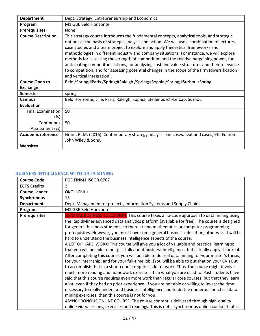| <b>Department</b>         | Dept. Stratégy, Entrepreneurship and Economics                                                                                                                                                                                                                                                                                                                                                                                                                                                                                                                                                                                                                                                         |
|---------------------------|--------------------------------------------------------------------------------------------------------------------------------------------------------------------------------------------------------------------------------------------------------------------------------------------------------------------------------------------------------------------------------------------------------------------------------------------------------------------------------------------------------------------------------------------------------------------------------------------------------------------------------------------------------------------------------------------------------|
| Program                   | M1 GBE Belo Horizonte                                                                                                                                                                                                                                                                                                                                                                                                                                                                                                                                                                                                                                                                                  |
| <b>Prerequisites</b>      | None                                                                                                                                                                                                                                                                                                                                                                                                                                                                                                                                                                                                                                                                                                   |
| <b>Course Description</b> | This strategy course introduces the fundamental concepts, analytical tools, and strategic<br>options at the basis of strategic analysis and action. We will use a combination of lectures,<br>case studies and a team project to explore and apply theoretical frameworks and<br>methodologies in different industry and company situations. For instance, we will explore<br>methods for assessing the strength of competition and the relative bargaining power, for<br>anticipating competitors actions, for analyzing cost and value structures and their relevance<br>to competition, and for assessing potential changes in the scope of the firm (diversification<br>and vertical integration). |
| <b>Course Open to</b>     | Belo /Spring;#Paris /Spring;#Raleigh /Spring;#Sophia /Spring;#Suzhou /Spring                                                                                                                                                                                                                                                                                                                                                                                                                                                                                                                                                                                                                           |
| <b>Exchange</b>           |                                                                                                                                                                                                                                                                                                                                                                                                                                                                                                                                                                                                                                                                                                        |
| <b>Semester</b>           | spring                                                                                                                                                                                                                                                                                                                                                                                                                                                                                                                                                                                                                                                                                                 |
| Campus                    | Belo Horizonte, Lille, Paris, Raleigh, Sophia, Stellenbosch-Le Cap, Suzhou                                                                                                                                                                                                                                                                                                                                                                                                                                                                                                                                                                                                                             |
| <b>Evaluation</b>         |                                                                                                                                                                                                                                                                                                                                                                                                                                                                                                                                                                                                                                                                                                        |
| <b>Final Examination</b>  | 50                                                                                                                                                                                                                                                                                                                                                                                                                                                                                                                                                                                                                                                                                                     |
| (%)                       |                                                                                                                                                                                                                                                                                                                                                                                                                                                                                                                                                                                                                                                                                                        |
| Continuous                | 50                                                                                                                                                                                                                                                                                                                                                                                                                                                                                                                                                                                                                                                                                                     |
| Assessment (%)            |                                                                                                                                                                                                                                                                                                                                                                                                                                                                                                                                                                                                                                                                                                        |
| <b>Academic reference</b> | Grant, R. M. (2016). Contemporary strategy analysis and cases: text and cases, 9th Edition.                                                                                                                                                                                                                                                                                                                                                                                                                                                                                                                                                                                                            |
|                           | John Wiley & Sons.                                                                                                                                                                                                                                                                                                                                                                                                                                                                                                                                                                                                                                                                                     |
| <b>Websites</b>           |                                                                                                                                                                                                                                                                                                                                                                                                                                                                                                                                                                                                                                                                                                        |

## <span id="page-11-0"></span>**BUSINESS INTELLIGENCE WITH DATA MINING**

| <b>Course Code</b>   | PGE.FINM1.ISCOR.0707                                                                                                                                                                                                                                                                                                                                                                                                                                                                                                                                                                                                                                                                                                                                                                                                                                                                                                                                                                                                                                                                                                                                                                                                                                                                                                                                                                                                                                                                                                                                                                                     |
|----------------------|----------------------------------------------------------------------------------------------------------------------------------------------------------------------------------------------------------------------------------------------------------------------------------------------------------------------------------------------------------------------------------------------------------------------------------------------------------------------------------------------------------------------------------------------------------------------------------------------------------------------------------------------------------------------------------------------------------------------------------------------------------------------------------------------------------------------------------------------------------------------------------------------------------------------------------------------------------------------------------------------------------------------------------------------------------------------------------------------------------------------------------------------------------------------------------------------------------------------------------------------------------------------------------------------------------------------------------------------------------------------------------------------------------------------------------------------------------------------------------------------------------------------------------------------------------------------------------------------------------|
| <b>ECTS Credits</b>  | $\overline{2}$                                                                                                                                                                                                                                                                                                                                                                                                                                                                                                                                                                                                                                                                                                                                                                                                                                                                                                                                                                                                                                                                                                                                                                                                                                                                                                                                                                                                                                                                                                                                                                                           |
| <b>Course Leader</b> | <b>OKOLI Chitu</b>                                                                                                                                                                                                                                                                                                                                                                                                                                                                                                                                                                                                                                                                                                                                                                                                                                                                                                                                                                                                                                                                                                                                                                                                                                                                                                                                                                                                                                                                                                                                                                                       |
| <b>Synchronous</b>   | 15                                                                                                                                                                                                                                                                                                                                                                                                                                                                                                                                                                                                                                                                                                                                                                                                                                                                                                                                                                                                                                                                                                                                                                                                                                                                                                                                                                                                                                                                                                                                                                                                       |
| <b>Department</b>    | Dept. Management of projects, Information Systems and Supply Chains                                                                                                                                                                                                                                                                                                                                                                                                                                                                                                                                                                                                                                                                                                                                                                                                                                                                                                                                                                                                                                                                                                                                                                                                                                                                                                                                                                                                                                                                                                                                      |
| Program              | M1 GBE Belo Horizonte                                                                                                                                                                                                                                                                                                                                                                                                                                                                                                                                                                                                                                                                                                                                                                                                                                                                                                                                                                                                                                                                                                                                                                                                                                                                                                                                                                                                                                                                                                                                                                                    |
| <b>Prerequisites</b> | <b>GENERAL BUSINESS EDUCATION:</b> This course takes a no-code approach to data mining using<br>the RapidMiner advanced data analytics platform (available for free). The course is designed<br>for general business students, so there are no mathematics or computer programming<br>prerequisites. However, you must have some general business education, otherwise it will be<br>hard to understand the business intelligence aspects of the course.<br>A LOT OF HARD WORK: This course will give you a lot of valuable and practical learning so<br>that you will be able to not just talk about business intelligence, but actually apply it for real.<br>After completing this course, you will be able to do real data mining for your master's thesis;<br>for your internship; and for your full-time job. (You will be able to put that on your CV.) But<br>to accomplish that in a short course requires a lot of work. Thus, the course might involve<br>much more reading and homework exercises than what you are used to. Past students have<br>said that this course requires even more work than regular core courses, but that they learn<br>a lot, even if they had no prior experience. If you are not able or willing to invest the time<br>necessary to really understand business intelligence and to do the numerous practical data<br>mining exercises, then this course is not for you.<br>ASYNCHRONOUS ONLINE COURSE. The course content is delivered through high-quality<br>online video lessons, exercises and readings. This is not a synchronous online course; that is, |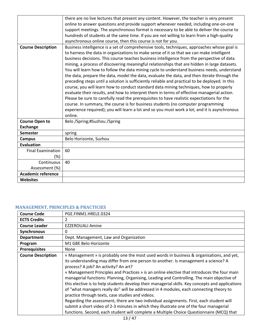|                           | there are no live lectures that present any content. However, the teacher is very present       |
|---------------------------|-------------------------------------------------------------------------------------------------|
|                           | online to answer questions and provide support whenever needed, including one-on-one            |
|                           | support meetings. The asynchronous format is necessary to be able to deliver the course to      |
|                           | hundreds of students at the same time. If you are not willing to learn from a high-quality      |
|                           | asynchronous online course, then this course is not for you.                                    |
| <b>Course Description</b> | Business intelligence is a set of comprehensive tools, techniques, approaches whose goal is     |
|                           | to harness the data in organizations to make sense of it so that we can make intelligent        |
|                           | business decisions. This course teaches business intelligence from the perspective of data      |
|                           | mining, a process of discovering meaningful relationships that are hidden in large datasets.    |
|                           | You will learn how to follow the data mining cycle to understand business needs, understand     |
|                           | the data, prepare the data, model the data, evaluate the data, and then iterate through the     |
|                           | preceding steps until a solution is sufficiently reliable and practical to be deployed. In this |
|                           | course, you will learn how to conduct standard data mining techniques, how to properly          |
|                           | evaluate their results, and how to interpret them in terms of effective managerial action.      |
|                           | Please be sure to carefully read the prerequisites to have realistic expectiations for the      |
|                           | course. In summary, the course is for business students (no computer programming                |
|                           | experience required); you will learn a lot and so you must work a lot; and it is asynchronous   |
|                           | online.                                                                                         |
| <b>Course Open to</b>     | Belo /Spring;#Suzhou /Spring                                                                    |
| <b>Exchange</b>           |                                                                                                 |
| <b>Semester</b>           | spring                                                                                          |
| <b>Campus</b>             | Belo Horizonte, Suzhou                                                                          |
| <b>Evaluation</b>         |                                                                                                 |
| <b>Final Examination</b>  | 60                                                                                              |
| (%)                       |                                                                                                 |
| Continuous                | 40                                                                                              |
| Assessment (%)            |                                                                                                 |
| <b>Academic reference</b> |                                                                                                 |
| <b>Websites</b>           |                                                                                                 |

## <span id="page-12-0"></span>**MANAGEMENT, PRINCIPLES & PRACTICIES**

| <b>Course Code</b>        | PGE.FINM1.HRELE.0324                                                                                                                                                                                                                                                                                                                                                                                                                                                                                                                                                                                                                                                                                                                                                                                                                                                                                                                                      |
|---------------------------|-----------------------------------------------------------------------------------------------------------------------------------------------------------------------------------------------------------------------------------------------------------------------------------------------------------------------------------------------------------------------------------------------------------------------------------------------------------------------------------------------------------------------------------------------------------------------------------------------------------------------------------------------------------------------------------------------------------------------------------------------------------------------------------------------------------------------------------------------------------------------------------------------------------------------------------------------------------|
| <b>ECTS Credits</b>       | 2                                                                                                                                                                                                                                                                                                                                                                                                                                                                                                                                                                                                                                                                                                                                                                                                                                                                                                                                                         |
| <b>Course Leader</b>      | EZZEROUALI Amine                                                                                                                                                                                                                                                                                                                                                                                                                                                                                                                                                                                                                                                                                                                                                                                                                                                                                                                                          |
| Synchronous               | 0                                                                                                                                                                                                                                                                                                                                                                                                                                                                                                                                                                                                                                                                                                                                                                                                                                                                                                                                                         |
| <b>Department</b>         | Dept. Management, Law and Organization                                                                                                                                                                                                                                                                                                                                                                                                                                                                                                                                                                                                                                                                                                                                                                                                                                                                                                                    |
| Program                   | M1 GBE Belo Horizonte                                                                                                                                                                                                                                                                                                                                                                                                                                                                                                                                                                                                                                                                                                                                                                                                                                                                                                                                     |
| <b>Prerequisites</b>      | None                                                                                                                                                                                                                                                                                                                                                                                                                                                                                                                                                                                                                                                                                                                                                                                                                                                                                                                                                      |
| <b>Course Description</b> | « Management » is probably one the most used words in business & organisations, and yet,<br>its understanding may differ from one person to another. Is management a science? A<br>process? A job? An activity? An art?<br>« Management Principles and Practices » is an online elective that introduces the four main<br>managerial functions: Planning, Organising, Leading and Controlling. The main objective of<br>this elective is to help students develop their managerial skills. Key concepts and applications<br>of "what managers really do" will be addressed in 4 modules, each connecting theory to<br>practice through texts, case studies and videos.<br>Regarding the assessment, there are two individual assignments. First, each student will<br>submit a short video of 2-3 minutes in which they illustrate one of the four managerial<br>functions. Second, each student will complete a Multiple Choice Questionnaire (MCQ) that |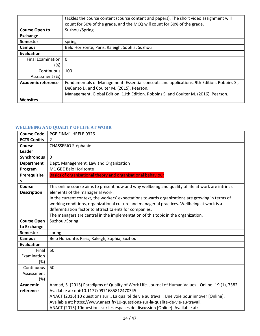|                          | tackles the course content (course content and papers). The short video assignment will<br>count for 50% of the grade, and the MCQ will count for 50% of the grade. |
|--------------------------|---------------------------------------------------------------------------------------------------------------------------------------------------------------------|
| <b>Course Open to</b>    | Suzhou / Spring                                                                                                                                                     |
| Exchange                 |                                                                                                                                                                     |
| <b>Semester</b>          | spring                                                                                                                                                              |
| Campus                   | Belo Horizonte, Paris, Raleigh, Sophia, Suzhou                                                                                                                      |
| Evaluation               |                                                                                                                                                                     |
| <b>Final Examination</b> | $\Omega$                                                                                                                                                            |
| (%)                      |                                                                                                                                                                     |
| Continuous               | 100                                                                                                                                                                 |
| Assessment (%)           |                                                                                                                                                                     |
| Academic reference       | Fundamentals of Management: Essential concepts and applications. 9th Edition. Robbins S.,                                                                           |
|                          | DeCenzo D. and Coulter M. (2015). Pearson.                                                                                                                          |
|                          | Management, Global Edition. 11th Edition. Robbins S. and Coulter M. (2016). Pearson.                                                                                |
| <b>Websites</b>          |                                                                                                                                                                     |

# <span id="page-13-0"></span>**WELLBEING AND QUALITY OF LIFE AT WORK**

| <b>Course Code</b>  | PGE.FINM1.HRELE.0326                                                                                |
|---------------------|-----------------------------------------------------------------------------------------------------|
| <b>ECTS Credits</b> | $\overline{2}$                                                                                      |
| <b>Course</b>       | <b>CHASSERIO Stéphanie</b>                                                                          |
| Leader              |                                                                                                     |
| <b>Synchronous</b>  | 0                                                                                                   |
| <b>Department</b>   | Dept. Management, Law and Organization                                                              |
| Program             | M1 GBE Belo Horizonte                                                                               |
| Prerequisite        | <b>Basics of organisational theory and organisational behaviour</b>                                 |
| S                   |                                                                                                     |
| Course              | This online course aims to present how and why wellbeing and quality of life at work are intrinsic  |
| <b>Description</b>  | elements of the managerial work.                                                                    |
|                     | In the current context, the workers' expectations towards organizations are growing in terms of     |
|                     | working conditions, organizational culture and managerial practices. Wellbeing at work is a         |
|                     | differentiation factor to attract talents for companies.                                            |
|                     | The managers are central in the implementation of this topic in the organization.                   |
| <b>Course Open</b>  | Suzhou / Spring                                                                                     |
| to Exchange         |                                                                                                     |
| <b>Semester</b>     | spring                                                                                              |
| <b>Campus</b>       | Belo Horizonte, Paris, Raleigh, Sophia, Suzhou                                                      |
| <b>Evaluation</b>   |                                                                                                     |
| Final               | 50                                                                                                  |
| Examination         |                                                                                                     |
| (%)                 |                                                                                                     |
| Continuous          | 50                                                                                                  |
| Assessment          |                                                                                                     |
| (%)                 |                                                                                                     |
| <b>Academic</b>     | Ahmad, S. (2013) Paradigms of Quality of Work Life. Journal of Human Values. [Online] 19 (1), 7382. |
| reference           | Available at: doi:10.1177/0971685812470345.                                                         |
|                     | ANACT (2016) 10 questions sur La qualité de vie au travail. Une voie pour innover [Online].         |
|                     | Available at: https://www.anact.fr/10-questions-sur-la-qualite-de-vie-au-travail.                   |
|                     | ANACT (2015) 10questions sur les espaces de discussion [Online]. Available at:                      |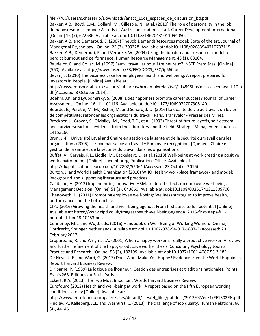file:///C:/Users/s.chasserio/Downloads/anact\_10qs\_espaces\_de\_discussion\_bd.pdf. Bakker, A.B., Boyd, C.M., Dollard, M., Gillespie, N., et al. (2010) The role of personality in the job demandsresources model: A study of Australian academic staff. Career Development International. [Online] 15 (7), 622636. Available at: doi:10.1108/13620431011094050. Bakker, A.B. and Demerouti, E. (2007) The Job DemandsResources model: State of the art. Journal of Managerial Psychology. [Online] 22 (3), 309328. Available at: doi:10.1108/02683940710733115.

Bakker, A.B., Demerouti, E. and Verbeke, W. (2004) Using the job demands-resources model to perdict burnout and performance. Human Resource Management. 43 (1), 83104.

Baudelot, C. and Gollac, M. (1997) Faut-il travailler pour être heureux? INSEE Premières. [Online] (560). Available at: http://www.insee.fr/FR/FFC/DOCS\_FFC/ip560.pdf.

Bevan, S. (2010) The business case for employees health and wellbeing. A report prepared for Investors in People. [Online] Available at:

http://www.mbsportal.bl.uk/secure/subjareas/hrmemplyrelat/twf/114598businesscaseeehealth10.p df (Accessed: 3 October 2014).

Boehm, J.K. and Lyubomirsky, S. (2008) Does happiness promote career success? Journal of Career Assessment. [Online] 16 (1), 101116. Available at: doi:10.1177/1069072707308140.

Bourdu, É., Péretié, M.-M., Richer, M. and Senard, J.-D. (2016) La qualité de vie au travail: un levier de compétitivité: refonder les organisations du travail. Paris, Transvalor - Presses des Mines.

Brockner, J., Grover, S., OMalley, M., Reed, T.F., et al. (1993) Threat of future layoffs, self-esteem, and survivorsreactions:evidence from the laboratory and the field. Strategic Management Journal. 14153166.

Brun, J.-P., Université Laval and Chaire en gestion de la santé et de la sécurité du travail dans les organisations (2005) La reconnaissance au travail = Employee recognition. [Québec], Chaire en gestion de la santé et de la sécurité du travail dans les organisations.

Buffet, A., Gervais, R.L., Liddle, M., Eeckelaert, L., et al. (2013) Well-being at work creating a positive work environment. [Online]. Luxembourg, Publications Office. Available at:

http://dx.publications.europa.eu/10.2802/52064 (Accessed: 23 October 2016).

Burton, J. and World Health Organization (2010) WHO Healthy workplace framework and model: Background and supporting literature and practices.

Cañibano, A. (2013) Implementing innovative HRM: trade-off effects on employee well-being. Management Decision. [Online] 51 (3), 643660. Available at: doi:10.1108/00251741311309706. Chenoweth, D. (2011) Promoting employee well-being: Wellness strategies to improve health, performance and the bottom line.

CIPD (2016) Growing the health and well-being agenda: From first steps to full potential [Online]. Available at: https://www.cipd.co.uk/Images/health-well-being-agenda\_2016-first-steps-fullpotential\_tcm18-10453.pdf.

Connerley, M.L. and Wu, J. eds. (2016) Handbook on Well-Being of Working Women. [Online]. Dordrecht, Springer Netherlands. Available at: doi:10.1007/978-94-017-9897-6 (Accessed: 20 February 2017).

Cropanzano, R. and Wright, T.A. (2001) When a happy worker is really a productive worker: A review and further refinement of the happy-productive worker thesis. Consulting Psychology Journal: Practice and Research. [Online] 53 (3), 182199. Available at: doi:10.1037/1061-4087.53.3.182.

De Neve, J.-E. and Ward, G. (2017) Does Work Make You Happy? Evidence from the World Happiness Report Harvard Business Review.

DIribarne, P. (1989) La logique de lhonneur. Gestion des entreprises et traditions nationales. Points Essais 268. Editions du Seuil. Paris.

Eckert, R.A. (2013) The Two Most Important Words Harvard Business Review.

Eurofound (2012) Health and well-being at work . A report based on the fifth European working conditions survey [Online]. Available at:

http://www.eurofound.europa.eu/sites/default/files/ef\_files/pubdocs/2013/02/en/1/EF1302EN.pdf. Findlay, P., Kalleberg, A.L. and Warhurst, C. (2013) The challenge of job quality. Human Relations. 66 (4), 441451.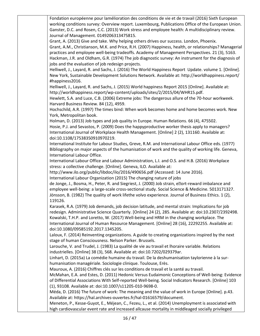Fondation européenne pour lamélioration des conditions de vie et de travail (2016) Sixth European working conditions survey: Overview report. Luxembourg, Publications Office of the European Union. Ganster, D.C. and Rosen, C.C. (2013) Work stress and employee health: A multidisciplinary review. Journal of Management. 0149206313475815.

Grant, A. (2013) Give and take. Why helping others drives our success. London, Phoenix. Grant, A.M., Christianson, M.K. and Price, R.H. (2007) Happiness, health, or relationships? Managerial practices and employee well-being tradeoffs. Academy of Management Perspectives. 21 (3), 5163. Hackman, J.R. and Oldham, G.R. (1974) The job diagnostic survey: An instrument for the diagnosis of jobs and the evaluation of job redesign projects.

Helliwell, J., Layard, R. and Sachs, J. (2016) The World Happiness Report Update. volume 1. [Online]. New York, Sustainable Development Solutions Network. Available at: http://worldhappiness.report/ #happiness2016.

Helliwell, J., Layard, R. and Sachs, J. (2015) World happiness Report 2015 [Online]. Available at: http://worldhappiness.report/wp-content/uploads/sites/2/2015/04/WHR15.pdf.

Hewlett, S.A. and Luce, C.B. (2006) Extreme jobs: The dangerous allure of the 70-hour workweek. Harvard Business Review. 84 (12), 4959.

Hochschild, A.R. (1997) The times bind: When work becomes home and home becomes work. New York, Metropolitan book.

Holman, D. (2013) Job types and job quality in Europe. Human Relations. 66 (4), 475502. Hosie, P.J. and Sevastos, P. (2009) Does the happyproductive worker thesis apply to managers? International Journal of Workplace Health Management. [Online] 2 (2), 131160. Available at: doi:10.1108/17538350910970219.

International Institute for Labour Studies, Greve, R.M. and International Labour Office eds. (1977) Bibliography on major aspects of the humanisation of work and the quality of working life. Geneva, International Labour Office.

International Labour Office and Labour Administration, L.I. and O.S. and H.B. (2016) Workplace stress: a collective challenge. [Online]. Geneva, ILO. Available at:

http://www.ilo.org/public/libdoc/ilo/2016/490656.pdf (Accessed: 14 June 2016).

International Labour Organization (2015) The changing nature of jobs

de Jonge, J., Bosma, H., Peter, R. and Siegriest, J. (2000) Job strain, e€ort-reward imbalance and employee well-being: a large-scale cross-sectional study. Social Science & Medicine. 5013171327. Jönsson, B. (1982) The quality of work lifethe volvo experience. Journal of Business Ethics. 1 (2), 119126.

Karasek, R.A. (1979) Job demands, job decision latitude, and mental strain: Implications for job redesign. Administrative Science Quarterly. [Online] 24 (2), 285. Available at: doi:10.2307/2392498. Kowalski, T.H.P. and Loretto, W. (2017) Well-being and HRM in the changing workplace. The International Journal of Human Resource Management. [Online] 28 (16), 22292255. Available at: doi:10.1080/09585192.2017.1345205.

Laloux, F. (2014) Reinventing organizations. A guide to creating organizations inspired by the next stage of human Consciousness. Nelson Parker. Brussels.

Larouche, V. and Trudel, J. (1983) La qualité de vie au travail et lhoraire variable. Relations industrielles. [Online] 38 (3), 568. Available at: doi:10.7202/029379ar.

Linhart, D. (2015a) La comédie humaine du travail. De la deshumanisation taylorienne à la surhumanisation managériale. Sociologie clinique. Toulouse, Erès.

Mauroux, A. (2016) Chiffres clés sur les conditions de travail et la santé au travail.

McMahan, E.A. and Estes, D. (2011) Hedonic Versus Eudaimonic Conceptions of Well-being: Evidence of Differential Associations With Self-reported Well-being. Social Indicators Research. [Online] 103 (1), 93108. Available at: doi:10.1007/s11205-010-9698-0.

Méda, D. (2016) The future of work: The meaning and the value of work in Europe [Online]. p.43. Available at: https://hal.archives-ouvertes.fr/hal-01616579/document.

Meneton, P., Kesse-Guyot, E., Méjean, C., Fezeu, L., et al. (2014) Unemployment is associated with high cardiovascular event rate and increased allcause mortality in middleaged socially privileged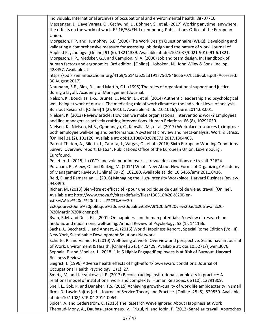individuals. International archives of occupational and environmental health. 88707716. Messenger, J., Llave Vargas, O., Gschwind, L., Böhmer, S., et al. (2017) Working anytime, anywhere: the effects on the world of work. EF 16/58/EN. Luxembourg, Publications Office of the European Union. Morgeson, F.P. and Humphrey, S.E. (2006) The Work Design Questionnaire (WDQ): Developing and validating a comprehensive measure for assessing job design and the nature of work. Journal of Applied Psychology. [Online] 91 (6), 13211339. Available at: doi:10.1037/0021-9010.91.6.1321. Morgeson, F.P., Medsker, G.J. and Campion, M.A. (2006) Job and team design. In: Handbook of human factors and ergonomics. 3rd edition. [Online]. Hoboken, NJ, John Wiley & Sons, Inc. pp. 428457. Available at: https://pdfs.semanticscholar.org/41b9/5b14fab2513191a75d7848cb6707bc186b0a.pdf (Accessed: 30 August 2017). Naumann, S.E., Bies, R.J. and Martin, C.L. (1995) The roles of organizational support and justice during a layoff. Academy of Management Journal. Nelson, K., Boudrias, J.-S., Brunet, L., Morin, D., et al. (2014) Authentic leadership and psychological well-being at work of nurses: The mediating role of work climate at the individual level of analysis. Burnout Research. [Online] 1 (2), 90101. Available at: doi:10.1016/j.burn.2014.08.001. Nielsen, K. (2013) Review article: How can we make organizational interventions work? Employees and line managers as actively crafting interventions. Human Relations. 66 (8), 10291050. Nielsen, K., Nielsen, M.B., Ogbonnaya, C., Känsälä, M., et al. (2017) Workplace resources to improve both employee well-being and performance: A systematic review and meta-analysis. Work & Stress. [Online] 31 (2), 101120. Available at: doi:10.1080/02678373.2017.1304463. Parent-Thirion, A., Biletta, I., Cabrita, J., Vargas, O., et al. (2016) Sixth European Working Conditions Survey Overview report. EF1634. Publications Office of the European Union, Luxembourg., Eurofound. Pelletier, J. (2015) La QVT: une voie pour innover. La revue des conditions de travail. 31624. Puranam, P., Alexy, O. and Reitzig, M. (2014) Whats New About New Forms of Organizing? Academy of Management Review. [Online] 39 (2), 162180. Available at: doi:10.5465/amr.2011.0436. Reid, E. and Ramarajan, L. (2016) Managing the High-Intensity Workplace. Harvard Business Review. 948490. Richer, M. (2013) Bien-être et efficacité - pour une politique de qualité de vie au travail [Online]. Available at: http://www.tnova.fr/sites/default/files/130318%20-%20Bien- %C3%AAtre%20et%20efficacit%C3%A9%20- %20pour%20une%20politique%20de%20qualit%C3%A9%20de%20vie%20au%20travail%20- %20Martin%20Richer.pdf. Ryan, R.M. and Deci, E.L. (2001) On happiness and human potentials: A review of research on hedonic and eudaimonic well-being. Annual Review of Psychology. 52 (1), 141166. Sachs, J., Becchetti, L. and Annett, A. (2016) World Happiness Report , Special Rome Edition (Vol. II). New York, Sustainable Development Solutions Network. Schulte, P. and Vainio, H. (2010) Well-being at work: Overview and perspective. Scandinavian Journal of Work, Environment & Health. [Online] 36 (5), 422429. Available at: doi:10.5271/sjweh.3076. Seppala, E. and Moeller, J. (2018) 1 in 5 Highly EngagedEmployees Is at Risk of Burnout. Harvard Business Review. Siegrist, J. (1996) Adverse health effects of high-effort/low-reward conditions. Journal of Occupational Health Psychology. 1 (1), 27. Smets, M. and Jarzabkowski, P. (2013) Reconstructing institutional complexity in practice: A relational model of institutional work and complexity. Human Relations. 66 (10), 12791309. Snell, L., Sok, P. and Danaher, T.S. (2015) Achieving growth-quality of work life ambidexterity in small firms Dr Laszlo Sajtos (ed.). Journal of Service Theory and Practice. [Online] 25 (5), 529550. Available at: doi:10.1108/JSTP-04-2014-0064. Spicer, A. and Cederström, C. (2015) The Research Weve Ignored About Happiness at Work Thebaud-Mony, A., Daubas-Letourneux, V., Frigul, N. and Jobin, P. (2012) Santé au travail. Approches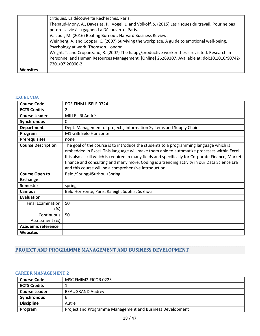| <b>Websites</b> |                                                                                                                   |
|-----------------|-------------------------------------------------------------------------------------------------------------------|
|                 | Personnel and Human Resources Management. [Online] 26269307. Available at: doi:10.1016/S0742-<br>7301(07)26006-2. |
|                 | Wright, T. and Cropanzano, R. (2007) The happy/productive worker thesis revisited. Research in                    |
|                 | Psychology at work. Thomson. London.                                                                              |
|                 | Weinberg, A. and Cooper, C. (2007) Surviving the workplace. A guide to emotional well-being.                      |
|                 | Valcour, M. (2016) Beating Burnout. Harvard Business Review.                                                      |
|                 | perdre sa vie à la gagner. La Découverte. Paris.                                                                  |
|                 | Thebaud-Mony, A., Davezies, P., Vogel, L. and Volkoff, S. (2015) Les risques du travail. Pour ne pas              |
|                 | critiques. La découverte Recherches. Paris.                                                                       |

## <span id="page-17-0"></span>**EXCEL VBA**

| <b>Course Code</b>        | PGE.FINM1.ISELE.0724                                                                                                                                                                                                                                                                                                                                                                                                                               |
|---------------------------|----------------------------------------------------------------------------------------------------------------------------------------------------------------------------------------------------------------------------------------------------------------------------------------------------------------------------------------------------------------------------------------------------------------------------------------------------|
| <b>ECTS Credits</b>       | $\mathcal{P}$                                                                                                                                                                                                                                                                                                                                                                                                                                      |
| <b>Course Leader</b>      | MILLELIRI André                                                                                                                                                                                                                                                                                                                                                                                                                                    |
| <b>Synchronous</b>        | 0                                                                                                                                                                                                                                                                                                                                                                                                                                                  |
| <b>Department</b>         | Dept. Management of projects, Information Systems and Supply Chains                                                                                                                                                                                                                                                                                                                                                                                |
| Program                   | M1 GBE Belo Horizonte                                                                                                                                                                                                                                                                                                                                                                                                                              |
| <b>Prerequisites</b>      | none                                                                                                                                                                                                                                                                                                                                                                                                                                               |
| <b>Course Description</b> | The goal of the course is to introduce the students to a programming language which is<br>embedded in Excel. This language will make them able to automatize processes within Excel.<br>It is also a skill which is required in many fields and specifically for Corporate Finance, Market<br>finance and consulting and many more. Coding is a trending activity in our Data Science Era<br>and this course will be a comprehensive introduction. |
| <b>Course Open to</b>     | Belo /Spring;#Suzhou /Spring                                                                                                                                                                                                                                                                                                                                                                                                                       |
| <b>Exchange</b>           |                                                                                                                                                                                                                                                                                                                                                                                                                                                    |
| Semester                  | spring                                                                                                                                                                                                                                                                                                                                                                                                                                             |
| <b>Campus</b>             | Belo Horizonte, Paris, Raleigh, Sophia, Suzhou                                                                                                                                                                                                                                                                                                                                                                                                     |
| <b>Evaluation</b>         |                                                                                                                                                                                                                                                                                                                                                                                                                                                    |
| <b>Final Examination</b>  | 50                                                                                                                                                                                                                                                                                                                                                                                                                                                 |
| (%)                       |                                                                                                                                                                                                                                                                                                                                                                                                                                                    |
| Continuous                | 50                                                                                                                                                                                                                                                                                                                                                                                                                                                 |
| Assessment (%)            |                                                                                                                                                                                                                                                                                                                                                                                                                                                    |
| <b>Academic reference</b> |                                                                                                                                                                                                                                                                                                                                                                                                                                                    |
| <b>Websites</b>           |                                                                                                                                                                                                                                                                                                                                                                                                                                                    |

# <span id="page-17-1"></span>**PROJECT AND PROGRAMME MANAGEMENT AND BUSINESS DEVELOPMENT**

#### <span id="page-17-2"></span>**CAREER MANAGEMENT 2**

| <b>Course Code</b>   | MSC.FMIM2.FICOR.0223                                      |
|----------------------|-----------------------------------------------------------|
| <b>ECTS Credits</b>  |                                                           |
| <b>Course Leader</b> | <b>BEAUGRAND Audrey</b>                                   |
| <b>Synchronous</b>   | b                                                         |
| <b>Discipline</b>    | Autre                                                     |
| Program              | Project and Programme Management and Business Development |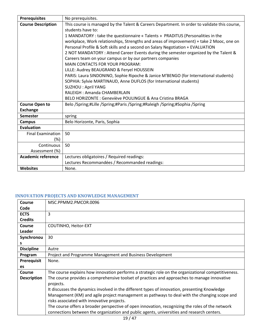| <b>Prerequisites</b>      | No prerequisites.                                                                            |
|---------------------------|----------------------------------------------------------------------------------------------|
| <b>Course Description</b> | This course is managed by the Talent & Careers Department. In order to validate this course, |
|                           | students have to:                                                                            |
|                           | 1 MANDATORY : take the questionnaire « Talents » PRADITUS (Personalities in the              |
|                           | workplace, Work relationships, Strengths and areas of improvement) + take 2 Mooc, one on     |
|                           | Personal Profile & Soft skills and a second on Salary Negotiation + EVALUATION               |
|                           | 2 NOT MANDATORY : Attend Career Events during the semester organized by the Talent &         |
|                           | Careers team on your campus or by our partners companies                                     |
|                           | <b>MAIN CONTACTS FOR YOUR PROGRAM:</b>                                                       |
|                           | LILLE: Audrey BEAUGRAND & Feryel HOUSSEIN                                                    |
|                           | PARIS: Laura SINDONINO, Sophie Ripoche & Janice M'BENGO (for International students)         |
|                           | SOPHIA: Sylvie MARTINAUD, Anne DUFLOS (for International students)                           |
|                           | <b>SUZHOU: April YANG</b>                                                                    |
|                           | RALEIGH: Amanda CHAMBERLAIN                                                                  |
|                           | BELO HORIZONTE : Geneviève POULINGUE & Ana Cristina BRAGA                                    |
| <b>Course Open to</b>     | Belo /Spring;#Lille /Spring;#Paris /Spring;#Raleigh /Spring;#Sophia /Spring                  |
| <b>Exchange</b>           |                                                                                              |
| <b>Semester</b>           | spring                                                                                       |
| <b>Campus</b>             | Belo Horizonte, Paris, Sophia                                                                |
| <b>Evaluation</b>         |                                                                                              |
| <b>Final Examination</b>  | 50                                                                                           |
| $(\%)$                    |                                                                                              |
| Continuous                | 50                                                                                           |
| Assessment (%)            |                                                                                              |
| <b>Academic reference</b> | Lectures obligatoires / Required readings:                                                   |
|                           | Lectures Recommandées / Recommanded readings:                                                |
| <b>Websites</b>           | None.                                                                                        |

# <span id="page-18-0"></span>**INNOVATION PROJECTS AND KNOWLEDGE MANAGEMENT**

| Course             | MSC.PPMM2.PMCOR.0096                                                                                |
|--------------------|-----------------------------------------------------------------------------------------------------|
| Code               |                                                                                                     |
| <b>ECTS</b>        | 3                                                                                                   |
| <b>Credits</b>     |                                                                                                     |
| Course             | COUTINHO, Heitor-EXT                                                                                |
| <b>Leader</b>      |                                                                                                     |
| Synchronou         | 30                                                                                                  |
| s                  |                                                                                                     |
| <b>Discipline</b>  | Autre                                                                                               |
| Program            | Project and Programme Management and Business Development                                           |
| <b>Prerequisit</b> | None.                                                                                               |
| es                 |                                                                                                     |
| Course             | The course explains how innovation performs a strategic role on the organizational competitiveness. |
| <b>Description</b> | The course provides a comprehensive toolset of practices and approaches to manage innovative        |
|                    | projects.                                                                                           |
|                    | It discusses the dynamics involved in the different types of innovation, presenting Knowledge       |
|                    | Management (KM) and agile project management as pathways to deal with the changing scope and        |
|                    | risks associated with innovative projects.                                                          |
|                    | The course offers a broader perspective of open innovation, recognizing the roles of the network    |
|                    | connections between the organization and public agents, universities and research centers.          |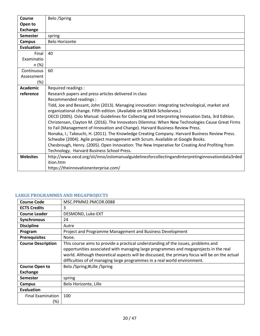| Course            | Belo /Spring                                                                                       |
|-------------------|----------------------------------------------------------------------------------------------------|
| Open to           |                                                                                                    |
| <b>Exchange</b>   |                                                                                                    |
| <b>Semester</b>   | spring                                                                                             |
| <b>Campus</b>     | <b>Belo Horizonte</b>                                                                              |
| <b>Evaluation</b> |                                                                                                    |
| Final             | 40                                                                                                 |
| Examinatio        |                                                                                                    |
| n (%)             |                                                                                                    |
| Continuous        | 60                                                                                                 |
| Assessment        |                                                                                                    |
| $(\%)$            |                                                                                                    |
| <b>Academic</b>   | Required readings :                                                                                |
| reference         | Research papers and press articles delivered in class                                              |
|                   | Recommended readings :                                                                             |
|                   | Tidd, Joe and Bessant, John (2013). Managing innovation: integrating technological, market and     |
|                   | organizational change. Fifth edition. (Available on SKEMA Scholarvox.)                             |
|                   | OECD (2005). Oslo Manual: Guidelines for Collecting and Interpreting Innovation Data, 3rd Edition. |
|                   | Christensen, Clayton M. (2016). The Innovators Dilemma: When New Technologies Cause Great Firms    |
|                   | to Fail (Management of Innovation and Change). Harvard Business Review Press.                      |
|                   | Nonaka, I.; Takeuchi, H. (2011). The Knowledge Creating Company. Harvard Business Review Press.    |
|                   | Schwabe (2004). Agile project management with Scrum. Available at Google Books.                    |
|                   | Chesbrough, Henry. (2005). Open Innovation: The New Imperative for Creating And Profiting from     |
|                   | Technology. Harvard Business School Press.                                                         |
| <b>Websites</b>   | http://www.oecd.org/sti/inno/oslomanualguidelinesforcollectingandinterpretinginnovationdata3rded   |
|                   | ition.htm                                                                                          |
|                   | https://theinnovationenterprise.com/                                                               |

# <span id="page-19-0"></span>**LARGE PROGRAMMES AND MEGAPROJECTS**

| <b>Course Code</b>        | MSC.PPMM2.PMCOR.0088                                                                           |
|---------------------------|------------------------------------------------------------------------------------------------|
| <b>ECTS Credits</b>       | 3                                                                                              |
| <b>Course Leader</b>      | DESMOND, Luke-EXT                                                                              |
| Synchronous               | 24                                                                                             |
| <b>Discipline</b>         | Autre                                                                                          |
| Program                   | Project and Programme Management and Business Development                                      |
| <b>Prerequisites</b>      | None.                                                                                          |
| <b>Course Description</b> | This course aims to provide a practical understanding of the issues, problems and              |
|                           | opportunities associated with managing large programmes and megaprojects in the real           |
|                           | world. Although theoretical aspects will be discussed, the primary focus will be on the actual |
|                           | difficulties of of managing large programmes in a real world environment.                      |
| <b>Course Open to</b>     | Belo /Spring;#Lille /Spring                                                                    |
| <b>Exchange</b>           |                                                                                                |
| Semester                  | spring                                                                                         |
| Campus                    | Belo Horizonte, Lille                                                                          |
| Evaluation                |                                                                                                |
| <b>Final Examination</b>  | 100                                                                                            |
| (%)                       |                                                                                                |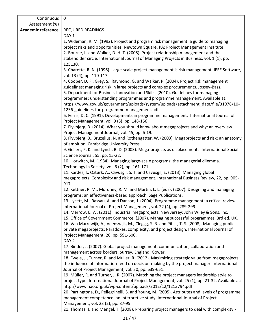| Continuous                | $\mathbf 0$                                                                                                                                                                                                                                                                                                                                                   |
|---------------------------|---------------------------------------------------------------------------------------------------------------------------------------------------------------------------------------------------------------------------------------------------------------------------------------------------------------------------------------------------------------|
| Assessment (%)            |                                                                                                                                                                                                                                                                                                                                                               |
| <b>Academic reference</b> | <b>REQUIRED READINGS</b>                                                                                                                                                                                                                                                                                                                                      |
|                           | DAY <sub>1</sub>                                                                                                                                                                                                                                                                                                                                              |
|                           | 1. Wideman, R. M. (1992). Project and program risk management: a guide to managing<br>project risks and opportunities. Newtown Square, PA: Project Management Institute.<br>2. Bourne, L. and Walker, D. H. T. (2008). Project relationship management and the<br>stakeholder circle. International Journal of Managing Projects in Business, vol. 1 (1), pp. |
|                           | 125130.                                                                                                                                                                                                                                                                                                                                                       |
|                           | 3. Charette, R. N. (1996). Large-scale project management is risk management. IEEE Software,<br>vol. 13 (4), pp. 110-117.                                                                                                                                                                                                                                     |
|                           | 4. Cooper, D. F., Grey, S., Raymond, G. and Walker, P. (2004). Project risk management                                                                                                                                                                                                                                                                        |
|                           | guidelines: managing risk in large projects and complex procurements. Jossey-Bass.<br>5. Department for Business Innovation and Skills. (2010). Guidelines for managing                                                                                                                                                                                       |
|                           | programmes: understanding programmes and programme management. Available at:<br>https://www.gov.uk/government/uploads/system/uploads/attachment_data/file/31978/10-                                                                                                                                                                                           |
|                           | 1256-guidelines-for-programme-management.pdf<br>6. Ferns, D. C. (1991). Developments in programme management. International Journal of                                                                                                                                                                                                                        |
|                           | Project Management, vol. 9 (3), pp. 148-156.<br>7. Flyvbjerg, B. (2014). What you should know about megaprojects and why: an overview.                                                                                                                                                                                                                        |
|                           | Project Management Journal, vol. 45, pp. 6-19.<br>8. Flyvbjerg, B., Bruzelius, N. and Rothengatter, W. (2003). Megaprojects and risk: an anatomy                                                                                                                                                                                                              |
|                           | of ambition. Cambridge University Press.<br>9. Gellert, P. K. and Lynch, B. D. (2003). Mega-projects as displacements. International Social                                                                                                                                                                                                                   |
|                           | Science Journal, 55, pp. 15-22.                                                                                                                                                                                                                                                                                                                               |
|                           | 10. Horwitch, M. (1984). Managing large-scale programs: the managerial dilemma.<br>Technology in Society, vol. 6 (2), pp. 161-171.                                                                                                                                                                                                                            |
|                           | 11. Kardes, I., Ozturk, A., Cavusgil, S. T. and Cavusgil, E. (2013). Managing global                                                                                                                                                                                                                                                                          |
|                           | megaprojects: Complexity and risk management. International Business Review, 22, pp. 905-<br>917.                                                                                                                                                                                                                                                             |
|                           | 12. Kettner, P. M., Moroney, R. M. and Martin, L. L. (eds). (2007). Designing and managing<br>programs: an effectiveness-based approach. Sage Publications.                                                                                                                                                                                                   |
|                           | 13. Lycett, M., Rassau, A. and Danson, J. (2004). Programme management: a critical review.<br>International Journal of Project Management, vol. 22 (4), pp. 289-299.                                                                                                                                                                                          |
|                           | 14. Merrow, E. W. (2011). Industrial megaprojects. New Jersey: John Wiley & Sons, Inc.                                                                                                                                                                                                                                                                        |
|                           | 15. Office of Government Commerce. (2007). Managing successful programmes. 3rd ed. UK.<br>16. Van Marrewijk, A., Veenswijk, M., Cleggg, S. R. and Pitsis, T. S. (2008). Managing public-                                                                                                                                                                      |
|                           | private megaprojects: Paradoxes, complexity, and project design. International Journal of                                                                                                                                                                                                                                                                     |
|                           | Project Management, 26, pp. 591-600.<br>DAY <sub>2</sub>                                                                                                                                                                                                                                                                                                      |
|                           | 17. Binder, J. (2007). Global project management: communication, collaboration and                                                                                                                                                                                                                                                                            |
|                           | management across borders. Surrey, England: Gower.                                                                                                                                                                                                                                                                                                            |
|                           | 18. Eweje, J., Turner, R. and Muller, R. (2012). Maximizing strategic value from megaprojects:<br>the influence of information-feed on decision-making by the project manager. International                                                                                                                                                                  |
|                           | Journal of Project Management, vol. 30, pp. 639-651.                                                                                                                                                                                                                                                                                                          |
|                           | 19. Müller, R. and Turner, J. R. (2007). Matching the project managers leadership style to<br>project type. International Journal of Project Management, vol. 25 (1), pp. 21-32. Available at:                                                                                                                                                                |
|                           | http://www.nao.org.uk/wp-content/uploads/2012/12/1213794.pdf                                                                                                                                                                                                                                                                                                  |
|                           | 20. Partingtona, D., Pellegrinelli, S. and Young, M. (2005). Attributes and levels of programme<br>management competence: an interpretive study. International Journal of Project                                                                                                                                                                             |
|                           | Management, vol. 23 (2), pp. 87-95.<br>21. Thomas, J. and Mengel, T. (2008). Preparing project managers to deal with complexity -                                                                                                                                                                                                                             |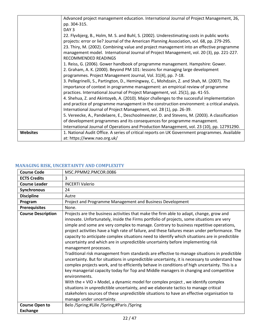|                 | at: https://www.nao.org.uk/                                                                                                                                                                 |
|-----------------|---------------------------------------------------------------------------------------------------------------------------------------------------------------------------------------------|
| <b>Websites</b> | International Journal of Operations and Production Management, vol. 23 (10), pp. 12791290.<br>1. National Audit Office. A series of critical reports on UK Government programmes. Available |
|                 | of development programmes and its consequences for programme management.                                                                                                                    |
|                 | 5. Vereecke, A., Pandelaere, E., Deschoolmeester, D. and Stevens, M. (2003). A classification                                                                                               |
|                 | International Journal of Project Management, vol. 28 (1), pp. 26-39.                                                                                                                        |
|                 | and practice of programme management in the construction environment: a critical analysis.                                                                                                  |
|                 | 4. Shehua, Z. and Akintoyeb, A. (2010). Major challenges to the successful implementation                                                                                                   |
|                 | practices. International Journal of Project Management, vol. 25(1), pp. 41-55.                                                                                                              |
|                 | importance of context in programme management: an empirical review of programme                                                                                                             |
|                 | 3. Pellegrinelli, S., Partington, D., Hemingway, C., Mohdzain, Z. and Shah, M. (2007). The                                                                                                  |
|                 | programmes. Project Management Journal, Vol. 31(4), pp. 7-18.                                                                                                                               |
|                 | 2. Graham, A. K. (2000). Beyond PM 101: lessons for managing large development                                                                                                              |
|                 | 1. Reiss, G. (2006). Gower handbook of programme management. Hampshire: Gower.                                                                                                              |
|                 | RECOMMENDED READINGS                                                                                                                                                                        |
|                 | management model. International Journal of Project Management, vol. 20 (3), pp. 221-227.                                                                                                    |
|                 | projects: error or lie? Journal of the American Planning Association, vol. 68, pp. 279-295.<br>23. Thiry, M. (2002). Combining value and project management into an effective programme     |
|                 | 22. Flyvbjerg, B., Holm, M. S. and Buhl, S. (2002). Underestimating costs in public works                                                                                                   |
|                 | DAY <sub>3</sub>                                                                                                                                                                            |
|                 | pp. 304-315.                                                                                                                                                                                |
|                 | Advanced project management education. International Journal of Project Management, 26,                                                                                                     |

| <b>Course Code</b>        | MSC.PPMM2.PMCOR.0086                                                                                                                                                                                                                                                                                                                                                                                                                                                                                                                                                                                                                                                                                                                                                                                                                                                                                                                                                                                                                                                                                                                                                                                                                                                                                                 |
|---------------------------|----------------------------------------------------------------------------------------------------------------------------------------------------------------------------------------------------------------------------------------------------------------------------------------------------------------------------------------------------------------------------------------------------------------------------------------------------------------------------------------------------------------------------------------------------------------------------------------------------------------------------------------------------------------------------------------------------------------------------------------------------------------------------------------------------------------------------------------------------------------------------------------------------------------------------------------------------------------------------------------------------------------------------------------------------------------------------------------------------------------------------------------------------------------------------------------------------------------------------------------------------------------------------------------------------------------------|
| <b>ECTS Credits</b>       | 3                                                                                                                                                                                                                                                                                                                                                                                                                                                                                                                                                                                                                                                                                                                                                                                                                                                                                                                                                                                                                                                                                                                                                                                                                                                                                                                    |
| <b>Course Leader</b>      | <b>INCERTI Valerio</b>                                                                                                                                                                                                                                                                                                                                                                                                                                                                                                                                                                                                                                                                                                                                                                                                                                                                                                                                                                                                                                                                                                                                                                                                                                                                                               |
| Synchronous               | 24                                                                                                                                                                                                                                                                                                                                                                                                                                                                                                                                                                                                                                                                                                                                                                                                                                                                                                                                                                                                                                                                                                                                                                                                                                                                                                                   |
| <b>Discipline</b>         | Autre                                                                                                                                                                                                                                                                                                                                                                                                                                                                                                                                                                                                                                                                                                                                                                                                                                                                                                                                                                                                                                                                                                                                                                                                                                                                                                                |
| Program                   | Project and Programme Management and Business Development                                                                                                                                                                                                                                                                                                                                                                                                                                                                                                                                                                                                                                                                                                                                                                                                                                                                                                                                                                                                                                                                                                                                                                                                                                                            |
| <b>Prerequisites</b>      | None.                                                                                                                                                                                                                                                                                                                                                                                                                                                                                                                                                                                                                                                                                                                                                                                                                                                                                                                                                                                                                                                                                                                                                                                                                                                                                                                |
| <b>Course Description</b> | Projects are the business activities that make the firm able to adapt, change, grow and<br>innovate. Unfortunately, inside the Firms portfolio of projects, some situations are very<br>simple and some are very complex to manage. Contrary to business repetitive operations,<br>project activities have a high rate of failure, and these failures mean under performance. The<br>capacity to anticipate complex situations need to identify which situations are in predictible<br>uncertainty and which are in unpredictible uncertainty before implementing risk<br>management processes.<br>Traditional risk management from standards are effective to manage situations in predictible<br>uncertainty. But for situations in unpredictible uncertainty, it is necessary to understand how<br>complex projects work, and to efficiently behave in conditions of high uncertainty. This is a<br>key managerial capacity today for Top and Middle managers in changing and competitive<br>environments.<br>With the « VIO » Model, a dynamic model for complex project, we identify complex<br>situations in unpredictible uncertainty, and we elaborate tactics to manage critical<br>stakeholers sources of these unpredictible situations to have an effective organisation to<br>manage under uncertainty. |
| <b>Course Open to</b>     | Belo /Spring;#Lille /Spring;#Paris /Spring                                                                                                                                                                                                                                                                                                                                                                                                                                                                                                                                                                                                                                                                                                                                                                                                                                                                                                                                                                                                                                                                                                                                                                                                                                                                           |
| <b>Exchange</b>           |                                                                                                                                                                                                                                                                                                                                                                                                                                                                                                                                                                                                                                                                                                                                                                                                                                                                                                                                                                                                                                                                                                                                                                                                                                                                                                                      |

# <span id="page-21-0"></span>**MANAGING RISK, UNCERTAINTY AND COMPLEXITY**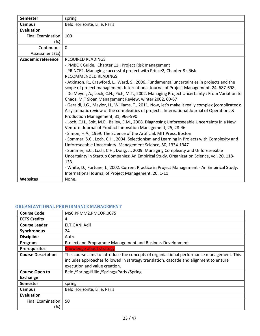| <b>Semester</b>           | spring                                                                                            |
|---------------------------|---------------------------------------------------------------------------------------------------|
| <b>Campus</b>             | Belo Horizonte, Lille, Paris                                                                      |
| <b>Evaluation</b>         |                                                                                                   |
| <b>Final Examination</b>  | 100                                                                                               |
| (%)                       |                                                                                                   |
| Continuous                | $\mathbf 0$                                                                                       |
| Assessment (%)            |                                                                                                   |
| <b>Academic reference</b> | <b>REQUIRED READINGS</b>                                                                          |
|                           | - PMBOK Guide, Chapter 11 : Project Risk management                                               |
|                           | - PRINCE2, Managing successful project with Prince2, Chapter 8 : Risk                             |
|                           | RECOMMENDED READINGS                                                                              |
|                           | - Atkinson, R., Crawford, L., Ward, S., 2006. Fundamental uncertainties in projects and the       |
|                           | scope of project management. International Journal of Project Management, 24, 687-698.            |
|                           | - De Meyer, A., Loch, C.H., Pich, M.T., 2002. Managing Project Uncertainty: From Variation to     |
|                           | Chaos. MIT Sloan Management Review, winter 2002, 60-67                                            |
|                           | - Geraldi, J.G., Maylor, H., Williams, T., 2011. Now, let's make it really complex (complicated): |
|                           | A systematic review of the complexities of projects. International Journal of Operations &        |
|                           | Production Management, 31, 966-990                                                                |
|                           | - Loch, C.H., Solt, M.E., Bailey, E.M., 2008. Diagnosing Unforeseeable Uncertainty in a New       |
|                           | Venture. Journal of Product Innovation Management, 25, 28-46.                                     |
|                           | - Simon, H.A., 1969. The Science of the Artificial. MIT Press, Boston                             |
|                           | - Sommer, S.C., Loch, C.H., 2004. Selectionism and Learning in Projects with Complexity and       |
|                           | Unforeseeable Uncertainty. Management Science, 50, 1334-1347                                      |
|                           | - Sommer, S.C., Loch, C.H., Dong, J., 2009. Managing Complexity and Unforeseeable                 |
|                           | Uncertainty in Startup Companies: An Empirical Study. Organization Science, vol. 20, 118-         |
|                           | 133.                                                                                              |
|                           | - White, D., Fortune, J., 2002. Current Practice in Project Management - An Empirical Study.      |
|                           | International Journal of Project Management, 20, 1-11                                             |
| <b>Websites</b>           | None.                                                                                             |

# <span id="page-22-0"></span>**ORGANIZATIONAL PERFORMANCE MANAGEMENT**

| <b>Course Code</b>        | MSC.PPMM2.PMCOR.0075                                                                                                                                                                                                |
|---------------------------|---------------------------------------------------------------------------------------------------------------------------------------------------------------------------------------------------------------------|
| <b>ECTS Credits</b>       | 4                                                                                                                                                                                                                   |
| <b>Course Leader</b>      | ELTIGANI Adil                                                                                                                                                                                                       |
| Synchronous               | 24                                                                                                                                                                                                                  |
| <b>Discipline</b>         | Autre                                                                                                                                                                                                               |
| Program                   | Project and Programme Management and Business Development                                                                                                                                                           |
| <b>Prerequisites</b>      | Knowledge about strategy                                                                                                                                                                                            |
| <b>Course Description</b> | This course aims to introduce the concepts of organiastional performance management. This<br>includes approaches followed in strategy translation, cascade and alignment to ensure<br>execution and value creation. |
| <b>Course Open to</b>     | Belo /Spring;#Lille /Spring;#Paris /Spring                                                                                                                                                                          |
| <b>Exchange</b>           |                                                                                                                                                                                                                     |
| <b>Semester</b>           | spring                                                                                                                                                                                                              |
| Campus                    | Belo Horizonte, Lille, Paris                                                                                                                                                                                        |
| Evaluation                |                                                                                                                                                                                                                     |
| <b>Final Examination</b>  | 50                                                                                                                                                                                                                  |
| (%)                       |                                                                                                                                                                                                                     |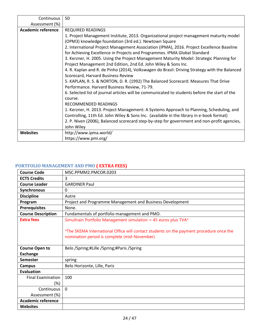| Continuous                | 50                                                                                                                                                                                                                                                                                                                                                                                                                                                                                                                                                                                                                                                                                                                                                                                                                                                                                 |
|---------------------------|------------------------------------------------------------------------------------------------------------------------------------------------------------------------------------------------------------------------------------------------------------------------------------------------------------------------------------------------------------------------------------------------------------------------------------------------------------------------------------------------------------------------------------------------------------------------------------------------------------------------------------------------------------------------------------------------------------------------------------------------------------------------------------------------------------------------------------------------------------------------------------|
| Assessment (%)            |                                                                                                                                                                                                                                                                                                                                                                                                                                                                                                                                                                                                                                                                                                                                                                                                                                                                                    |
| <b>Academic reference</b> | <b>REQUIRED READINGS</b>                                                                                                                                                                                                                                                                                                                                                                                                                                                                                                                                                                                                                                                                                                                                                                                                                                                           |
|                           | 1. Project Management Institute, 2013. Organizational project management maturity model<br>(OPM3) knowledge foundation (3rd ed.). Newtown Square<br>2. International Project Management Association (IPMA), 2016. Project Excellence Baseline<br>for Achieving Excellence in Projects and Programmes. IPMA Global Standard<br>3. Kerzner, H. 2005. Using the Project Management Maturity Model: Strategic Planning for<br>Project Management 2nd Edition, 2nd Ed. John Wiley & Sons Inc.<br>4. R. Kaplan and R. de Pinho (2014), Volkswagen do Brasil: Driving Strategy with the Balanced<br>Scorecard, Harvard Business Review<br>5. KAPLAN, R. S. & NORTON, D. R. (1992) The Balanced Scorecard: Measures That Drive<br>Performance. Harvard Business Review, 71-79.<br>6. Selected list of journal articles will be communicated to students before the start of the<br>course. |
|                           | RECOMMENDED READINGS<br>1. Kerzner, H. 2013. Project Management: A Systems Approach to Planning, Scheduling, and<br>Controlling, 11th Ed. John Wiley & Sons Inc. (available in the library in e-book format)<br>2. P. Niven (2006), Balanced scorecard step-by-step for government and non-profit agencies,                                                                                                                                                                                                                                                                                                                                                                                                                                                                                                                                                                        |
| <b>Websites</b>           | John Wiley<br>http://www.ipma.world/                                                                                                                                                                                                                                                                                                                                                                                                                                                                                                                                                                                                                                                                                                                                                                                                                                               |
|                           | https://www.pmi.org/                                                                                                                                                                                                                                                                                                                                                                                                                                                                                                                                                                                                                                                                                                                                                                                                                                                               |

# <span id="page-23-0"></span>**PORTFOLIO MANAGEMENT AND PMO ( EXTRA FEES)**

| <b>Course Code</b>        | MSC.PPMM2.PMCOR.0203                                                                                                                     |
|---------------------------|------------------------------------------------------------------------------------------------------------------------------------------|
| <b>ECTS Credits</b>       | 3                                                                                                                                        |
| <b>Course Leader</b>      | <b>GARDINER Paul</b>                                                                                                                     |
| Synchronous               | 0                                                                                                                                        |
| <b>Discipline</b>         | Autre                                                                                                                                    |
| Program                   | Project and Programme Management and Business Development                                                                                |
| <b>Prerequisites</b>      | None.                                                                                                                                    |
| <b>Course Description</b> | Fundamentals of portfolio management and PMO.                                                                                            |
| <b>Extra fees</b>         | Simultrain Portfolio Management simulation = 45 euros plus TVA*                                                                          |
|                           | *The SKEMA International Office will contact students on the payment procedure once the<br>nomination period is complete (mid-November). |
| <b>Course Open to</b>     | Belo /Spring;#Lille /Spring;#Paris /Spring                                                                                               |
| <b>Exchange</b>           |                                                                                                                                          |
| Semester                  | spring                                                                                                                                   |
| <b>Campus</b>             | Belo Horizonte, Lille, Paris                                                                                                             |
| <b>Evaluation</b>         |                                                                                                                                          |
| <b>Final Examination</b>  | 100                                                                                                                                      |
| (%)                       |                                                                                                                                          |
| Continuous                | $\Omega$                                                                                                                                 |
| Assessment (%)            |                                                                                                                                          |
| <b>Academic reference</b> |                                                                                                                                          |
| Websites                  |                                                                                                                                          |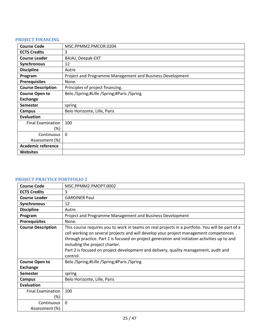## <span id="page-24-0"></span>**PROJECT FINANCING**

| <b>Course Code</b>        | MSC.PPMM2.PMCOR.0204                                      |
|---------------------------|-----------------------------------------------------------|
| <b>ECTS Credits</b>       | 3                                                         |
| <b>Course Leader</b>      | BAJAJ, Deepak-EXT                                         |
| Synchronous               | 12                                                        |
| <b>Discipline</b>         | Autre                                                     |
| Program                   | Project and Programme Management and Business Development |
| <b>Prerequisites</b>      | None.                                                     |
| <b>Course Description</b> | Principles of project financing.                          |
| <b>Course Open to</b>     | Belo /Spring;#Lille /Spring;#Paris /Spring                |
| <b>Exchange</b>           |                                                           |
| <b>Semester</b>           | spring                                                    |
| Campus                    | Belo Horizonte, Lille, Paris                              |
| <b>Evaluation</b>         |                                                           |
| <b>Final Examination</b>  | 100                                                       |
| $(\%)$                    |                                                           |
| Continuous                | $\mathbf{0}$                                              |
| Assessment (%)            |                                                           |
| <b>Academic reference</b> |                                                           |
| <b>Websites</b>           |                                                           |

# <span id="page-24-1"></span>**PROJECT PRACTICE PORTFOLIO 2**

| <b>Course Code</b>        | MSC.PPMM2.PMOPT.0002                                                                                                                                                                                                                                                                                                                                                                                                             |
|---------------------------|----------------------------------------------------------------------------------------------------------------------------------------------------------------------------------------------------------------------------------------------------------------------------------------------------------------------------------------------------------------------------------------------------------------------------------|
| <b>ECTS Credits</b>       | 3                                                                                                                                                                                                                                                                                                                                                                                                                                |
| <b>Course Leader</b>      | <b>GARDINER Paul</b>                                                                                                                                                                                                                                                                                                                                                                                                             |
| <b>Synchronous</b>        | 12                                                                                                                                                                                                                                                                                                                                                                                                                               |
| <b>Discipline</b>         | Autre                                                                                                                                                                                                                                                                                                                                                                                                                            |
| Program                   | Project and Programme Management and Business Development                                                                                                                                                                                                                                                                                                                                                                        |
| <b>Prerequisites</b>      | None.                                                                                                                                                                                                                                                                                                                                                                                                                            |
| <b>Course Description</b> | This course requires you to work in teams on real projects in a portfolio. You will be part of a<br>cell working on several projects and will develop your project management competences<br>through practice. Part 1 is focused on project generation and initiation activities up to and<br>including the project charter.<br>Part 2 is focused on project development and delivery, quality management, audit and<br>control. |
| <b>Course Open to</b>     | Belo /Spring;#Lille /Spring;#Paris /Spring                                                                                                                                                                                                                                                                                                                                                                                       |
| <b>Exchange</b>           |                                                                                                                                                                                                                                                                                                                                                                                                                                  |
| <b>Semester</b>           | spring                                                                                                                                                                                                                                                                                                                                                                                                                           |
| Campus                    | Belo Horizonte, Lille, Paris                                                                                                                                                                                                                                                                                                                                                                                                     |
| <b>Evaluation</b>         |                                                                                                                                                                                                                                                                                                                                                                                                                                  |
| <b>Final Examination</b>  | 100                                                                                                                                                                                                                                                                                                                                                                                                                              |
| $(\%)$                    |                                                                                                                                                                                                                                                                                                                                                                                                                                  |
| Continuous                | 0                                                                                                                                                                                                                                                                                                                                                                                                                                |
| Assessment (%)            |                                                                                                                                                                                                                                                                                                                                                                                                                                  |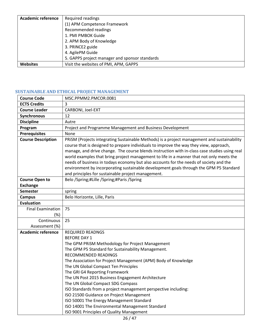| <b>Academic reference</b> | Required readings                              |
|---------------------------|------------------------------------------------|
|                           | (1) APM Competence Framework                   |
|                           | Recommended readings                           |
|                           | 1. PMI PMBOK Guide                             |
|                           | 2. APM Body of Knowledge                       |
|                           | 3. PRINCE2 guide                               |
|                           | 4. AgilePM Guide                               |
|                           | 5. GAPPS project manager and sponsor standards |
| <b>Websites</b>           | Visit the websites of PMI, APM, GAPPS          |

# <span id="page-25-0"></span>**SUSTAINABLE AND ETHICAL PROJECT MANAGEMENT**

| <b>Course Code</b>              | MSC.PPMM2.PMCOR.0081                                                                                                                                                                                                                                                                                                                                                                                                                                                                                                                                                                                                         |
|---------------------------------|------------------------------------------------------------------------------------------------------------------------------------------------------------------------------------------------------------------------------------------------------------------------------------------------------------------------------------------------------------------------------------------------------------------------------------------------------------------------------------------------------------------------------------------------------------------------------------------------------------------------------|
| <b>ECTS Credits</b>             | 3                                                                                                                                                                                                                                                                                                                                                                                                                                                                                                                                                                                                                            |
| <b>Course Leader</b>            | CARBONI, Joel-EXT                                                                                                                                                                                                                                                                                                                                                                                                                                                                                                                                                                                                            |
| <b>Synchronous</b>              | 12                                                                                                                                                                                                                                                                                                                                                                                                                                                                                                                                                                                                                           |
| <b>Discipline</b>               | Autre                                                                                                                                                                                                                                                                                                                                                                                                                                                                                                                                                                                                                        |
| Program                         | Project and Programme Management and Business Development                                                                                                                                                                                                                                                                                                                                                                                                                                                                                                                                                                    |
| <b>Prerequisites</b>            | None                                                                                                                                                                                                                                                                                                                                                                                                                                                                                                                                                                                                                         |
| <b>Course Description</b>       | PRISM (Projects integrating Sustainable Methods) is a project management and sustainability<br>course that is designed to prepare individuals to improve the way they view, approach,<br>manage, and drive change. The course blends instruction with in-class case studies using real<br>world examples that bring project management to life in a manner that not only meets the<br>needs of business in todays economy but also accounts for the needs of society and the<br>environment by incorporating sustainable development goals through the GPM P5 Standard<br>and principles for sustainable project management. |
| <b>Course Open to</b>           | Belo /Spring;#Lille /Spring;#Paris /Spring                                                                                                                                                                                                                                                                                                                                                                                                                                                                                                                                                                                   |
| <b>Exchange</b>                 |                                                                                                                                                                                                                                                                                                                                                                                                                                                                                                                                                                                                                              |
| <b>Semester</b>                 | spring                                                                                                                                                                                                                                                                                                                                                                                                                                                                                                                                                                                                                       |
| <b>Campus</b>                   | Belo Horizonte, Lille, Paris                                                                                                                                                                                                                                                                                                                                                                                                                                                                                                                                                                                                 |
| <b>Evaluation</b>               |                                                                                                                                                                                                                                                                                                                                                                                                                                                                                                                                                                                                                              |
| <b>Final Examination</b><br>(%) | 75                                                                                                                                                                                                                                                                                                                                                                                                                                                                                                                                                                                                                           |
| Continuous                      | 25                                                                                                                                                                                                                                                                                                                                                                                                                                                                                                                                                                                                                           |
| Assessment (%)                  |                                                                                                                                                                                                                                                                                                                                                                                                                                                                                                                                                                                                                              |
| <b>Academic reference</b>       | <b>REQUIRED READNGS</b>                                                                                                                                                                                                                                                                                                                                                                                                                                                                                                                                                                                                      |
|                                 | <b>BEFORE DAY 1</b>                                                                                                                                                                                                                                                                                                                                                                                                                                                                                                                                                                                                          |
|                                 | The GPM PRISM Methodology for Project Management                                                                                                                                                                                                                                                                                                                                                                                                                                                                                                                                                                             |
|                                 | The GPM P5 Standard for Sustainability Management.                                                                                                                                                                                                                                                                                                                                                                                                                                                                                                                                                                           |
|                                 | RECOMMENDED READINGS                                                                                                                                                                                                                                                                                                                                                                                                                                                                                                                                                                                                         |
|                                 | The Association for Project Management (APM) Body of Knowledge                                                                                                                                                                                                                                                                                                                                                                                                                                                                                                                                                               |
|                                 | The UN Global Compact Ten Principles                                                                                                                                                                                                                                                                                                                                                                                                                                                                                                                                                                                         |
|                                 | The GRI G4 Reporting Framework                                                                                                                                                                                                                                                                                                                                                                                                                                                                                                                                                                                               |
|                                 | The UN Post 2015 Business Engagement Architecture                                                                                                                                                                                                                                                                                                                                                                                                                                                                                                                                                                            |
|                                 | The UN Global Compact SDG Compass                                                                                                                                                                                                                                                                                                                                                                                                                                                                                                                                                                                            |
|                                 | ISO Standards from a project management perspective including:                                                                                                                                                                                                                                                                                                                                                                                                                                                                                                                                                               |
|                                 | ISO 21500 Guidance on Project Management                                                                                                                                                                                                                                                                                                                                                                                                                                                                                                                                                                                     |
|                                 | ISO 50001 The Energy Management Standard<br>ISO 14001 The Environmental Management Standard                                                                                                                                                                                                                                                                                                                                                                                                                                                                                                                                  |
|                                 | ISO 9001 Principles of Quality Management                                                                                                                                                                                                                                                                                                                                                                                                                                                                                                                                                                                    |
|                                 |                                                                                                                                                                                                                                                                                                                                                                                                                                                                                                                                                                                                                              |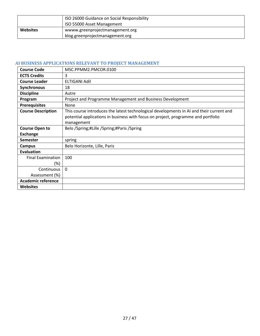|                 | ISO 26000 Guidance on Social Responsibility<br>ISO 55000 Asset Management |
|-----------------|---------------------------------------------------------------------------|
| <b>Websites</b> | wwww.greenprojectmanagement.org<br>blog.greenprojectmanagement.org        |

# <span id="page-26-0"></span>**AI BUSINESS APPLICATIONS RELEVANT TO PROJECT MANAGEMENT**

| <b>Course Code</b>        | MSC.PPMM2.PMCOR.0100                                                                     |
|---------------------------|------------------------------------------------------------------------------------------|
| <b>ECTS Credits</b>       | 3                                                                                        |
| <b>Course Leader</b>      | ELTIGANI Adil                                                                            |
| Synchronous               | 18                                                                                       |
| <b>Discipline</b>         | Autre                                                                                    |
| Program                   | Project and Programme Management and Business Development                                |
| <b>Prerequisites</b>      | None                                                                                     |
| <b>Course Description</b> | This course introduces the latest technological developments in AI and their current and |
|                           | potential applications in business with focus on project, programme and portfolio        |
|                           | management                                                                               |
| <b>Course Open to</b>     | Belo /Spring;#Lille /Spring;#Paris /Spring                                               |
| <b>Exchange</b>           |                                                                                          |
| <b>Semester</b>           | spring                                                                                   |
| Campus                    | Belo Horizonte, Lille, Paris                                                             |
| Evaluation                |                                                                                          |
| <b>Final Examination</b>  | 100                                                                                      |
| (%)                       |                                                                                          |
| Continuous                | $\Omega$                                                                                 |
| Assessment (%)            |                                                                                          |
| <b>Academic reference</b> |                                                                                          |
| <b>Websites</b>           |                                                                                          |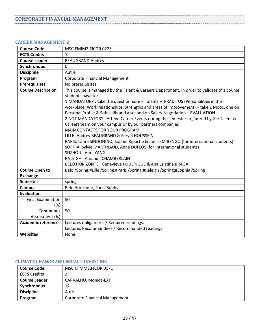## <span id="page-27-1"></span><span id="page-27-0"></span>**CAREER MANAGEMENT 2**

| <b>Course Code</b>        | MSC.FMIM2.FICOR.0223                                                                                                                                                                                                                                                                                                                                                                                                                                                                                                                                                                                                                                                                                                                                                                                                                                                                                           |
|---------------------------|----------------------------------------------------------------------------------------------------------------------------------------------------------------------------------------------------------------------------------------------------------------------------------------------------------------------------------------------------------------------------------------------------------------------------------------------------------------------------------------------------------------------------------------------------------------------------------------------------------------------------------------------------------------------------------------------------------------------------------------------------------------------------------------------------------------------------------------------------------------------------------------------------------------|
| <b>ECTS Credits</b>       | $\mathbf{1}$                                                                                                                                                                                                                                                                                                                                                                                                                                                                                                                                                                                                                                                                                                                                                                                                                                                                                                   |
| <b>Course Leader</b>      | <b>BEAUGRAND Audrey</b>                                                                                                                                                                                                                                                                                                                                                                                                                                                                                                                                                                                                                                                                                                                                                                                                                                                                                        |
| <b>Synchronous</b>        | $\mathbf 0$                                                                                                                                                                                                                                                                                                                                                                                                                                                                                                                                                                                                                                                                                                                                                                                                                                                                                                    |
| <b>Discipline</b>         | Autre                                                                                                                                                                                                                                                                                                                                                                                                                                                                                                                                                                                                                                                                                                                                                                                                                                                                                                          |
| Program                   | <b>Corporate Financial Management</b>                                                                                                                                                                                                                                                                                                                                                                                                                                                                                                                                                                                                                                                                                                                                                                                                                                                                          |
| <b>Prerequisites</b>      | No prerequisites.                                                                                                                                                                                                                                                                                                                                                                                                                                                                                                                                                                                                                                                                                                                                                                                                                                                                                              |
| <b>Course Description</b> | This course is managed by the Talent & Careers Department. In order to validate this course,<br>students have to:<br>1 MANDATORY : take the questionnaire « Talents » PRADITUS (Personalities in the<br>workplace, Work relationships, Strengths and areas of improvement) + take 2 Mooc, one on<br>Personal Profile & Soft skills and a second on Salary Negotiation + EVALUATION<br>2 NOT MANDATORY : Attend Career Events during the semester organized by the Talent &<br>Careers team on your campus or by our partners companies<br>MAIN CONTACTS FOR YOUR PROGRAM:<br>LILLE: Audrey BEAUGRAND & Feryel HOUSSEIN<br>PARIS: Laura SINDONINO, Sophie Ripoche & Janice M'BENGO (for International students)<br>SOPHIA: Sylvie MARTINAUD, Anne DUFLOS (for International students)<br><b>SUZHOU: April YANG</b><br>RALEIGH : Amanda CHAMBERLAIN<br>BELO HORIZONTE : Geneviève POULINGUE & Ana Cristina BRAGA |
| <b>Course Open to</b>     | Belo /Spring;#Lille /Spring;#Paris /Spring;#Raleigh /Spring;#Sophia /Spring                                                                                                                                                                                                                                                                                                                                                                                                                                                                                                                                                                                                                                                                                                                                                                                                                                    |
| <b>Exchange</b>           |                                                                                                                                                                                                                                                                                                                                                                                                                                                                                                                                                                                                                                                                                                                                                                                                                                                                                                                |
| <b>Semester</b>           | spring                                                                                                                                                                                                                                                                                                                                                                                                                                                                                                                                                                                                                                                                                                                                                                                                                                                                                                         |
| <b>Campus</b>             | Belo Horizonte, Paris, Sophia                                                                                                                                                                                                                                                                                                                                                                                                                                                                                                                                                                                                                                                                                                                                                                                                                                                                                  |
| <b>Evaluation</b>         |                                                                                                                                                                                                                                                                                                                                                                                                                                                                                                                                                                                                                                                                                                                                                                                                                                                                                                                |
| <b>Final Examination</b>  | 50                                                                                                                                                                                                                                                                                                                                                                                                                                                                                                                                                                                                                                                                                                                                                                                                                                                                                                             |
| (%)                       |                                                                                                                                                                                                                                                                                                                                                                                                                                                                                                                                                                                                                                                                                                                                                                                                                                                                                                                |
| Continuous                | 50                                                                                                                                                                                                                                                                                                                                                                                                                                                                                                                                                                                                                                                                                                                                                                                                                                                                                                             |
| Assessment (%)            |                                                                                                                                                                                                                                                                                                                                                                                                                                                                                                                                                                                                                                                                                                                                                                                                                                                                                                                |
| <b>Academic reference</b> | Lectures obligatoires / Required readings:                                                                                                                                                                                                                                                                                                                                                                                                                                                                                                                                                                                                                                                                                                                                                                                                                                                                     |
|                           | Lectures Recommandées / Recommanded readings:                                                                                                                                                                                                                                                                                                                                                                                                                                                                                                                                                                                                                                                                                                                                                                                                                                                                  |
| Websites                  | None.                                                                                                                                                                                                                                                                                                                                                                                                                                                                                                                                                                                                                                                                                                                                                                                                                                                                                                          |

#### <span id="page-27-2"></span>**CLIMATE CHANGE AND IMPACT INVESTING**

| <b>Course Code</b>   | MSC.CFMM2.FICOR.0171                  |
|----------------------|---------------------------------------|
| <b>ECTS Credits</b>  |                                       |
| <b>Course Leader</b> | CARVALHO, Monica-EXT                  |
| <b>Synchronous</b>   | 12                                    |
| <b>Discipline</b>    | Autre                                 |
| Program              | <b>Corporate Financial Management</b> |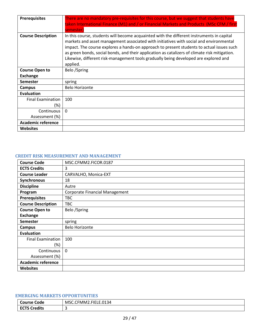| <b>Prerequisites</b>            | There are no mandatory pre-requisites for this course, but we suggest that students have<br>taken International Finance (M1) and / or Financial Markets and Products (MSc CFM / first<br>semester)                                                                                                                                                                                                                                                                                    |
|---------------------------------|---------------------------------------------------------------------------------------------------------------------------------------------------------------------------------------------------------------------------------------------------------------------------------------------------------------------------------------------------------------------------------------------------------------------------------------------------------------------------------------|
| <b>Course Description</b>       | In this course, students will become acquainted with the different instruments in capital<br>markets and asset management associated with initiatives with social and environmental<br>impact. The course explores a hands-on approach to present students to actual issues such<br>as green bonds, social bonds, and their application as catalizers of climate risk mitigation.<br>Likewise, different risk-management tools gradually being developed are explored and<br>applied. |
| <b>Course Open to</b>           | Belo /Spring                                                                                                                                                                                                                                                                                                                                                                                                                                                                          |
| <b>Exchange</b>                 |                                                                                                                                                                                                                                                                                                                                                                                                                                                                                       |
| <b>Semester</b>                 | spring                                                                                                                                                                                                                                                                                                                                                                                                                                                                                |
| Campus                          | <b>Belo Horizonte</b>                                                                                                                                                                                                                                                                                                                                                                                                                                                                 |
| <b>Evaluation</b>               |                                                                                                                                                                                                                                                                                                                                                                                                                                                                                       |
| <b>Final Examination</b><br>(%) | 100                                                                                                                                                                                                                                                                                                                                                                                                                                                                                   |
|                                 |                                                                                                                                                                                                                                                                                                                                                                                                                                                                                       |
| Continuous                      | $\Omega$                                                                                                                                                                                                                                                                                                                                                                                                                                                                              |
| Assessment (%)                  |                                                                                                                                                                                                                                                                                                                                                                                                                                                                                       |
| <b>Academic reference</b>       |                                                                                                                                                                                                                                                                                                                                                                                                                                                                                       |
| <b>Websites</b>                 |                                                                                                                                                                                                                                                                                                                                                                                                                                                                                       |

#### <span id="page-28-0"></span>**CREDIT RISK MEASUREMENT AND MANAGEMENT**

| <b>Course Code</b>        | MSC.CFMM2.FICOR.0187                  |
|---------------------------|---------------------------------------|
| <b>ECTS Credits</b>       | 3                                     |
| <b>Course Leader</b>      | CARVALHO, Monica-EXT                  |
| Synchronous               | 18                                    |
| <b>Discipline</b>         | Autre                                 |
| Program                   | <b>Corporate Financial Management</b> |
| <b>Prerequisites</b>      | <b>TBC</b>                            |
| <b>Course Description</b> | <b>TBC</b>                            |
| <b>Course Open to</b>     | Belo /Spring                          |
| <b>Exchange</b>           |                                       |
| <b>Semester</b>           | spring                                |
| Campus                    | <b>Belo Horizonte</b>                 |
| <b>Evaluation</b>         |                                       |
| <b>Final Examination</b>  | 100                                   |
| $(\%)$                    |                                       |
| Continuous                | $\mathbf{0}$                          |
| Assessment (%)            |                                       |
| <b>Academic reference</b> |                                       |
| <b>Websites</b>           |                                       |

# <span id="page-28-1"></span>**EMERGING MARKETS OPPORTUNITIES**

| Code<br>`ourse l                        | IELE.0134<br>$\sim$<br>MSC.L.<br>FMM<br>-- |
|-----------------------------------------|--------------------------------------------|
| <b>Credits</b><br>ECT <sup>-</sup><br>∼ |                                            |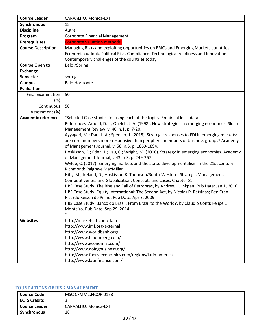| <b>Course Leader</b>      | CARVALHO, Monica-EXT                                                                                                                          |
|---------------------------|-----------------------------------------------------------------------------------------------------------------------------------------------|
| Synchronous               | 18                                                                                                                                            |
| <b>Discipline</b>         | Autre                                                                                                                                         |
| Program                   | <b>Corporate Financial Management</b>                                                                                                         |
| <b>Prerequisites</b>      | <b>Corporate valuation methods.</b>                                                                                                           |
| <b>Course Description</b> | Managing Risks and exploiting opportunities on BRICs and Emerging Markets countries.                                                          |
|                           | Economic outlook. Political Risk. Compliance. Technological readiness and Innovation.                                                         |
|                           | Contemporary challenges of the countries today.                                                                                               |
| <b>Course Open to</b>     | Belo /Spring                                                                                                                                  |
| <b>Exchange</b>           |                                                                                                                                               |
| <b>Semester</b>           | spring                                                                                                                                        |
| <b>Campus</b>             | <b>Belo Horizonte</b>                                                                                                                         |
| <b>Evaluation</b>         |                                                                                                                                               |
| <b>Final Examination</b>  | 50                                                                                                                                            |
| (%)                       |                                                                                                                                               |
| Continuous                | 50                                                                                                                                            |
| Assessment (%)            |                                                                                                                                               |
| <b>Academic reference</b> | "Selected Case studies focusing each of the topics. Empirical local data.                                                                     |
|                           | References Arnold, D. J.; Quelch, J. A. (1998). New strategies in emerging economies. Sloan                                                   |
|                           | Management Review, v. 40, n.1, p. 7-20.                                                                                                       |
|                           | Ayyagari, M.; Dau, L. A.; Spencer, J. (2015). Strategic responses to FDI in emerging markets:                                                 |
|                           | are core members more responsive than peripheral members of business groups? Academy                                                          |
|                           | of Management Journal, v. 58, n.6, p. 1869-1894.                                                                                              |
|                           | Hoskisson, R.; Eden, L.; Lau, C.; Wright, M. (2000). Strategy in emerging economies. Academy<br>of Management Journal, v.43, n.3, p. 249-267. |
|                           | Wylde, C. (2017). Emerging markets and the state: developmentalism in the 21st century.                                                       |
|                           | Richmond: Palgrave MacMillan.                                                                                                                 |
|                           | Hitt, M., Ireland, D., Hoskisson R. Thomson/South-Western. Strategic Management:                                                              |
|                           | Competitiveness and Globalization, Concepts and cases, Chapter 8.                                                                             |
|                           | HBS Case Study: The Rise and Fall of Petrobras, by Andrew C. Inkpen. Pub Date: Jan 1, 2016                                                    |
|                           | HBS Case Study: Equity International: The Second Act, by Nicolas P. Retsinas; Ben Creo;                                                       |
|                           | Ricardo Reisen de Pinho. Pub Date: Apr 3, 2009                                                                                                |
|                           | HBS Case Study: Banco do Brasil: From Brazil to the World?, by Claudio Conti; Felipe L                                                        |
|                           | Monteiro. Pub Date: Sep 29, 2014                                                                                                              |
|                           |                                                                                                                                               |
| <b>Websites</b>           | http://markets.ft.com/data                                                                                                                    |
|                           | http://www.imf.org/external                                                                                                                   |
|                           | http://www.worldbank.org/                                                                                                                     |
|                           | http://www.bloomberg.com/                                                                                                                     |
|                           | http://www.economist.com/                                                                                                                     |
|                           | http://www.doingbusiness.org/                                                                                                                 |
|                           | http://www.focus-economics.com/regions/latin-america                                                                                          |
|                           | http://www.latinfinance.com/                                                                                                                  |

# <span id="page-29-0"></span>**FOUNDATIONS OF RISK MANAGEMENT**

| <b>Course Code</b>   | MSC.CFMM2.FICOR.0178 |
|----------------------|----------------------|
| <b>ECTS Credits</b>  |                      |
| <b>Course Leader</b> | CARVALHO, Monica-EXT |
| Synchronous          | 18                   |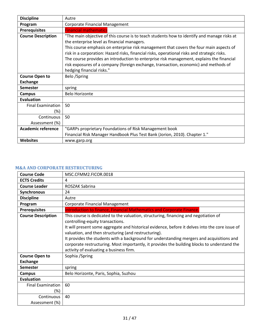| <b>Discipline</b>                  | Autre                                                                                                                                                                                                                                                                                                                                                                                                                                                                                                                                                   |
|------------------------------------|---------------------------------------------------------------------------------------------------------------------------------------------------------------------------------------------------------------------------------------------------------------------------------------------------------------------------------------------------------------------------------------------------------------------------------------------------------------------------------------------------------------------------------------------------------|
| Program                            | <b>Corporate Financial Management</b>                                                                                                                                                                                                                                                                                                                                                                                                                                                                                                                   |
| <b>Prerequisites</b>               | <b>Financial mathematics</b>                                                                                                                                                                                                                                                                                                                                                                                                                                                                                                                            |
| <b>Course Description</b>          | "The main objective of this course is to teach students how to identify and manage risks at<br>the enterprise level as financial managers.<br>This course emphasis on enterprise risk management that covers the four main aspects of<br>risk in a corporation: Hazard risks, financial risks, operational risks and strategic risks.<br>The course provides an introduction to enterprise risk management, explains the financial<br>risk exposures of a company (foreign exchange, transaction, economic) and methods of<br>hedging financial risks." |
| <b>Course Open to</b>              | Belo /Spring                                                                                                                                                                                                                                                                                                                                                                                                                                                                                                                                            |
| <b>Exchange</b>                    |                                                                                                                                                                                                                                                                                                                                                                                                                                                                                                                                                         |
| <b>Semester</b>                    | spring                                                                                                                                                                                                                                                                                                                                                                                                                                                                                                                                                  |
| Campus                             | <b>Belo Horizonte</b>                                                                                                                                                                                                                                                                                                                                                                                                                                                                                                                                   |
| <b>Evaluation</b>                  |                                                                                                                                                                                                                                                                                                                                                                                                                                                                                                                                                         |
| <b>Final Examination</b><br>$(\%)$ | 50                                                                                                                                                                                                                                                                                                                                                                                                                                                                                                                                                      |
| Continuous<br>Assessment (%)       | 50                                                                                                                                                                                                                                                                                                                                                                                                                                                                                                                                                      |
| <b>Academic reference</b>          | "GARPs proprietary Foundations of Risk Management book                                                                                                                                                                                                                                                                                                                                                                                                                                                                                                  |
|                                    | Financial Risk Manager Handbook Plus Test Bank (Jorion, 2010). Chapter 1."                                                                                                                                                                                                                                                                                                                                                                                                                                                                              |
| <b>Websites</b>                    | www.garp.org                                                                                                                                                                                                                                                                                                                                                                                                                                                                                                                                            |

# <span id="page-30-0"></span>**M&A AND CORPORATE RESTRUCTURING**

| <b>Course Code</b>              | MSC.CFMM2.FICOR.0018                                                                                                                                                                                                                                                                                                                                                                                                                                                                                                        |
|---------------------------------|-----------------------------------------------------------------------------------------------------------------------------------------------------------------------------------------------------------------------------------------------------------------------------------------------------------------------------------------------------------------------------------------------------------------------------------------------------------------------------------------------------------------------------|
| <b>ECTS Credits</b>             | 4                                                                                                                                                                                                                                                                                                                                                                                                                                                                                                                           |
| <b>Course Leader</b>            | ROSZAK Sabrina                                                                                                                                                                                                                                                                                                                                                                                                                                                                                                              |
| Synchronous                     | 24                                                                                                                                                                                                                                                                                                                                                                                                                                                                                                                          |
| <b>Discipline</b>               | Autre                                                                                                                                                                                                                                                                                                                                                                                                                                                                                                                       |
| Program                         | <b>Corporate Financial Management</b>                                                                                                                                                                                                                                                                                                                                                                                                                                                                                       |
| <b>Prerequisites</b>            | Introduction to finance, Financial Mathematics and Corporate Finance.                                                                                                                                                                                                                                                                                                                                                                                                                                                       |
| <b>Course Description</b>       | This course is dedicated to the valuation, structuring, financing and negotiation of<br>controlling-equity transactions.<br>It will present some aggregate and historical evidence, before it delves into the core issue of<br>valuation, and then structuring (and restructuring).<br>It provides the students with a background for understanding mergers and acquisitions and<br>corporate restructuring. Most importantly, it provides the building blocks to understand the<br>activity of evaluating a business firm. |
| <b>Course Open to</b>           | Sophia / Spring                                                                                                                                                                                                                                                                                                                                                                                                                                                                                                             |
| <b>Exchange</b>                 |                                                                                                                                                                                                                                                                                                                                                                                                                                                                                                                             |
| <b>Semester</b>                 | spring                                                                                                                                                                                                                                                                                                                                                                                                                                                                                                                      |
| <b>Campus</b>                   | Belo Horizonte, Paris, Sophia, Suzhou                                                                                                                                                                                                                                                                                                                                                                                                                                                                                       |
| <b>Evaluation</b>               |                                                                                                                                                                                                                                                                                                                                                                                                                                                                                                                             |
| <b>Final Examination</b><br>(%) | 60                                                                                                                                                                                                                                                                                                                                                                                                                                                                                                                          |
| Continuous<br>Assessment (%)    | 40                                                                                                                                                                                                                                                                                                                                                                                                                                                                                                                          |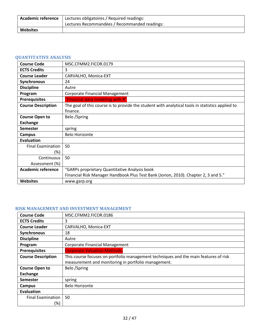| <b>Academic reference</b> | Lectures obligatoires / Required readings:    |
|---------------------------|-----------------------------------------------|
|                           | Lectures Recommandées / Recommanded readings: |
| <b>Websites</b>           |                                               |

## <span id="page-31-0"></span>**QUANTITATIVE ANALYSIS**

| <b>Course Code</b>        | MSC.CFMM2.FICOR.0179                                                                             |
|---------------------------|--------------------------------------------------------------------------------------------------|
| <b>ECTS Credits</b>       | 3                                                                                                |
| <b>Course Leader</b>      | CARVALHO, Monica-EXT                                                                             |
| <b>Synchronous</b>        | 24                                                                                               |
| <b>Discipline</b>         | Autre                                                                                            |
| Program                   | Corporate Financial Management                                                                   |
| <b>Prerequisites</b>      | "Financial data modeling with R"                                                                 |
| <b>Course Description</b> | The goal of this course is to provide the student with analytical tools in statistics applied to |
|                           | finance.                                                                                         |
| <b>Course Open to</b>     | Belo /Spring                                                                                     |
| Exchange                  |                                                                                                  |
| <b>Semester</b>           | spring                                                                                           |
| Campus                    | <b>Belo Horizonte</b>                                                                            |
| Evaluation                |                                                                                                  |
| <b>Final Examination</b>  | 50                                                                                               |
| (%)                       |                                                                                                  |
| Continuous                | 50                                                                                               |
| Assessment (%)            |                                                                                                  |
| <b>Academic reference</b> | "GARPs proprietary Quantitative Analysis book                                                    |
|                           | Financial Risk Manager Handbook Plus Test Bank (Jorion, 2010). Chapter 2, 3 and 5."              |
| <b>Websites</b>           | www.garp.org                                                                                     |

#### <span id="page-31-1"></span>**RISK MANAGEMENT AND INVESTMENT MANAGEMENT**

| <b>Course Code</b>        | MSC.CFMM2.FICOR.0186                                                                 |
|---------------------------|--------------------------------------------------------------------------------------|
| <b>ECTS Credits</b>       | 3                                                                                    |
| <b>Course Leader</b>      | CARVALHO, Monica-EXT                                                                 |
| Synchronous               | 18                                                                                   |
| <b>Discipline</b>         | Autre                                                                                |
| Program                   | <b>Corporate Financial Management</b>                                                |
| <b>Prerequisites</b>      | <b>Corporate Valuation Methods;</b>                                                  |
| <b>Course Description</b> | This course focuses on portfolio management techniques and the main features of risk |
|                           | measurement and monitoring in portfolio management.                                  |
| <b>Course Open to</b>     | Belo /Spring                                                                         |
| <b>Exchange</b>           |                                                                                      |
| <b>Semester</b>           | spring                                                                               |
| Campus                    | <b>Belo Horizonte</b>                                                                |
| Evaluation                |                                                                                      |
| <b>Final Examination</b>  | 50                                                                                   |
| (%)                       |                                                                                      |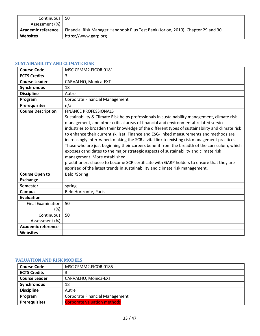| Continuous   50           |                                                                                   |
|---------------------------|-----------------------------------------------------------------------------------|
| Assessment (%)            |                                                                                   |
| <b>Academic reference</b> | Financial Risk Manager Handbook Plus Test Bank (Jorion, 2010). Chapter 29 and 30. |
| <b>Websites</b>           | https://www.garp.org                                                              |

## <span id="page-32-0"></span>**SUSTAINABILITY AND CLIMATE RISK**

| <b>Course Code</b>        | MSC.CFMM2.FICOR.0181                                                                                                                                                                                                                                                                                                                                                                                                                                                                                                                                                                                                                                                                                                                                                                                                                                                                                                 |
|---------------------------|----------------------------------------------------------------------------------------------------------------------------------------------------------------------------------------------------------------------------------------------------------------------------------------------------------------------------------------------------------------------------------------------------------------------------------------------------------------------------------------------------------------------------------------------------------------------------------------------------------------------------------------------------------------------------------------------------------------------------------------------------------------------------------------------------------------------------------------------------------------------------------------------------------------------|
| <b>ECTS Credits</b>       | 3                                                                                                                                                                                                                                                                                                                                                                                                                                                                                                                                                                                                                                                                                                                                                                                                                                                                                                                    |
| <b>Course Leader</b>      | CARVALHO, Monica-EXT                                                                                                                                                                                                                                                                                                                                                                                                                                                                                                                                                                                                                                                                                                                                                                                                                                                                                                 |
| <b>Synchronous</b>        | 18                                                                                                                                                                                                                                                                                                                                                                                                                                                                                                                                                                                                                                                                                                                                                                                                                                                                                                                   |
| <b>Discipline</b>         | Autre                                                                                                                                                                                                                                                                                                                                                                                                                                                                                                                                                                                                                                                                                                                                                                                                                                                                                                                |
| Program                   | Corporate Financial Management                                                                                                                                                                                                                                                                                                                                                                                                                                                                                                                                                                                                                                                                                                                                                                                                                                                                                       |
| <b>Prerequisites</b>      | n/a                                                                                                                                                                                                                                                                                                                                                                                                                                                                                                                                                                                                                                                                                                                                                                                                                                                                                                                  |
| <b>Course Description</b> | <b>FINANCE PROFESSIONALS</b><br>Sustainability & Climate Risk helps professionals in sustainability management, climate risk<br>management, and other critical areas of financial and environmental-related service<br>industries to broaden their knowledge of the different types of sustainability and climate risk<br>to enhance their current skillset. Finance and ESG-linked measurements and methods are<br>increasingly intertwined, making the SCR a vital link to existing risk management practices.<br>Those who are just beginning their careers benefit from the breadth of the curriculum, which<br>exposes candidates to the major strategic aspects of sustainability and climate risk<br>management. More established<br>practitioners choose to become SCR certificate with GARP holders to ensure that they are<br>apprised of the latest trends in sustainability and climate risk management. |
| <b>Course Open to</b>     | Belo /Spring                                                                                                                                                                                                                                                                                                                                                                                                                                                                                                                                                                                                                                                                                                                                                                                                                                                                                                         |
| <b>Exchange</b>           |                                                                                                                                                                                                                                                                                                                                                                                                                                                                                                                                                                                                                                                                                                                                                                                                                                                                                                                      |
| <b>Semester</b>           | spring                                                                                                                                                                                                                                                                                                                                                                                                                                                                                                                                                                                                                                                                                                                                                                                                                                                                                                               |
| <b>Campus</b>             | Belo Horizonte, Paris                                                                                                                                                                                                                                                                                                                                                                                                                                                                                                                                                                                                                                                                                                                                                                                                                                                                                                |
| <b>Evaluation</b>         |                                                                                                                                                                                                                                                                                                                                                                                                                                                                                                                                                                                                                                                                                                                                                                                                                                                                                                                      |
| <b>Final Examination</b>  | 50                                                                                                                                                                                                                                                                                                                                                                                                                                                                                                                                                                                                                                                                                                                                                                                                                                                                                                                   |
| $(\%)$                    |                                                                                                                                                                                                                                                                                                                                                                                                                                                                                                                                                                                                                                                                                                                                                                                                                                                                                                                      |
| Continuous                | 50                                                                                                                                                                                                                                                                                                                                                                                                                                                                                                                                                                                                                                                                                                                                                                                                                                                                                                                   |
| Assessment (%)            |                                                                                                                                                                                                                                                                                                                                                                                                                                                                                                                                                                                                                                                                                                                                                                                                                                                                                                                      |
| <b>Academic reference</b> |                                                                                                                                                                                                                                                                                                                                                                                                                                                                                                                                                                                                                                                                                                                                                                                                                                                                                                                      |
| Websites                  |                                                                                                                                                                                                                                                                                                                                                                                                                                                                                                                                                                                                                                                                                                                                                                                                                                                                                                                      |

# <span id="page-32-1"></span>**VALUATION AND RISK MODELS**

| <b>Course Code</b>   | MSC.CFMM2.FICOR.0185               |
|----------------------|------------------------------------|
| <b>ECTS Credits</b>  |                                    |
| <b>Course Leader</b> | CARVALHO, Monica-EXT               |
| Synchronous          | 18                                 |
| <b>Discipline</b>    | Autre                              |
| Program              | Corporate Financial Management     |
| <b>Prerequisites</b> | <b>Corporate valuation methods</b> |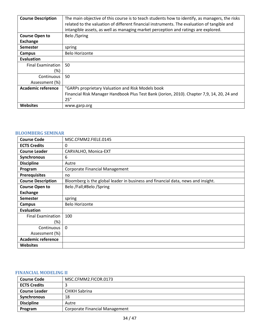| <b>Course Description</b> | The main objective of this course is to teach students how to identify, as managers, the risks |
|---------------------------|------------------------------------------------------------------------------------------------|
|                           | related to the valuation of different financial instruments. The evaluation of tangible and    |
|                           | intangible assets, as well as managing market perception and ratings are explored.             |
| <b>Course Open to</b>     | Belo /Spring                                                                                   |
| <b>Exchange</b>           |                                                                                                |
| <b>Semester</b>           | spring                                                                                         |
| Campus                    | <b>Belo Horizonte</b>                                                                          |
| Evaluation                |                                                                                                |
| <b>Final Examination</b>  | 50                                                                                             |
| (%)                       |                                                                                                |
| Continuous                | 50                                                                                             |
| Assessment (%)            |                                                                                                |
| <b>Academic reference</b> | "GARPs proprietary Valuation and Risk Models book                                              |
|                           | Financial Risk Manager Handbook Plus Test Bank (Jorion, 2010). Chapter 7,9, 14, 20, 24 and     |
|                           | 25"                                                                                            |
| <b>Websites</b>           | www.garp.org                                                                                   |

#### <span id="page-33-0"></span>**BLOOMBERG SEMINAR**

| <b>Course Code</b>        | MSC.CFMM2.FIELE.0145                                                             |
|---------------------------|----------------------------------------------------------------------------------|
| <b>ECTS Credits</b>       | 0                                                                                |
| <b>Course Leader</b>      | CARVALHO, Monica-EXT                                                             |
| Synchronous               | 6                                                                                |
| <b>Discipline</b>         | Autre                                                                            |
| Program                   | Corporate Financial Management                                                   |
| <b>Prerequisites</b>      | no                                                                               |
| <b>Course Description</b> | Bloomberg is the global leader in business and financial data, news and insight. |
| <b>Course Open to</b>     | Belo /Fall;#Belo /Spring                                                         |
| <b>Exchange</b>           |                                                                                  |
| Semester                  | spring                                                                           |
| Campus                    | <b>Belo Horizonte</b>                                                            |
| Evaluation                |                                                                                  |
| <b>Final Examination</b>  | 100                                                                              |
| (%)                       |                                                                                  |
| Continuous                | $\Omega$                                                                         |
| Assessment (%)            |                                                                                  |
| <b>Academic reference</b> |                                                                                  |
| <b>Websites</b>           |                                                                                  |

#### <span id="page-33-1"></span>**FINANCIAL MODELING II**

| <b>Course Code</b>   | MSC.CFMM2.FICOR.0173                  |
|----------------------|---------------------------------------|
| <b>ECTS Credits</b>  |                                       |
| <b>Course Leader</b> | <b>CHIKH Sabrina</b>                  |
| <b>Synchronous</b>   | 18                                    |
| <b>Discipline</b>    | Autre                                 |
| Program              | <b>Corporate Financial Management</b> |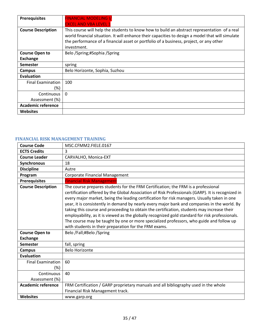| <b>Prerequisites</b>      | <b>FINANCIAL MODELING I/</b>                                                                                                                                                                                                                                                                              |
|---------------------------|-----------------------------------------------------------------------------------------------------------------------------------------------------------------------------------------------------------------------------------------------------------------------------------------------------------|
|                           | <b>EXCEL AND VBA LEVEL 1</b>                                                                                                                                                                                                                                                                              |
| <b>Course Description</b> | This course will help the students to know how to build an abstract representation of a real<br>world financial situation. It will enhance their capacities to design a model that will simulate<br>the performance of a financial asset or portfolio of a business, project, or any other<br>investment. |
| <b>Course Open to</b>     | Belo /Spring;#Sophia /Spring                                                                                                                                                                                                                                                                              |
| <b>Exchange</b>           |                                                                                                                                                                                                                                                                                                           |
| <b>Semester</b>           | spring                                                                                                                                                                                                                                                                                                    |
| Campus                    | Belo Horizonte, Sophia, Suzhou                                                                                                                                                                                                                                                                            |
| Evaluation                |                                                                                                                                                                                                                                                                                                           |
| <b>Final Examination</b>  | 100                                                                                                                                                                                                                                                                                                       |
| (%)                       |                                                                                                                                                                                                                                                                                                           |
| Continuous                | $\Omega$                                                                                                                                                                                                                                                                                                  |
| Assessment (%)            |                                                                                                                                                                                                                                                                                                           |
| <b>Academic reference</b> |                                                                                                                                                                                                                                                                                                           |
| <b>Websites</b>           |                                                                                                                                                                                                                                                                                                           |

## <span id="page-34-0"></span>**FINANCIAL RISK MANAGEMENT TRAINING**

| <b>Course Code</b>                       | MSC.CFMM2.FIELE.0167                                                                                                                                                                                                                                                                                                                                                                                                                                                                                                                                                                                                                                                                                                                       |
|------------------------------------------|--------------------------------------------------------------------------------------------------------------------------------------------------------------------------------------------------------------------------------------------------------------------------------------------------------------------------------------------------------------------------------------------------------------------------------------------------------------------------------------------------------------------------------------------------------------------------------------------------------------------------------------------------------------------------------------------------------------------------------------------|
| <b>ECTS Credits</b>                      | $\overline{3}$                                                                                                                                                                                                                                                                                                                                                                                                                                                                                                                                                                                                                                                                                                                             |
| <b>Course Leader</b>                     | CARVALHO, Monica-EXT                                                                                                                                                                                                                                                                                                                                                                                                                                                                                                                                                                                                                                                                                                                       |
| Synchronous                              | 18                                                                                                                                                                                                                                                                                                                                                                                                                                                                                                                                                                                                                                                                                                                                         |
| <b>Discipline</b>                        | Autre                                                                                                                                                                                                                                                                                                                                                                                                                                                                                                                                                                                                                                                                                                                                      |
| Program                                  | <b>Corporate Financial Management</b>                                                                                                                                                                                                                                                                                                                                                                                                                                                                                                                                                                                                                                                                                                      |
| <b>Prerequisites</b>                     | <b>Financial Risk Management</b>                                                                                                                                                                                                                                                                                                                                                                                                                                                                                                                                                                                                                                                                                                           |
| <b>Course Description</b>                | The course prepares students for the FRM Certification; the FRM is a professional<br>certification offered by the Global Association of Risk Professionals (GARP). It is recognized in<br>every major market, being the leading certification for risk managers. Usually taken in one<br>year, it is consistently in demand by nearly every major bank and companies in the world. By<br>taking this course and proceeding to obtain the certification, students may increase their<br>employability, as it is viewed as the globally recognized gold standard for risk professionals.<br>The course may be taught by one or more specialized professors, who guide and follow up<br>with students in their preparation for the FRM exams. |
| <b>Course Open to</b><br><b>Exchange</b> | Belo /Fall;#Belo /Spring                                                                                                                                                                                                                                                                                                                                                                                                                                                                                                                                                                                                                                                                                                                   |
| <b>Semester</b>                          | fall, spring                                                                                                                                                                                                                                                                                                                                                                                                                                                                                                                                                                                                                                                                                                                               |
| <b>Campus</b>                            | <b>Belo Horizonte</b>                                                                                                                                                                                                                                                                                                                                                                                                                                                                                                                                                                                                                                                                                                                      |
| Evaluation                               |                                                                                                                                                                                                                                                                                                                                                                                                                                                                                                                                                                                                                                                                                                                                            |
| <b>Final Examination</b>                 | 60                                                                                                                                                                                                                                                                                                                                                                                                                                                                                                                                                                                                                                                                                                                                         |
| (%)                                      |                                                                                                                                                                                                                                                                                                                                                                                                                                                                                                                                                                                                                                                                                                                                            |
| Continuous                               | 40                                                                                                                                                                                                                                                                                                                                                                                                                                                                                                                                                                                                                                                                                                                                         |
| Assessment (%)                           |                                                                                                                                                                                                                                                                                                                                                                                                                                                                                                                                                                                                                                                                                                                                            |
| <b>Academic reference</b>                | FRM Certification / GARP proprietary manuals and all bibliography used in the whole<br>Financial Risk Management track.                                                                                                                                                                                                                                                                                                                                                                                                                                                                                                                                                                                                                    |
| <b>Websites</b>                          | www.garp.org                                                                                                                                                                                                                                                                                                                                                                                                                                                                                                                                                                                                                                                                                                                               |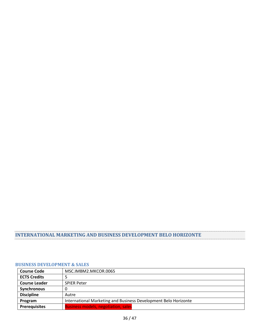# <span id="page-35-0"></span>**INTERNATIONAL MARKETING AND BUSINESS DEVELOPMENT BELO HORIZONTE**

#### <span id="page-35-1"></span>**BUSINESS DEVELOPMENT & SALES**

| <b>Course Code</b>   | MSC.IMBM2.MKCOR.0065                                            |
|----------------------|-----------------------------------------------------------------|
| <b>ECTS Credits</b>  |                                                                 |
| <b>Course Leader</b> | <b>SPIER Peter</b>                                              |
| Synchronous          |                                                                 |
| <b>Discipline</b>    | Autre                                                           |
| Program              | International Marketing and Business Development Belo Horizonte |
| <b>Prerequisites</b> | <b>Business models, negotiation, sales</b>                      |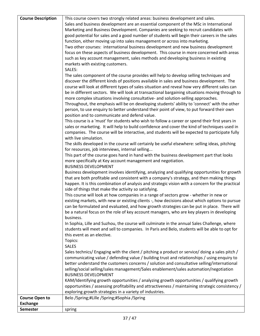| <b>Course Description</b> | This course covers two strongly related areas: business development and sales.<br>Sales and business development are an essential component of the MSc in International<br>Marketing and Business Development. Companies are seeking to recruit candidates with<br>good potential for sales and a good number of students will begin their careers in the sales<br>function, either moving up into sales management or across into marketing.<br>Two other courses: international business development and new business development<br>focus on these aspects of business development. This course in more concerned with areas<br>such as key account management, sales methods and developing business in existing<br>markets with existing customers.<br>SALES:<br>The sales component of the course provides will help to develop selling techniques and<br>discover the different kinds of positions available in sales and business development. The<br>course will look at different types of sales situation and reveal how very different sales can<br>be in different sectors. We will look at transactional bargaining situations moving through to<br>more complex situations involving consultative- and solution-selling approaches.<br>Throughout, the emphasis will be on developing students' ability to 'connect' with the other<br>person, to use enquiry to better understand their point of view, to put forward their own<br>position and to communicate and defend value.<br>This course is a 'must' for students who wish to follow a career or spend their first years in<br>sales or marketing. It will help to build confidence and cover the kind of techniques used in |
|---------------------------|-----------------------------------------------------------------------------------------------------------------------------------------------------------------------------------------------------------------------------------------------------------------------------------------------------------------------------------------------------------------------------------------------------------------------------------------------------------------------------------------------------------------------------------------------------------------------------------------------------------------------------------------------------------------------------------------------------------------------------------------------------------------------------------------------------------------------------------------------------------------------------------------------------------------------------------------------------------------------------------------------------------------------------------------------------------------------------------------------------------------------------------------------------------------------------------------------------------------------------------------------------------------------------------------------------------------------------------------------------------------------------------------------------------------------------------------------------------------------------------------------------------------------------------------------------------------------------------------------------------------------------------------------------------------------------------------------------|
|                           | companies. The course will be interactive, and students will be expected to participate fully<br>with live simulation.<br>The skills developed in the course will certainly be useful elsewhere: selling ideas, pitching<br>for resources, job interviews, internal selling<br>This part of the course goes hand in hand with the business development part that looks                                                                                                                                                                                                                                                                                                                                                                                                                                                                                                                                                                                                                                                                                                                                                                                                                                                                                                                                                                                                                                                                                                                                                                                                                                                                                                                              |
|                           | more specifically at Key account management and negotiation.<br><b>BUSINESS DEVELOPMENT</b><br>Business development involves identifying, analyzing and qualifying opportunities for growth<br>that are both profitable and consistent with a company's strategy, and then making things<br>happen. It is this combination of analysis and strategic vision with a concern for the practical<br>side of things that make the activity so satisfying.                                                                                                                                                                                                                                                                                                                                                                                                                                                                                                                                                                                                                                                                                                                                                                                                                                                                                                                                                                                                                                                                                                                                                                                                                                                |
|                           | This course will look at how companies in a range of sectors grow - whether in new or<br>existing markets, with new or existing clients -, how decisions about which options to pursue<br>can be formulated and evaluated, and how growth strategies can be put in place. There will<br>be a natural focus on the role of key account managers, who are key players in developing<br>business.                                                                                                                                                                                                                                                                                                                                                                                                                                                                                                                                                                                                                                                                                                                                                                                                                                                                                                                                                                                                                                                                                                                                                                                                                                                                                                      |
|                           | In Sophia, Lille and Suzhou, the course will culminate in the annual Sales Challenge, where<br>students will meet and sell to companies. In Paris and Belo, students will be able to opt for<br>this event as an elective.<br>Topics:                                                                                                                                                                                                                                                                                                                                                                                                                                                                                                                                                                                                                                                                                                                                                                                                                                                                                                                                                                                                                                                                                                                                                                                                                                                                                                                                                                                                                                                               |
|                           | <b>SALES</b><br>Sales technics/ Engaging with the client / pitching a product or service/ doing a sales pitch /<br>communicating value / defending value / building trust and relationships / using enquiry to<br>better understand the customers concerns / solution and consultative selling/international<br>selling/social selling/sales management/Sales enablement/sales automation/negotiation<br><b>BUSINESS DEVELOPMENT</b>                                                                                                                                                                                                                                                                                                                                                                                                                                                                                                                                                                                                                                                                                                                                                                                                                                                                                                                                                                                                                                                                                                                                                                                                                                                                |
|                           | KAM/Identifying growth opportunities / analyzing growth opportunities / qualifying growth<br>opportunities / assessing profitability and attractiveness / maintaining strategic consistency /<br>exploring growth strategies in a variety of industries.                                                                                                                                                                                                                                                                                                                                                                                                                                                                                                                                                                                                                                                                                                                                                                                                                                                                                                                                                                                                                                                                                                                                                                                                                                                                                                                                                                                                                                            |
| <b>Course Open to</b>     | Belo /Spring;#Lille /Spring;#Sophia /Spring                                                                                                                                                                                                                                                                                                                                                                                                                                                                                                                                                                                                                                                                                                                                                                                                                                                                                                                                                                                                                                                                                                                                                                                                                                                                                                                                                                                                                                                                                                                                                                                                                                                         |
| <b>Exchange</b>           |                                                                                                                                                                                                                                                                                                                                                                                                                                                                                                                                                                                                                                                                                                                                                                                                                                                                                                                                                                                                                                                                                                                                                                                                                                                                                                                                                                                                                                                                                                                                                                                                                                                                                                     |
| <b>Semester</b>           | spring                                                                                                                                                                                                                                                                                                                                                                                                                                                                                                                                                                                                                                                                                                                                                                                                                                                                                                                                                                                                                                                                                                                                                                                                                                                                                                                                                                                                                                                                                                                                                                                                                                                                                              |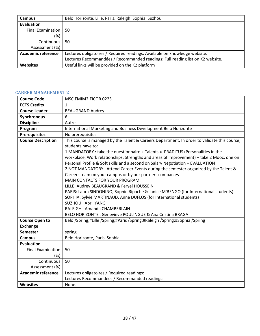| Campus                    | Belo Horizonte, Lille, Paris, Raleigh, Sophia, Suzhou                          |
|---------------------------|--------------------------------------------------------------------------------|
| Evaluation                |                                                                                |
| <b>Final Examination</b>  | 50                                                                             |
| (%)                       |                                                                                |
| Continuous                | 50                                                                             |
| Assessment (%)            |                                                                                |
| <b>Academic reference</b> | Lectures obligatoires / Required readings: Available on knowledge website.     |
|                           | Lectures Recommandées / Recommanded readings: Full reading list on K2 website. |
| <b>Websites</b>           | Useful links will be provided on the K2 platform                               |

#### <span id="page-37-0"></span>**CAREER MANAGEMENT 2**

| <b>Course Code</b>        | MSC.FMIM2.FICOR.0223                                                                                                                                                                                                                                                                                                                                                                                                                                                                                                                                                                                                                                                                                                                                                                                                                                                                                                 |
|---------------------------|----------------------------------------------------------------------------------------------------------------------------------------------------------------------------------------------------------------------------------------------------------------------------------------------------------------------------------------------------------------------------------------------------------------------------------------------------------------------------------------------------------------------------------------------------------------------------------------------------------------------------------------------------------------------------------------------------------------------------------------------------------------------------------------------------------------------------------------------------------------------------------------------------------------------|
| <b>ECTS Credits</b>       | $\mathbf{1}$                                                                                                                                                                                                                                                                                                                                                                                                                                                                                                                                                                                                                                                                                                                                                                                                                                                                                                         |
| <b>Course Leader</b>      | <b>BEAUGRAND Audrey</b>                                                                                                                                                                                                                                                                                                                                                                                                                                                                                                                                                                                                                                                                                                                                                                                                                                                                                              |
| Synchronous               | 6                                                                                                                                                                                                                                                                                                                                                                                                                                                                                                                                                                                                                                                                                                                                                                                                                                                                                                                    |
| <b>Discipline</b>         | Autre                                                                                                                                                                                                                                                                                                                                                                                                                                                                                                                                                                                                                                                                                                                                                                                                                                                                                                                |
| Program                   | International Marketing and Business Development Belo Horizonte                                                                                                                                                                                                                                                                                                                                                                                                                                                                                                                                                                                                                                                                                                                                                                                                                                                      |
| <b>Prerequisites</b>      | No prerequisites.                                                                                                                                                                                                                                                                                                                                                                                                                                                                                                                                                                                                                                                                                                                                                                                                                                                                                                    |
| <b>Course Description</b> | This course is managed by the Talent & Careers Department. In order to validate this course,<br>students have to:<br>1 MANDATORY : take the questionnaire « Talents » PRADITUS (Personalities in the<br>workplace, Work relationships, Strengths and areas of improvement) + take 2 Mooc, one on<br>Personal Profile & Soft skills and a second on Salary Negotiation + EVALUATION<br>2 NOT MANDATORY : Attend Career Events during the semester organized by the Talent &<br>Careers team on your campus or by our partners companies<br><b>MAIN CONTACTS FOR YOUR PROGRAM:</b><br>LILLE: Audrey BEAUGRAND & Feryel HOUSSEIN<br>PARIS: Laura SINDONINO, Sophie Ripoche & Janice M'BENGO (for International students)<br>SOPHIA: Sylvie MARTINAUD, Anne DUFLOS (for International students)<br><b>SUZHOU: April YANG</b><br>RALEIGH: Amanda CHAMBERLAIN<br>BELO HORIZONTE : Geneviève POULINGUE & Ana Cristina BRAGA |
| <b>Course Open to</b>     | Belo /Spring;#Lille /Spring;#Paris /Spring;#Raleigh /Spring;#Sophia /Spring                                                                                                                                                                                                                                                                                                                                                                                                                                                                                                                                                                                                                                                                                                                                                                                                                                          |
| <b>Exchange</b>           |                                                                                                                                                                                                                                                                                                                                                                                                                                                                                                                                                                                                                                                                                                                                                                                                                                                                                                                      |
| <b>Semester</b>           | spring                                                                                                                                                                                                                                                                                                                                                                                                                                                                                                                                                                                                                                                                                                                                                                                                                                                                                                               |
| <b>Campus</b>             | Belo Horizonte, Paris, Sophia                                                                                                                                                                                                                                                                                                                                                                                                                                                                                                                                                                                                                                                                                                                                                                                                                                                                                        |
| <b>Evaluation</b>         |                                                                                                                                                                                                                                                                                                                                                                                                                                                                                                                                                                                                                                                                                                                                                                                                                                                                                                                      |
| <b>Final Examination</b>  | 50                                                                                                                                                                                                                                                                                                                                                                                                                                                                                                                                                                                                                                                                                                                                                                                                                                                                                                                   |
| $(\%)$                    |                                                                                                                                                                                                                                                                                                                                                                                                                                                                                                                                                                                                                                                                                                                                                                                                                                                                                                                      |
| Continuous                | 50                                                                                                                                                                                                                                                                                                                                                                                                                                                                                                                                                                                                                                                                                                                                                                                                                                                                                                                   |
| Assessment (%)            |                                                                                                                                                                                                                                                                                                                                                                                                                                                                                                                                                                                                                                                                                                                                                                                                                                                                                                                      |
| <b>Academic reference</b> | Lectures obligatoires / Required readings:                                                                                                                                                                                                                                                                                                                                                                                                                                                                                                                                                                                                                                                                                                                                                                                                                                                                           |
|                           | Lectures Recommandées / Recommanded readings:                                                                                                                                                                                                                                                                                                                                                                                                                                                                                                                                                                                                                                                                                                                                                                                                                                                                        |
| <b>Websites</b>           | None.                                                                                                                                                                                                                                                                                                                                                                                                                                                                                                                                                                                                                                                                                                                                                                                                                                                                                                                |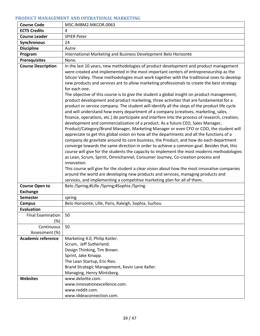## <span id="page-38-0"></span>**PRODUCT MANAGEMENT AND OPERATIONAL MARKETING**

| <b>Course Code</b>        | MSC.IMBM2.MKCOR.0063                                                                                                                                                                                                                                                                                                                                                                                                                                                                                                                                                                                                                                                                                                                                                                                                                                                                                                                                                                                                                                                                                                                                                                                                                                                                                                                                                                                                                                                                                                                                                                                                                                                                                                                                                                                              |
|---------------------------|-------------------------------------------------------------------------------------------------------------------------------------------------------------------------------------------------------------------------------------------------------------------------------------------------------------------------------------------------------------------------------------------------------------------------------------------------------------------------------------------------------------------------------------------------------------------------------------------------------------------------------------------------------------------------------------------------------------------------------------------------------------------------------------------------------------------------------------------------------------------------------------------------------------------------------------------------------------------------------------------------------------------------------------------------------------------------------------------------------------------------------------------------------------------------------------------------------------------------------------------------------------------------------------------------------------------------------------------------------------------------------------------------------------------------------------------------------------------------------------------------------------------------------------------------------------------------------------------------------------------------------------------------------------------------------------------------------------------------------------------------------------------------------------------------------------------|
| <b>ECTS Credits</b>       | 4                                                                                                                                                                                                                                                                                                                                                                                                                                                                                                                                                                                                                                                                                                                                                                                                                                                                                                                                                                                                                                                                                                                                                                                                                                                                                                                                                                                                                                                                                                                                                                                                                                                                                                                                                                                                                 |
| <b>Course Leader</b>      | <b>SPIER Peter</b>                                                                                                                                                                                                                                                                                                                                                                                                                                                                                                                                                                                                                                                                                                                                                                                                                                                                                                                                                                                                                                                                                                                                                                                                                                                                                                                                                                                                                                                                                                                                                                                                                                                                                                                                                                                                |
| <b>Synchronous</b>        | 24                                                                                                                                                                                                                                                                                                                                                                                                                                                                                                                                                                                                                                                                                                                                                                                                                                                                                                                                                                                                                                                                                                                                                                                                                                                                                                                                                                                                                                                                                                                                                                                                                                                                                                                                                                                                                |
| <b>Discipline</b>         | Autre                                                                                                                                                                                                                                                                                                                                                                                                                                                                                                                                                                                                                                                                                                                                                                                                                                                                                                                                                                                                                                                                                                                                                                                                                                                                                                                                                                                                                                                                                                                                                                                                                                                                                                                                                                                                             |
| Program                   | International Marketing and Business Development Belo Horizonte                                                                                                                                                                                                                                                                                                                                                                                                                                                                                                                                                                                                                                                                                                                                                                                                                                                                                                                                                                                                                                                                                                                                                                                                                                                                                                                                                                                                                                                                                                                                                                                                                                                                                                                                                   |
| <b>Prerequisites</b>      | None.                                                                                                                                                                                                                                                                                                                                                                                                                                                                                                                                                                                                                                                                                                                                                                                                                                                                                                                                                                                                                                                                                                                                                                                                                                                                                                                                                                                                                                                                                                                                                                                                                                                                                                                                                                                                             |
| <b>Course Description</b> | In the last 10 years, new methodologies of product development and product management<br>were created and implemented in the most important centers of entrepreneurship as the<br>Silicon Valley. Those methodologies must work together with the traditional ones to develop<br>new products and services ant to allow marketing professionals to create the best strategy<br>for each one.<br>The objective of this course is to give the student a global insight on product management,<br>product development and product marketing, three activities that are fundamental for a<br>product or service company. The student will identify all the steps of the product life cycle<br>and will understand how every department of a company (creatives, marketing, sales,<br>finance, operations, etc.) do participate and interfere into the process of research, creation,<br>development and commercialization of a product. As a future CEO, Sales Manager,<br>Product/Category/Brand Manager, Marketing Manager or even CFO or COO, the student will<br>appreciate to get this global vision on how all the departments and all the functions of a<br>company do gravitate around its core business, the Product, and how do each department<br>converge towards the same direction in order to achieve a common goal. Besides that, this<br>course will give for the students the capacity to implement the most moderns methodologies<br>as Lean, Scrum, Sprint, Omnichannel, Consumer Journey, Co-creation process and<br>innovation.<br>This course will give for the student a clear vision about how the most innovative companies<br>around the world are developing new products and services, managing products and<br>services, and implementing a competitive marketing plan for all of them. |
| <b>Course Open to</b>     | Belo /Spring;#Lille /Spring;#Sophia /Spring                                                                                                                                                                                                                                                                                                                                                                                                                                                                                                                                                                                                                                                                                                                                                                                                                                                                                                                                                                                                                                                                                                                                                                                                                                                                                                                                                                                                                                                                                                                                                                                                                                                                                                                                                                       |
| <b>Exchange</b>           |                                                                                                                                                                                                                                                                                                                                                                                                                                                                                                                                                                                                                                                                                                                                                                                                                                                                                                                                                                                                                                                                                                                                                                                                                                                                                                                                                                                                                                                                                                                                                                                                                                                                                                                                                                                                                   |
| <b>Semester</b>           | spring                                                                                                                                                                                                                                                                                                                                                                                                                                                                                                                                                                                                                                                                                                                                                                                                                                                                                                                                                                                                                                                                                                                                                                                                                                                                                                                                                                                                                                                                                                                                                                                                                                                                                                                                                                                                            |
| <b>Campus</b>             | Belo Horizonte, Lille, Paris, Raleigh, Sophia, Suzhou                                                                                                                                                                                                                                                                                                                                                                                                                                                                                                                                                                                                                                                                                                                                                                                                                                                                                                                                                                                                                                                                                                                                                                                                                                                                                                                                                                                                                                                                                                                                                                                                                                                                                                                                                             |
| <b>Evaluation</b>         |                                                                                                                                                                                                                                                                                                                                                                                                                                                                                                                                                                                                                                                                                                                                                                                                                                                                                                                                                                                                                                                                                                                                                                                                                                                                                                                                                                                                                                                                                                                                                                                                                                                                                                                                                                                                                   |
| <b>Final Examination</b>  | 50                                                                                                                                                                                                                                                                                                                                                                                                                                                                                                                                                                                                                                                                                                                                                                                                                                                                                                                                                                                                                                                                                                                                                                                                                                                                                                                                                                                                                                                                                                                                                                                                                                                                                                                                                                                                                |
| (%)                       |                                                                                                                                                                                                                                                                                                                                                                                                                                                                                                                                                                                                                                                                                                                                                                                                                                                                                                                                                                                                                                                                                                                                                                                                                                                                                                                                                                                                                                                                                                                                                                                                                                                                                                                                                                                                                   |
| Continuous                | 50                                                                                                                                                                                                                                                                                                                                                                                                                                                                                                                                                                                                                                                                                                                                                                                                                                                                                                                                                                                                                                                                                                                                                                                                                                                                                                                                                                                                                                                                                                                                                                                                                                                                                                                                                                                                                |
| Assessment (%)            |                                                                                                                                                                                                                                                                                                                                                                                                                                                                                                                                                                                                                                                                                                                                                                                                                                                                                                                                                                                                                                                                                                                                                                                                                                                                                                                                                                                                                                                                                                                                                                                                                                                                                                                                                                                                                   |
| <b>Academic reference</b> | Marketing 4.0, Philip Kotler.<br>Scrum, Jeff Sutherland.                                                                                                                                                                                                                                                                                                                                                                                                                                                                                                                                                                                                                                                                                                                                                                                                                                                                                                                                                                                                                                                                                                                                                                                                                                                                                                                                                                                                                                                                                                                                                                                                                                                                                                                                                          |
|                           | Design Thinking, Tim Brown.                                                                                                                                                                                                                                                                                                                                                                                                                                                                                                                                                                                                                                                                                                                                                                                                                                                                                                                                                                                                                                                                                                                                                                                                                                                                                                                                                                                                                                                                                                                                                                                                                                                                                                                                                                                       |
|                           | Sprint, Jake Kinapp.                                                                                                                                                                                                                                                                                                                                                                                                                                                                                                                                                                                                                                                                                                                                                                                                                                                                                                                                                                                                                                                                                                                                                                                                                                                                                                                                                                                                                                                                                                                                                                                                                                                                                                                                                                                              |
|                           | The Lean Startup, Eric Ries.                                                                                                                                                                                                                                                                                                                                                                                                                                                                                                                                                                                                                                                                                                                                                                                                                                                                                                                                                                                                                                                                                                                                                                                                                                                                                                                                                                                                                                                                                                                                                                                                                                                                                                                                                                                      |
|                           | Brand Strategic Management, Kevin Lane Keller.                                                                                                                                                                                                                                                                                                                                                                                                                                                                                                                                                                                                                                                                                                                                                                                                                                                                                                                                                                                                                                                                                                                                                                                                                                                                                                                                                                                                                                                                                                                                                                                                                                                                                                                                                                    |
|                           | Managing, Henry Mintzberg.                                                                                                                                                                                                                                                                                                                                                                                                                                                                                                                                                                                                                                                                                                                                                                                                                                                                                                                                                                                                                                                                                                                                                                                                                                                                                                                                                                                                                                                                                                                                                                                                                                                                                                                                                                                        |
| <b>Websites</b>           | www.deloitte.com.                                                                                                                                                                                                                                                                                                                                                                                                                                                                                                                                                                                                                                                                                                                                                                                                                                                                                                                                                                                                                                                                                                                                                                                                                                                                                                                                                                                                                                                                                                                                                                                                                                                                                                                                                                                                 |
|                           | www.innovationexcellence.com.                                                                                                                                                                                                                                                                                                                                                                                                                                                                                                                                                                                                                                                                                                                                                                                                                                                                                                                                                                                                                                                                                                                                                                                                                                                                                                                                                                                                                                                                                                                                                                                                                                                                                                                                                                                     |
|                           | www.reddit.com.                                                                                                                                                                                                                                                                                                                                                                                                                                                                                                                                                                                                                                                                                                                                                                                                                                                                                                                                                                                                                                                                                                                                                                                                                                                                                                                                                                                                                                                                                                                                                                                                                                                                                                                                                                                                   |
|                           | www.iddeaconnection.com.                                                                                                                                                                                                                                                                                                                                                                                                                                                                                                                                                                                                                                                                                                                                                                                                                                                                                                                                                                                                                                                                                                                                                                                                                                                                                                                                                                                                                                                                                                                                                                                                                                                                                                                                                                                          |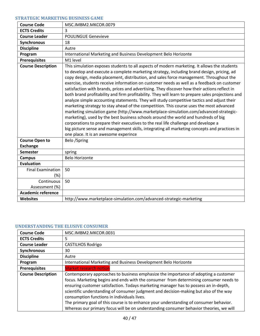### <span id="page-39-0"></span>**STRATEGIC MARKETING BUSINESS GAME**

| <b>Course Code</b>        | MSC.IMBM2.MKCOR.0079                                                                                                                                                                                                                                                                                                                                                                                                                                                                                                                                                                                                                                                                                                                                                                                                                                                                                                                                                                                                                                                                                                                                                                        |
|---------------------------|---------------------------------------------------------------------------------------------------------------------------------------------------------------------------------------------------------------------------------------------------------------------------------------------------------------------------------------------------------------------------------------------------------------------------------------------------------------------------------------------------------------------------------------------------------------------------------------------------------------------------------------------------------------------------------------------------------------------------------------------------------------------------------------------------------------------------------------------------------------------------------------------------------------------------------------------------------------------------------------------------------------------------------------------------------------------------------------------------------------------------------------------------------------------------------------------|
| <b>ECTS Credits</b>       | 3                                                                                                                                                                                                                                                                                                                                                                                                                                                                                                                                                                                                                                                                                                                                                                                                                                                                                                                                                                                                                                                                                                                                                                                           |
| <b>Course Leader</b>      | <b>POULINGUE Genevieve</b>                                                                                                                                                                                                                                                                                                                                                                                                                                                                                                                                                                                                                                                                                                                                                                                                                                                                                                                                                                                                                                                                                                                                                                  |
| Synchronous               | 18                                                                                                                                                                                                                                                                                                                                                                                                                                                                                                                                                                                                                                                                                                                                                                                                                                                                                                                                                                                                                                                                                                                                                                                          |
| <b>Discipline</b>         | Autre                                                                                                                                                                                                                                                                                                                                                                                                                                                                                                                                                                                                                                                                                                                                                                                                                                                                                                                                                                                                                                                                                                                                                                                       |
| Program                   | International Marketing and Business Development Belo Horizonte                                                                                                                                                                                                                                                                                                                                                                                                                                                                                                                                                                                                                                                                                                                                                                                                                                                                                                                                                                                                                                                                                                                             |
| <b>Prerequisites</b>      | M1 level                                                                                                                                                                                                                                                                                                                                                                                                                                                                                                                                                                                                                                                                                                                                                                                                                                                                                                                                                                                                                                                                                                                                                                                    |
| <b>Course Description</b> | This simulation exposes students to all aspects of modern marketing. It allows the students<br>to develop and execute a complete marketing strategy, including brand design, pricing, ad<br>copy design, media placement, distribution, and sales force management. Throughout the<br>exercise, students receive information on customer needs as well as a feedback on customer<br>satisfaction with brands, prices and advertising. They discover how their actions reflect in<br>both brand profitability and firm profitability. They will learn to prepare sales projections and<br>analyze simple accounting statements. They will study competitive tactics and adjust their<br>marketing strategy to stay ahead of the competition. This course uses the most advanced<br>marketing simulation game (http://www.marketplace-simulation.com/advanced-strategic-<br>marketing), used by the best business schools around the world and hundreds of big<br>corporations to prepare their executives to the real life challenge and develope a<br>big picture sense and management skills, integrating all marketing concepts and practices in<br>one place. It is an awesome experince |
| <b>Course Open to</b>     | Belo /Spring                                                                                                                                                                                                                                                                                                                                                                                                                                                                                                                                                                                                                                                                                                                                                                                                                                                                                                                                                                                                                                                                                                                                                                                |
| <b>Exchange</b>           |                                                                                                                                                                                                                                                                                                                                                                                                                                                                                                                                                                                                                                                                                                                                                                                                                                                                                                                                                                                                                                                                                                                                                                                             |
| <b>Semester</b>           | spring                                                                                                                                                                                                                                                                                                                                                                                                                                                                                                                                                                                                                                                                                                                                                                                                                                                                                                                                                                                                                                                                                                                                                                                      |
| <b>Campus</b>             | <b>Belo Horizonte</b>                                                                                                                                                                                                                                                                                                                                                                                                                                                                                                                                                                                                                                                                                                                                                                                                                                                                                                                                                                                                                                                                                                                                                                       |
| <b>Evaluation</b>         |                                                                                                                                                                                                                                                                                                                                                                                                                                                                                                                                                                                                                                                                                                                                                                                                                                                                                                                                                                                                                                                                                                                                                                                             |
| <b>Final Examination</b>  | 50                                                                                                                                                                                                                                                                                                                                                                                                                                                                                                                                                                                                                                                                                                                                                                                                                                                                                                                                                                                                                                                                                                                                                                                          |
| $(\%)$                    |                                                                                                                                                                                                                                                                                                                                                                                                                                                                                                                                                                                                                                                                                                                                                                                                                                                                                                                                                                                                                                                                                                                                                                                             |
| Continuous                | 50                                                                                                                                                                                                                                                                                                                                                                                                                                                                                                                                                                                                                                                                                                                                                                                                                                                                                                                                                                                                                                                                                                                                                                                          |
| Assessment (%)            |                                                                                                                                                                                                                                                                                                                                                                                                                                                                                                                                                                                                                                                                                                                                                                                                                                                                                                                                                                                                                                                                                                                                                                                             |
| <b>Academic reference</b> |                                                                                                                                                                                                                                                                                                                                                                                                                                                                                                                                                                                                                                                                                                                                                                                                                                                                                                                                                                                                                                                                                                                                                                                             |
| <b>Websites</b>           | http://www.marketplace-simulation.com/advanced-strategic-marketing                                                                                                                                                                                                                                                                                                                                                                                                                                                                                                                                                                                                                                                                                                                                                                                                                                                                                                                                                                                                                                                                                                                          |

#### <span id="page-39-1"></span>**UNDERSTANDING THE ELUSIVE CONSUMER**

| <b>Course Code</b>        | MSC.IMBM2.MKCOR.0031                                                                                                                                                                                                                                                                                                                                                                                                                                                                                                                                                                             |
|---------------------------|--------------------------------------------------------------------------------------------------------------------------------------------------------------------------------------------------------------------------------------------------------------------------------------------------------------------------------------------------------------------------------------------------------------------------------------------------------------------------------------------------------------------------------------------------------------------------------------------------|
| <b>ECTS Credits</b>       | 5                                                                                                                                                                                                                                                                                                                                                                                                                                                                                                                                                                                                |
| <b>Course Leader</b>      | <b>CASTILHOS Rodrigo</b>                                                                                                                                                                                                                                                                                                                                                                                                                                                                                                                                                                         |
| Synchronous               | 30                                                                                                                                                                                                                                                                                                                                                                                                                                                                                                                                                                                               |
| <b>Discipline</b>         | Autre                                                                                                                                                                                                                                                                                                                                                                                                                                                                                                                                                                                            |
| Program                   | International Marketing and Business Development Belo Horizonte                                                                                                                                                                                                                                                                                                                                                                                                                                                                                                                                  |
| <b>Prerequisites</b>      | <b>Market research notion</b>                                                                                                                                                                                                                                                                                                                                                                                                                                                                                                                                                                    |
| <b>Course Description</b> | Contemporary approaches to business emphasize the importance of adopting a customer<br>focus. Marketing begins and ends with the consumer from determining consumer needs to<br>ensuring customer satisfaction. Todays marketing manager has to possess an in-depth,<br>scientific understanding of consumer judgment and decision-making but also of the way<br>consumption functions in individuals lives.<br>The primary goal of this course is to enhance your understanding of consumer behavior.<br>Whereas our primary focus will be on understanding consumer behavior theories, we will |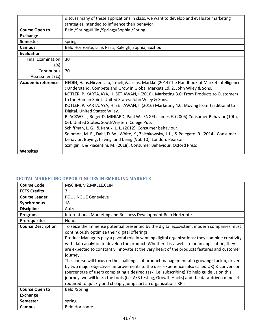|                          | discuss many of these applications in class, we want to develop and evaluate marketing                                                                                                                                                                                                                                                                                                                                                                                                                                                                                                                                                                                                                                                                                                                                                                                                                      |
|--------------------------|-------------------------------------------------------------------------------------------------------------------------------------------------------------------------------------------------------------------------------------------------------------------------------------------------------------------------------------------------------------------------------------------------------------------------------------------------------------------------------------------------------------------------------------------------------------------------------------------------------------------------------------------------------------------------------------------------------------------------------------------------------------------------------------------------------------------------------------------------------------------------------------------------------------|
|                          | strategies intended to influence their behavior.                                                                                                                                                                                                                                                                                                                                                                                                                                                                                                                                                                                                                                                                                                                                                                                                                                                            |
| <b>Course Open to</b>    | Belo /Spring;#Lille /Spring;#Sophia /Spring                                                                                                                                                                                                                                                                                                                                                                                                                                                                                                                                                                                                                                                                                                                                                                                                                                                                 |
| Exchange                 |                                                                                                                                                                                                                                                                                                                                                                                                                                                                                                                                                                                                                                                                                                                                                                                                                                                                                                             |
| Semester                 | spring                                                                                                                                                                                                                                                                                                                                                                                                                                                                                                                                                                                                                                                                                                                                                                                                                                                                                                      |
| <b>Campus</b>            | Belo Horizonte, Lille, Paris, Raleigh, Sophia, Suzhou                                                                                                                                                                                                                                                                                                                                                                                                                                                                                                                                                                                                                                                                                                                                                                                                                                                       |
| <b>Evaluation</b>        |                                                                                                                                                                                                                                                                                                                                                                                                                                                                                                                                                                                                                                                                                                                                                                                                                                                                                                             |
| <b>Final Examination</b> | 30                                                                                                                                                                                                                                                                                                                                                                                                                                                                                                                                                                                                                                                                                                                                                                                                                                                                                                          |
| (%)                      |                                                                                                                                                                                                                                                                                                                                                                                                                                                                                                                                                                                                                                                                                                                                                                                                                                                                                                             |
| Continuous               | 70                                                                                                                                                                                                                                                                                                                                                                                                                                                                                                                                                                                                                                                                                                                                                                                                                                                                                                          |
| Assessment (%)           |                                                                                                                                                                                                                                                                                                                                                                                                                                                                                                                                                                                                                                                                                                                                                                                                                                                                                                             |
| Academic reference       | HEDIN, Hans, Hirvensalo, Irmeli, Vaarnas, Markko (2014) The Handbook of Market Intelligence<br>: Understand, Compete and Grow in Global Markets Ed. 2. John Wiley & Sons.<br>KOTLER, P. KARTAJAYA, H. SETIAWAN, I (2010). Marketing 3.0: From Products to Customers<br>to the Human Spirit. United States: John Wiley & Sons.<br>KOTLER, P. KARTAJAYA, H. SETIAWAN, I. (2016) Marketing 4.0: Moving from Traditional to<br>Digital. United States: Wiley.<br>BLACKWELL, Roger D. MINIARD, Paul W. ENGEL, James F. (2005) Consumer Behavior (10th,<br>06). United States: SouthWestern Colege Pub.<br>Schiffman, L. G., & Kanuk, L. L. (2012). Consumer behaviour.<br>Solomon, M. R., Dahl, D. W., White, K., Zaichkowsky, J. L., & Polegato, R. (2014). Consumer<br>behavior: Buying, having, and being (Vol. 10). London: Pearson<br>Szmigin, I. & Piacentini, M. (2018). Consumer Behaviour. Oxford Press |
| <b>Websites</b>          |                                                                                                                                                                                                                                                                                                                                                                                                                                                                                                                                                                                                                                                                                                                                                                                                                                                                                                             |

## <span id="page-40-0"></span>**DIGITAL MARKETING OPPORTUNITIES IN EMERGING MARKETS**

| <b>Course Code</b>        | MSC.IMBM2.MKELE.0184                                                                                                                                                                                                                                                                                                                                                                                                                                                                                                                                                                                                                                                                                                                                                                                                                                                                                                    |
|---------------------------|-------------------------------------------------------------------------------------------------------------------------------------------------------------------------------------------------------------------------------------------------------------------------------------------------------------------------------------------------------------------------------------------------------------------------------------------------------------------------------------------------------------------------------------------------------------------------------------------------------------------------------------------------------------------------------------------------------------------------------------------------------------------------------------------------------------------------------------------------------------------------------------------------------------------------|
| <b>ECTS Credits</b>       | 3                                                                                                                                                                                                                                                                                                                                                                                                                                                                                                                                                                                                                                                                                                                                                                                                                                                                                                                       |
| <b>Course Leader</b>      | <b>POULINGUE Genevieve</b>                                                                                                                                                                                                                                                                                                                                                                                                                                                                                                                                                                                                                                                                                                                                                                                                                                                                                              |
| Synchronous               | 18                                                                                                                                                                                                                                                                                                                                                                                                                                                                                                                                                                                                                                                                                                                                                                                                                                                                                                                      |
| <b>Discipline</b>         | Autre                                                                                                                                                                                                                                                                                                                                                                                                                                                                                                                                                                                                                                                                                                                                                                                                                                                                                                                   |
| Program                   | International Marketing and Business Development Belo Horizonte                                                                                                                                                                                                                                                                                                                                                                                                                                                                                                                                                                                                                                                                                                                                                                                                                                                         |
| <b>Prerequisites</b>      | None.                                                                                                                                                                                                                                                                                                                                                                                                                                                                                                                                                                                                                                                                                                                                                                                                                                                                                                                   |
| <b>Course Description</b> | To seize the immense potential presented by the digital ecosystem, modern companies must<br>continuously optimize their digital offerings.<br>Product Managers play a pivotal role in winning digital organizations: they combine creativity<br>with data analytics to develop the product. Whether it is a website or an application, they<br>are expected to constantly innovate at the very heart of the products features and customer<br>journey.<br>This course will focus on the challenges of product management at a growing startup, driven<br>by two major objectives: improvements to the user experience (also called UX) & conversion<br>(percentage of users completing a desired task, i.e. subscribing). To help guide us on this<br>journey, we will learn the tools (i.e. A/B testing, Growth Hacks) and the data-driven mindset<br>required to quickly and cheaply jumpstart an organizations KPIs. |
| <b>Course Open to</b>     | Belo /Spring                                                                                                                                                                                                                                                                                                                                                                                                                                                                                                                                                                                                                                                                                                                                                                                                                                                                                                            |
| <b>Exchange</b>           |                                                                                                                                                                                                                                                                                                                                                                                                                                                                                                                                                                                                                                                                                                                                                                                                                                                                                                                         |
| <b>Semester</b>           | spring                                                                                                                                                                                                                                                                                                                                                                                                                                                                                                                                                                                                                                                                                                                                                                                                                                                                                                                  |
| Campus                    | <b>Belo Horizonte</b>                                                                                                                                                                                                                                                                                                                                                                                                                                                                                                                                                                                                                                                                                                                                                                                                                                                                                                   |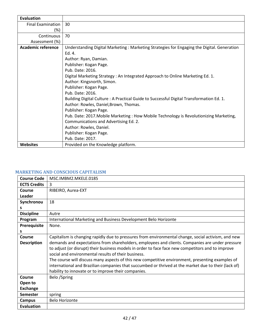| <b>Evaluation</b>         |                                                                                                                                                                                                                                                                                                                                                                                                                                                                                                                                                                                                                                                                                                  |
|---------------------------|--------------------------------------------------------------------------------------------------------------------------------------------------------------------------------------------------------------------------------------------------------------------------------------------------------------------------------------------------------------------------------------------------------------------------------------------------------------------------------------------------------------------------------------------------------------------------------------------------------------------------------------------------------------------------------------------------|
| <b>Final Examination</b>  | 30                                                                                                                                                                                                                                                                                                                                                                                                                                                                                                                                                                                                                                                                                               |
| (%)                       |                                                                                                                                                                                                                                                                                                                                                                                                                                                                                                                                                                                                                                                                                                  |
| Continuous                | 70                                                                                                                                                                                                                                                                                                                                                                                                                                                                                                                                                                                                                                                                                               |
| Assessment (%)            |                                                                                                                                                                                                                                                                                                                                                                                                                                                                                                                                                                                                                                                                                                  |
| <b>Academic reference</b> | Understanding Digital Marketing : Marketing Strategies for Engaging the Digital. Generation<br>Ed. 4.<br>Author: Ryan, Damian.<br>Publisher: Kogan Page.<br>Pub. Date: 2016.<br>Digital Marketing Strategy: An Integrated Approach to Online Marketing Ed. 1.<br>Author: Kingsnorth, Simon.<br>Publisher: Kogan Page.<br>Pub. Date: 2016.<br>Building Digital Culture: A Practical Guide to Successful Digital Transformation Ed. 1.<br>Author: Rowles, Daniel, Brown, Thomas.<br>Publisher: Kogan Page.<br>Pub. Date: 2017. Mobile Marketing: How Mobile Technology is Revolutionizing Marketing,<br>Communications and Advertising Ed. 2.<br>Author: Rowles, Daniel.<br>Publisher: Kogan Page. |
|                           | Pub. Date: 2017.                                                                                                                                                                                                                                                                                                                                                                                                                                                                                                                                                                                                                                                                                 |
| <b>Websites</b>           | Provided on the Knowledge platform.                                                                                                                                                                                                                                                                                                                                                                                                                                                                                                                                                                                                                                                              |

#### <span id="page-41-0"></span>**MARKETING AND CONSCIOUS CAPITALISM**

| <b>Course Code</b>  | MSC.IMBM2.MKELE.0185                                                                                 |
|---------------------|------------------------------------------------------------------------------------------------------|
| <b>ECTS Credits</b> | 3                                                                                                    |
| Course              | RIBEIRO, Aurea-EXT                                                                                   |
| Leader              |                                                                                                      |
| Synchronou          | 18                                                                                                   |
| s                   |                                                                                                      |
| <b>Discipline</b>   | Autre                                                                                                |
| Program             | International Marketing and Business Development Belo Horizonte                                      |
| Prerequisite        | None.                                                                                                |
| s                   |                                                                                                      |
| Course              | Capitalism is changing rapidly due to pressures from environmental change, social activism, and new  |
| <b>Description</b>  | demands and expectations from shareholders, employees and clients. Companies are under pressure      |
|                     | to adjust (or disrupt) their business models in order to face face new competitors and to improve    |
|                     | social and environmental results of their business.                                                  |
|                     | The course will discuss many aspects of this new competitive environment, presenting examples of     |
|                     | international and Brazilian companies that succumbed or thrived at the market due to their (lack of) |
|                     | hability to innovate or to improve their companies.                                                  |
| Course              | Belo /Spring                                                                                         |
| Open to             |                                                                                                      |
| <b>Exchange</b>     |                                                                                                      |
| <b>Semester</b>     | spring                                                                                               |
| Campus              | <b>Belo Horizonte</b>                                                                                |
| <b>Evaluation</b>   |                                                                                                      |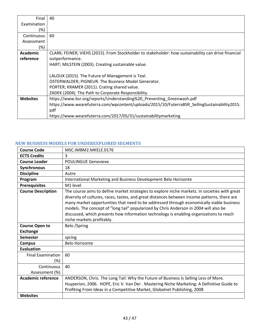| Final           | 40                                                                                                   |
|-----------------|------------------------------------------------------------------------------------------------------|
| Examination     |                                                                                                      |
| (%)             |                                                                                                      |
| Continuous      | 60                                                                                                   |
| Assessment      |                                                                                                      |
| (%)             |                                                                                                      |
| <b>Academic</b> | CLARK; FEINER; VIEHS (2015). From Stockholder to stakeholder: how sustainability can drive financial |
| reference       | outperformance.                                                                                      |
|                 | HART; MILSTEIN (2003). Creating sustainable value.                                                   |
|                 |                                                                                                      |
|                 | LALOUX (2015). The Future of Management is Teal.                                                     |
|                 | OSTERWALDER; PIGNEUR. The Business Model Generator.                                                  |
|                 | PORTER; KRAMER (2011). Crating shared value.                                                         |
|                 | ZADEK (2004). The Path to Corporate Responsibility.                                                  |
| <b>Websites</b> | https://www.bsr.org/reports/Understanding%20 Preventing Greenwash.pdf                                |
|                 | https://www.wearefuterra.com/wpcontent/uploads/2015/10/FuterraBSR_SellingSustainability2015.         |
|                 | pdf                                                                                                  |
|                 | https://www.wearefuterra.com/2017/05/31/sustainabilitymarketing                                      |

# <span id="page-42-0"></span>**NEW BUSINESS MODELS FOR UNDEREXPLORED SEGMENTS**

| <b>Course Code</b>                 | MSC.IMBM2.MKELE.0176                                                                                                                                                                                                                                                                                                                                                                                                                                                                                       |
|------------------------------------|------------------------------------------------------------------------------------------------------------------------------------------------------------------------------------------------------------------------------------------------------------------------------------------------------------------------------------------------------------------------------------------------------------------------------------------------------------------------------------------------------------|
| <b>ECTS Credits</b>                | 3                                                                                                                                                                                                                                                                                                                                                                                                                                                                                                          |
| <b>Course Leader</b>               | <b>POULINGUE Genevieve</b>                                                                                                                                                                                                                                                                                                                                                                                                                                                                                 |
| Synchronous                        | 18                                                                                                                                                                                                                                                                                                                                                                                                                                                                                                         |
| <b>Discipline</b>                  | Autre                                                                                                                                                                                                                                                                                                                                                                                                                                                                                                      |
| Program                            | International Marketing and Business Development Belo Horizonte                                                                                                                                                                                                                                                                                                                                                                                                                                            |
| <b>Prerequisites</b>               | M1 level                                                                                                                                                                                                                                                                                                                                                                                                                                                                                                   |
| <b>Course Description</b>          | The course aims to define market strategies to explore niche markets. In societies with great<br>diversity of cultures, races, tastes, and great distances between income patterns, there are<br>many market opportunities that need to be addressed through economically viable business<br>models. The concept of "long tail" popularized by Chris Anderson in 2004 will also be<br>discussed, which presents how information technology is enabling organizations to reach<br>niche markets profitably. |
| <b>Course Open to</b>              | Belo /Spring                                                                                                                                                                                                                                                                                                                                                                                                                                                                                               |
| <b>Exchange</b>                    |                                                                                                                                                                                                                                                                                                                                                                                                                                                                                                            |
| <b>Semester</b>                    | spring                                                                                                                                                                                                                                                                                                                                                                                                                                                                                                     |
| <b>Campus</b>                      | <b>Belo Horizonte</b>                                                                                                                                                                                                                                                                                                                                                                                                                                                                                      |
| <b>Evaluation</b>                  |                                                                                                                                                                                                                                                                                                                                                                                                                                                                                                            |
| <b>Final Examination</b><br>$(\%)$ | 60                                                                                                                                                                                                                                                                                                                                                                                                                                                                                                         |
| Continuous                         | 40                                                                                                                                                                                                                                                                                                                                                                                                                                                                                                         |
| Assessment (%)                     |                                                                                                                                                                                                                                                                                                                                                                                                                                                                                                            |
| <b>Academic reference</b>          | ANDERSON, Chris. The Long Tail: Why the Future of Business Is Selling Less of More.                                                                                                                                                                                                                                                                                                                                                                                                                        |
|                                    | Huyperion, 2006. HOPE, Eric V. Van Der . Mastering Niche Marketing: A Definitive Guide to                                                                                                                                                                                                                                                                                                                                                                                                                  |
|                                    | Profiting From Ideas in a Competitive Market, Globalnet Publishing, 2008                                                                                                                                                                                                                                                                                                                                                                                                                                   |
| Websites                           |                                                                                                                                                                                                                                                                                                                                                                                                                                                                                                            |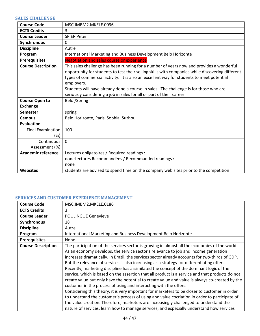### <span id="page-43-0"></span>**SALES CHALLENGE**

| <b>Course Code</b>                       | MSC.IMBM2.MKELE.0096                                                                                                                                                                                                                                                                                                                                                                                                                                                     |
|------------------------------------------|--------------------------------------------------------------------------------------------------------------------------------------------------------------------------------------------------------------------------------------------------------------------------------------------------------------------------------------------------------------------------------------------------------------------------------------------------------------------------|
| <b>ECTS Credits</b>                      | 3                                                                                                                                                                                                                                                                                                                                                                                                                                                                        |
| <b>Course Leader</b>                     | <b>SPIER Peter</b>                                                                                                                                                                                                                                                                                                                                                                                                                                                       |
| Synchronous                              | $\mathbf{0}$                                                                                                                                                                                                                                                                                                                                                                                                                                                             |
| <b>Discipline</b>                        | Autre                                                                                                                                                                                                                                                                                                                                                                                                                                                                    |
| Program                                  | International Marketing and Business Development Belo Horizonte                                                                                                                                                                                                                                                                                                                                                                                                          |
| <b>Prerequisites</b>                     | <b>Negotiation and sales course or experience</b>                                                                                                                                                                                                                                                                                                                                                                                                                        |
| <b>Course Description</b>                | This sales challenge has been running for a number of years now and provides a wonderful<br>opportunity for students to test their selling skills with companies while discovering different<br>types of commercial activity. It is also an excellent way for students to meet potential<br>employers.<br>Students will have already done a course in sales. The challenge is for those who are<br>seriously considering a job in sales for all or part of their career. |
| <b>Course Open to</b><br><b>Exchange</b> | Belo /Spring                                                                                                                                                                                                                                                                                                                                                                                                                                                             |
| <b>Semester</b>                          | spring                                                                                                                                                                                                                                                                                                                                                                                                                                                                   |
| <b>Campus</b>                            | Belo Horizonte, Paris, Sophia, Suzhou                                                                                                                                                                                                                                                                                                                                                                                                                                    |
| <b>Evaluation</b>                        |                                                                                                                                                                                                                                                                                                                                                                                                                                                                          |
| <b>Final Examination</b><br>$(\%)$       | 100                                                                                                                                                                                                                                                                                                                                                                                                                                                                      |
| Continuous                               | $\Omega$                                                                                                                                                                                                                                                                                                                                                                                                                                                                 |
| Assessment (%)                           |                                                                                                                                                                                                                                                                                                                                                                                                                                                                          |
| <b>Academic reference</b>                | Lectures obligatoires / Required readings :                                                                                                                                                                                                                                                                                                                                                                                                                              |
|                                          | noneLectures Recommandées / Recommanded readings :                                                                                                                                                                                                                                                                                                                                                                                                                       |
|                                          | none                                                                                                                                                                                                                                                                                                                                                                                                                                                                     |
| <b>Websites</b>                          | students are advised to spend time on the company web sites prior to the competition                                                                                                                                                                                                                                                                                                                                                                                     |

#### <span id="page-43-1"></span>**SERVICES AND CUSTOMER EXPERIENCE MANAGEMENT**

| <b>Course Code</b>        | MSC.IMBM2.MKELE.0186                                                                                                                                                                                                                                                                                                                                                                                                                                                                                                                                                                                                                                                                                                                                                                                                                                                                                                                                                                                                                                                                                                                             |
|---------------------------|--------------------------------------------------------------------------------------------------------------------------------------------------------------------------------------------------------------------------------------------------------------------------------------------------------------------------------------------------------------------------------------------------------------------------------------------------------------------------------------------------------------------------------------------------------------------------------------------------------------------------------------------------------------------------------------------------------------------------------------------------------------------------------------------------------------------------------------------------------------------------------------------------------------------------------------------------------------------------------------------------------------------------------------------------------------------------------------------------------------------------------------------------|
| <b>ECTS Credits</b>       | 3                                                                                                                                                                                                                                                                                                                                                                                                                                                                                                                                                                                                                                                                                                                                                                                                                                                                                                                                                                                                                                                                                                                                                |
| <b>Course Leader</b>      | <b>POULINGUE Genevieve</b>                                                                                                                                                                                                                                                                                                                                                                                                                                                                                                                                                                                                                                                                                                                                                                                                                                                                                                                                                                                                                                                                                                                       |
| Synchronous               | 18                                                                                                                                                                                                                                                                                                                                                                                                                                                                                                                                                                                                                                                                                                                                                                                                                                                                                                                                                                                                                                                                                                                                               |
| <b>Discipline</b>         | Autre                                                                                                                                                                                                                                                                                                                                                                                                                                                                                                                                                                                                                                                                                                                                                                                                                                                                                                                                                                                                                                                                                                                                            |
| Program                   | International Marketing and Business Development Belo Horizonte                                                                                                                                                                                                                                                                                                                                                                                                                                                                                                                                                                                                                                                                                                                                                                                                                                                                                                                                                                                                                                                                                  |
| <b>Prerequisites</b>      | None.                                                                                                                                                                                                                                                                                                                                                                                                                                                                                                                                                                                                                                                                                                                                                                                                                                                                                                                                                                                                                                                                                                                                            |
| <b>Course Description</b> | The participation of the services sector is growing in almost all the economies of the world.<br>As an economy develops, the service sector's relevance to job and income generation<br>increases dramatically. In Brazil, the services sector already accounts for two-thirds of GDP.<br>But the relevance of services is also increasing as a strategy for differentiating offers.<br>Recently, marketing discipline has assimilated the concept of the dominant logic of the<br>service, which is based on the assertion that all product is a service and that products do not<br>create value but only have the potential to create value and value is always co-created by the<br>customer in the process of using and interacting with the offers.<br>Considering this theory, it is very important for marketers to be closer to customer in order<br>to undertand the customer's process of using and value cocriation in order to participate of<br>the value creation. Therefore, marketers are increasingly challenged to understand the<br>nature of services, learn how to manage services, and especially understand how services |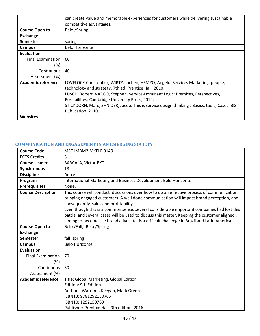|                          | can create value and memorable experiences for customers while delivering sustainable        |
|--------------------------|----------------------------------------------------------------------------------------------|
|                          | competitive advantages.                                                                      |
| <b>Course Open to</b>    | Belo /Spring                                                                                 |
| <b>Exchange</b>          |                                                                                              |
| <b>Semester</b>          | spring                                                                                       |
| Campus                   | <b>Belo Horizonte</b>                                                                        |
| <b>Evaluation</b>        |                                                                                              |
| <b>Final Examination</b> | 60                                                                                           |
| (%)                      |                                                                                              |
| Continuous               | 40                                                                                           |
| Assessment (%)           |                                                                                              |
| Academic reference       | LOVELOCK Christopher, WIRTZ, Jochen, HEMZO, Angelo. Services Marketing: people,              |
|                          | technology and strategy. 7th ed. Prentice Hall, 2010.                                        |
|                          | LUSCH, Robert, VARGO, Stephen. Service-Dominant Logic: Premises, Perspectives,               |
|                          | Possibilities. Cambridge University Press, 2014.                                             |
|                          | STICKDORN, Marc, SHNIDER, Jacob. This is service design thinking : Basics, tools, Cases. BIS |
|                          | Publication, 2010.                                                                           |
| <b>Websites</b>          |                                                                                              |

# <span id="page-44-0"></span>**COMMUNICATION AND ENGAGEMENT IN AN EMERGING SOCIETY**

| <b>Course Code</b>              | MSC.IMBM2.MKELE.0149                                                                                                                                                                                                                                                                                                                                                                                                                                                                                                      |
|---------------------------------|---------------------------------------------------------------------------------------------------------------------------------------------------------------------------------------------------------------------------------------------------------------------------------------------------------------------------------------------------------------------------------------------------------------------------------------------------------------------------------------------------------------------------|
| <b>ECTS Credits</b>             | 3                                                                                                                                                                                                                                                                                                                                                                                                                                                                                                                         |
| <b>Course Leader</b>            | BARCALA, Victor-EXT                                                                                                                                                                                                                                                                                                                                                                                                                                                                                                       |
| <b>Synchronous</b>              | 18                                                                                                                                                                                                                                                                                                                                                                                                                                                                                                                        |
| <b>Discipline</b>               | Autre                                                                                                                                                                                                                                                                                                                                                                                                                                                                                                                     |
| Program                         | International Marketing and Business Development Belo Horizonte                                                                                                                                                                                                                                                                                                                                                                                                                                                           |
| <b>Prerequisites</b>            | None.                                                                                                                                                                                                                                                                                                                                                                                                                                                                                                                     |
| <b>Course Description</b>       | This course will conduct discussions over how to do an effective process of communication,<br>bringing engaged customers. A well done communication will impact brand perception, and<br>consequently sales and profitability.<br>Even though this is a common sense, several considerable important companies had lost this<br>battle and several cases will be used to discuss this matter. Keeping the customer aligned,<br>aiming to become the brand advocate, is a difficult challenge in Brazil and Latin America. |
| <b>Course Open to</b>           | Belo /Fall;#Belo /Spring                                                                                                                                                                                                                                                                                                                                                                                                                                                                                                  |
| <b>Exchange</b>                 |                                                                                                                                                                                                                                                                                                                                                                                                                                                                                                                           |
| <b>Semester</b>                 | fall, spring                                                                                                                                                                                                                                                                                                                                                                                                                                                                                                              |
| <b>Campus</b>                   | <b>Belo Horizonte</b>                                                                                                                                                                                                                                                                                                                                                                                                                                                                                                     |
| <b>Evaluation</b>               |                                                                                                                                                                                                                                                                                                                                                                                                                                                                                                                           |
| <b>Final Examination</b><br>(%) | 70                                                                                                                                                                                                                                                                                                                                                                                                                                                                                                                        |
| Continuous<br>Assessment (%)    | 30                                                                                                                                                                                                                                                                                                                                                                                                                                                                                                                        |
| <b>Academic reference</b>       | Title: Global Marketing, Global Edition<br><b>Edition: 9th Edition</b><br>Authors: Warren J. Keegan, Mark Green<br>ISBN13: 9781292150765<br>ISBN10: 1292150769<br>Publisher: Prentice Hall, 9th edition, 2016.                                                                                                                                                                                                                                                                                                            |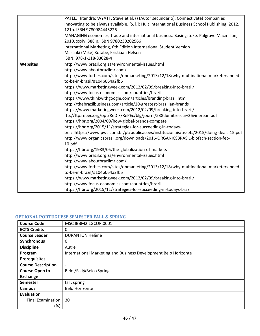|                 | PATEL, Hitendra; WYATT, Steve et al. () (Autor secundário). Connectivate! companies              |
|-----------------|--------------------------------------------------------------------------------------------------|
|                 | innovating to be always available. [S. I.]: Hult International Business School Publishing, 2012. |
|                 | 121p. ISBN 9780984445226                                                                         |
|                 | MANAGING economies, trade and international business. Basingstoke: Palgrave Macmillan,           |
|                 | 2010. xxxiv, 388 p. ISBN 9780230202566                                                           |
|                 | International Marketing, 6th Edition International Student Version                               |
|                 | Masaaki (Mike) Kotabe, Kristiaan Helsen                                                          |
|                 | ISBN: 978-1-118-83028-4                                                                          |
| <b>Websites</b> | http://www.brazil.org.za/environmental-issues.html                                               |
|                 | http://www.aboutbrazilmr.com/                                                                    |
|                 | http://www.forbes.com/sites/onmarketing/2013/12/18/why-multinational-marketers-need-             |
|                 | to-be-in-brazil/#104b064a2fb5                                                                    |
|                 | https://www.marketingweek.com/2012/02/09/breaking-into-brazil/                                   |
|                 | http://www.focus-economics.com/countries/brazil                                                  |
|                 | https://www.thinkwithgoogle.com/articles/branding-brazil.html                                    |
|                 | http://thebrazilbusiness.com/article/20-greatest-brazilian-brands                                |
|                 | https://www.marketingweek.com/2012/02/09/breaking-into-brazil/                                   |
|                 | ftp://ftp.repec.org/opt/ReDIF/RePEc/blg/journl/538dumitrescu%26vinerean.pdf                      |
|                 | https://hbr.org/2004/09/how-global-brands-compete                                                |
|                 | https://hbr.org/2015/11/strategies-for-succeeding-in-todays-                                     |
|                 | brazilhttps://www.pwc.com.br/pt/publicacoes/institucionais/assets/2015/doing-deals-15.pdf        |
|                 | http://www.organicsbrasil.org/downloads/2016-ORGANICSBRASIL-biofach-section-feb-                 |
|                 | 10.pdf                                                                                           |
|                 | https://hbr.org/1983/05/the-globalization-of-markets                                             |
|                 | http://www.brazil.org.za/environmental-issues.html                                               |
|                 | http://www.aboutbrazilmr.com/                                                                    |
|                 | http://www.forbes.com/sites/onmarketing/2013/12/18/why-multinational-marketers-need-             |
|                 | to-be-in-brazil/#104b064a2fb5                                                                    |
|                 | https://www.marketingweek.com/2012/02/09/breaking-into-brazil/                                   |
|                 | http://www.focus-economics.com/countries/brazil                                                  |
|                 | https://hbr.org/2015/11/strategies-for-succeeding-in-todays-brazil                               |

## <span id="page-45-0"></span>**OPTIONAL PORTUGUESE SEMESTER FALL & SPRING**

| <b>Course Code</b>        | MSC.IBBM2.LGCOR.0001                                            |
|---------------------------|-----------------------------------------------------------------|
| <b>ECTS Credits</b>       | 0                                                               |
| <b>Course Leader</b>      | <b>DURANTON Hélène</b>                                          |
| Synchronous               | 0                                                               |
| <b>Discipline</b>         | Autre                                                           |
| Program                   | International Marketing and Business Development Belo Horizonte |
| <b>Prerequisites</b>      | -                                                               |
| <b>Course Description</b> | $\overline{\phantom{a}}$                                        |
| <b>Course Open to</b>     | Belo /Fall;#Belo /Spring                                        |
| <b>Exchange</b>           |                                                                 |
| <b>Semester</b>           | fall, spring                                                    |
| <b>Campus</b>             | <b>Belo Horizonte</b>                                           |
| <b>Evaluation</b>         |                                                                 |
| <b>Final Examination</b>  | 30                                                              |
| (%)                       |                                                                 |